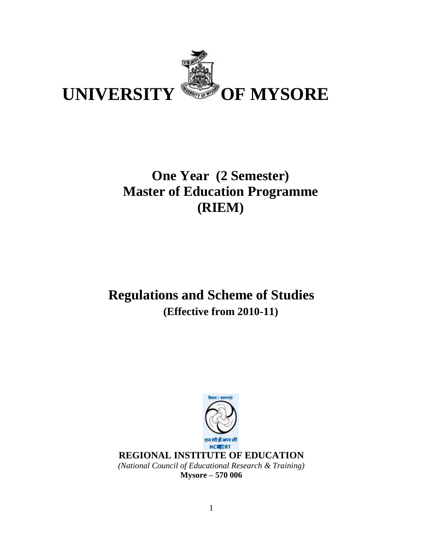

# **One Year (2 Semester) Master of Education Programme (RIEM)**

# **Regulations and Scheme of Studies (Effective from 2010-11)**



**Mysore – 570 006**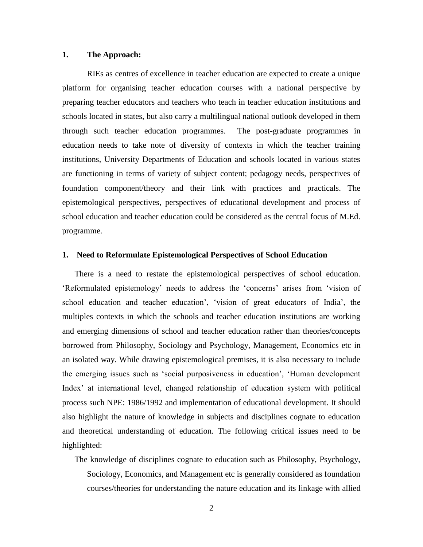#### **1. The Approach:**

RIEs as centres of excellence in teacher education are expected to create a unique platform for organising teacher education courses with a national perspective by preparing teacher educators and teachers who teach in teacher education institutions and schools located in states, but also carry a multilingual national outlook developed in them through such teacher education programmes. The post-graduate programmes in education needs to take note of diversity of contexts in which the teacher training institutions, University Departments of Education and schools located in various states are functioning in terms of variety of subject content; pedagogy needs, perspectives of foundation component/theory and their link with practices and practicals. The epistemological perspectives, perspectives of educational development and process of school education and teacher education could be considered as the central focus of M.Ed. programme.

#### **1. Need to Reformulate Epistemological Perspectives of School Education**

There is a need to restate the epistemological perspectives of school education. 'Reformulated epistemology' needs to address the 'concerns' arises from 'vision of school education and teacher education', 'vision of great educators of India', the multiples contexts in which the schools and teacher education institutions are working and emerging dimensions of school and teacher education rather than theories/concepts borrowed from Philosophy, Sociology and Psychology, Management, Economics etc in an isolated way. While drawing epistemological premises, it is also necessary to include the emerging issues such as 'social purposiveness in education', 'Human development Index' at international level, changed relationship of education system with political process such NPE: 1986/1992 and implementation of educational development. It should also highlight the nature of knowledge in subjects and disciplines cognate to education and theoretical understanding of education. The following critical issues need to be highlighted:

The knowledge of disciplines cognate to education such as Philosophy, Psychology, Sociology, Economics, and Management etc is generally considered as foundation courses/theories for understanding the nature education and its linkage with allied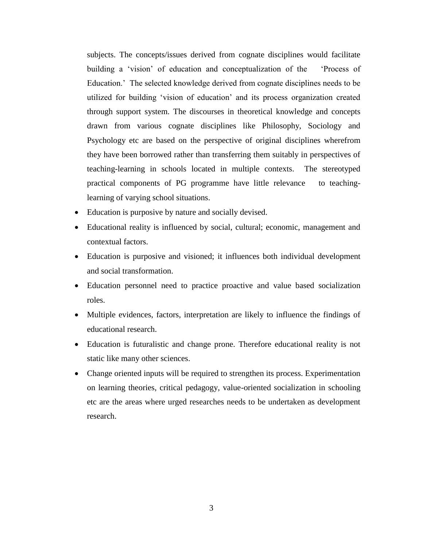subjects. The concepts/issues derived from cognate disciplines would facilitate building a 'vision' of education and conceptualization of the 'Process of Education.' The selected knowledge derived from cognate disciplines needs to be utilized for building 'vision of education' and its process organization created through support system. The discourses in theoretical knowledge and concepts drawn from various cognate disciplines like Philosophy, Sociology and Psychology etc are based on the perspective of original disciplines wherefrom they have been borrowed rather than transferring them suitably in perspectives of teaching-learning in schools located in multiple contexts. The stereotyped practical components of PG programme have little relevance to teachinglearning of varying school situations.

- Education is purposive by nature and socially devised.
- Educational reality is influenced by social, cultural; economic, management and contextual factors.
- Education is purposive and visioned; it influences both individual development and social transformation.
- Education personnel need to practice proactive and value based socialization roles.
- Multiple evidences, factors, interpretation are likely to influence the findings of educational research.
- Education is futuralistic and change prone. Therefore educational reality is not static like many other sciences.
- Change oriented inputs will be required to strengthen its process. Experimentation on learning theories, critical pedagogy, value-oriented socialization in schooling etc are the areas where urged researches needs to be undertaken as development research.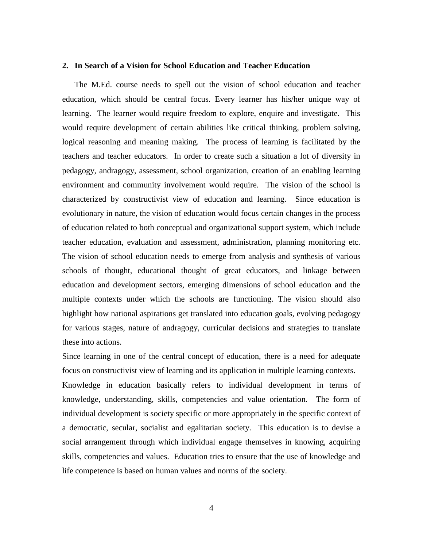#### **2. In Search of a Vision for School Education and Teacher Education**

The M.Ed. course needs to spell out the vision of school education and teacher education, which should be central focus. Every learner has his/her unique way of learning. The learner would require freedom to explore, enquire and investigate. This would require development of certain abilities like critical thinking, problem solving, logical reasoning and meaning making. The process of learning is facilitated by the teachers and teacher educators. In order to create such a situation a lot of diversity in pedagogy, andragogy, assessment, school organization, creation of an enabling learning environment and community involvement would require. The vision of the school is characterized by constructivist view of education and learning. Since education is evolutionary in nature, the vision of education would focus certain changes in the process of education related to both conceptual and organizational support system, which include teacher education, evaluation and assessment, administration, planning monitoring etc. The vision of school education needs to emerge from analysis and synthesis of various schools of thought, educational thought of great educators, and linkage between education and development sectors, emerging dimensions of school education and the multiple contexts under which the schools are functioning. The vision should also highlight how national aspirations get translated into education goals, evolving pedagogy for various stages, nature of andragogy, curricular decisions and strategies to translate these into actions.

Since learning in one of the central concept of education, there is a need for adequate focus on constructivist view of learning and its application in multiple learning contexts.

Knowledge in education basically refers to individual development in terms of knowledge, understanding, skills, competencies and value orientation. The form of individual development is society specific or more appropriately in the specific context of a democratic, secular, socialist and egalitarian society. This education is to devise a social arrangement through which individual engage themselves in knowing, acquiring skills, competencies and values. Education tries to ensure that the use of knowledge and life competence is based on human values and norms of the society.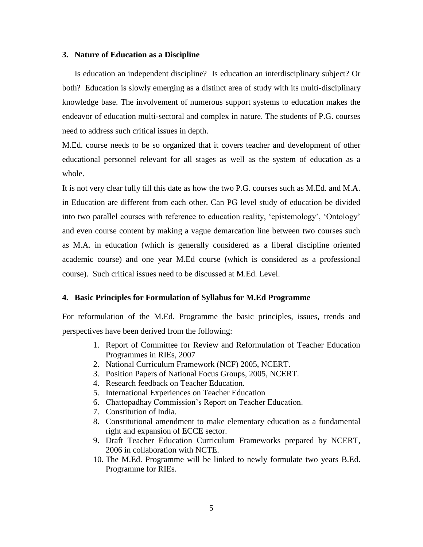#### **3. Nature of Education as a Discipline**

Is education an independent discipline? Is education an interdisciplinary subject? Or both? Education is slowly emerging as a distinct area of study with its multi-disciplinary knowledge base. The involvement of numerous support systems to education makes the endeavor of education multi-sectoral and complex in nature. The students of P.G. courses need to address such critical issues in depth.

M.Ed. course needs to be so organized that it covers teacher and development of other educational personnel relevant for all stages as well as the system of education as a whole.

It is not very clear fully till this date as how the two P.G. courses such as M.Ed. and M.A. in Education are different from each other. Can PG level study of education be divided into two parallel courses with reference to education reality, 'epistemology', 'Ontology' and even course content by making a vague demarcation line between two courses such as M.A. in education (which is generally considered as a liberal discipline oriented academic course) and one year M.Ed course (which is considered as a professional course). Such critical issues need to be discussed at M.Ed. Level.

#### **4. Basic Principles for Formulation of Syllabus for M.Ed Programme**

For reformulation of the M.Ed. Programme the basic principles, issues, trends and perspectives have been derived from the following:

- 1. Report of Committee for Review and Reformulation of Teacher Education Programmes in RIEs, 2007
- 2. National Curriculum Framework (NCF) 2005, NCERT.
- 3. Position Papers of National Focus Groups, 2005, NCERT.
- 4. Research feedback on Teacher Education.
- 5. International Experiences on Teacher Education
- 6. Chattopadhay Commission's Report on Teacher Education.
- 7. Constitution of India.
- 8. Constitutional amendment to make elementary education as a fundamental right and expansion of ECCE sector.
- 9. Draft Teacher Education Curriculum Frameworks prepared by NCERT, 2006 in collaboration with NCTE.
- 10. The M.Ed. Programme will be linked to newly formulate two years B.Ed. Programme for RIEs.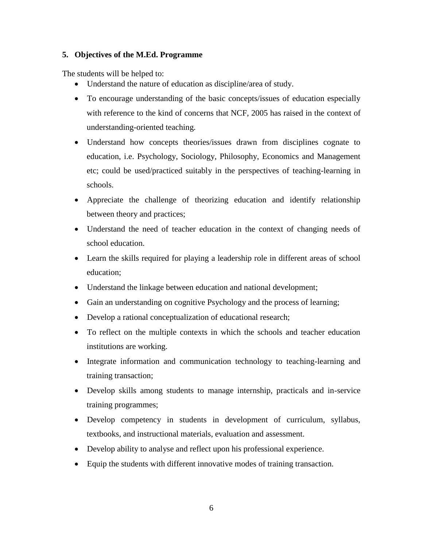### **5. Objectives of the M.Ed. Programme**

The students will be helped to:

- Understand the nature of education as discipline/area of study.
- To encourage understanding of the basic concepts/issues of education especially with reference to the kind of concerns that NCF, 2005 has raised in the context of understanding-oriented teaching.
- Understand how concepts theories/issues drawn from disciplines cognate to education, i.e. Psychology, Sociology, Philosophy, Economics and Management etc; could be used/practiced suitably in the perspectives of teaching-learning in schools.
- Appreciate the challenge of theorizing education and identify relationship between theory and practices;
- Understand the need of teacher education in the context of changing needs of school education.
- Learn the skills required for playing a leadership role in different areas of school education;
- Understand the linkage between education and national development;
- Gain an understanding on cognitive Psychology and the process of learning;
- Develop a rational conceptualization of educational research;
- To reflect on the multiple contexts in which the schools and teacher education institutions are working.
- Integrate information and communication technology to teaching-learning and training transaction;
- Develop skills among students to manage internship, practicals and in-service training programmes;
- Develop competency in students in development of curriculum, syllabus, textbooks, and instructional materials, evaluation and assessment.
- Develop ability to analyse and reflect upon his professional experience.
- Equip the students with different innovative modes of training transaction.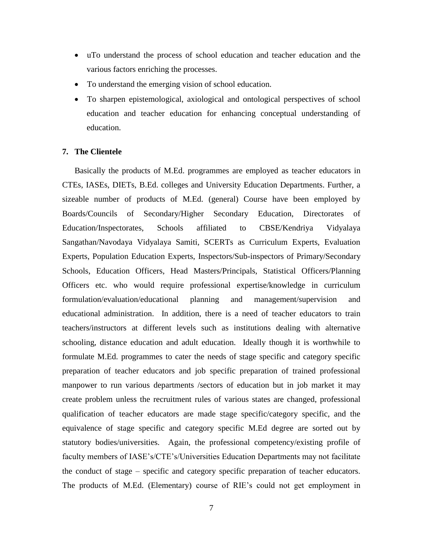- uTo understand the process of school education and teacher education and the various factors enriching the processes.
- To understand the emerging vision of school education.
- To sharpen epistemological, axiological and ontological perspectives of school education and teacher education for enhancing conceptual understanding of education.

#### **7. The Clientele**

Basically the products of M.Ed. programmes are employed as teacher educators in CTEs, IASEs, DIETs, B.Ed. colleges and University Education Departments. Further, a sizeable number of products of M.Ed. (general) Course have been employed by Boards/Councils of Secondary/Higher Secondary Education, Directorates of Education/Inspectorates, Schools affiliated to CBSE/Kendriya Vidyalaya Sangathan/Navodaya Vidyalaya Samiti, SCERTs as Curriculum Experts, Evaluation Experts, Population Education Experts, Inspectors/Sub-inspectors of Primary/Secondary Schools, Education Officers, Head Masters/Principals, Statistical Officers/Planning Officers etc. who would require professional expertise/knowledge in curriculum formulation/evaluation/educational planning and management/supervision and educational administration. In addition, there is a need of teacher educators to train teachers/instructors at different levels such as institutions dealing with alternative schooling, distance education and adult education. Ideally though it is worthwhile to formulate M.Ed. programmes to cater the needs of stage specific and category specific preparation of teacher educators and job specific preparation of trained professional manpower to run various departments /sectors of education but in job market it may create problem unless the recruitment rules of various states are changed, professional qualification of teacher educators are made stage specific/category specific, and the equivalence of stage specific and category specific M.Ed degree are sorted out by statutory bodies/universities. Again, the professional competency/existing profile of faculty members of IASE's/CTE's/Universities Education Departments may not facilitate the conduct of stage – specific and category specific preparation of teacher educators. The products of M.Ed. (Elementary) course of RIE's could not get employment in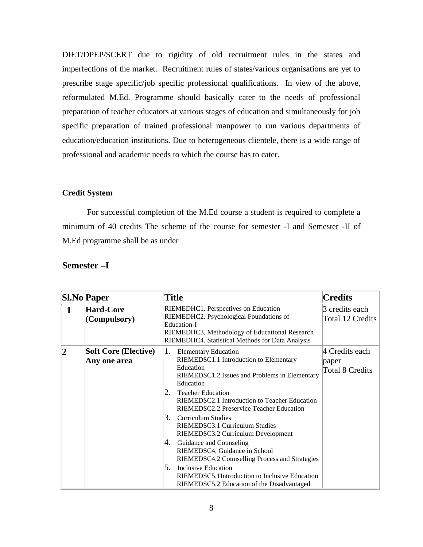DIET/DPEP/SCERT due to rigidity of old recruitment rules in the states and imperfections of the market. Recruitment rules of states/various organisations are yet to prescribe stage specific/job specific professional qualifications. In view of the above, reformulated M.Ed. Programme should basically cater to the needs of professional preparation of teacher educators at various stages of education and simultaneously for job specific preparation of trained professional manpower to run various departments of education/education institutions. Due to heterogeneous clientele, there is a wide range of professional and academic needs to which the course has to cater.

### **Credit System**

For successful completion of the M.Ed course a student is required to complete a minimum of 40 credits The scheme of the course for semester -I and Semester -II of M.Ed programme shall be as under

|                | <b>Sl.No</b> Paper                          | <b>Title</b>                                                                                                                                                                                                                                                                                                                                                                                                                                                                                                                                                                                                                                      | <b>Credits</b>                                    |
|----------------|---------------------------------------------|---------------------------------------------------------------------------------------------------------------------------------------------------------------------------------------------------------------------------------------------------------------------------------------------------------------------------------------------------------------------------------------------------------------------------------------------------------------------------------------------------------------------------------------------------------------------------------------------------------------------------------------------------|---------------------------------------------------|
|                | <b>Hard-Core</b><br>(Compulsory)            | RIEMEDHC1. Perspectives on Education<br>RIEMEDHC2. Psychological Foundations of<br>Education-I<br>RIEMEDHC3. Methodology of Educational Research<br>RIEMEDHC4. Statistical Methods for Data Analysis                                                                                                                                                                                                                                                                                                                                                                                                                                              | 3 credits each<br>Total 12 Credits                |
| $\overline{2}$ | <b>Soft Core (Elective)</b><br>Any one area | 1.<br><b>Elementary Education</b><br>RIEMEDSC1.1 Introduction to Elementary<br>Education<br>RIEMEDSC1.2 Issues and Problems in Elementary<br>Education<br>2.<br><b>Teacher Education</b><br>RIEMEDSC2.1 Introduction to Teacher Education<br>RIEMEDSC2.2 Preservice Teacher Education<br>3.<br>Curriculum Studies<br>RIEMEDSC3.1 Curriculum Studies<br>RIEMEDSC3.2 Curriculum Development<br>Guidance and Counseling<br>4.<br>RIEMEDSC4. Guidance in School<br>RIEMEDSC4.2 Counselling Process and Strategies<br>5.<br><b>Inclusive Education</b><br>RIEMEDSC5.1Introduction to Inclusive Education<br>RIEMEDSC5.2 Education of the Disadvantaged | 4 Credits each<br>paper<br><b>Total 8 Credits</b> |

### **Semester –I**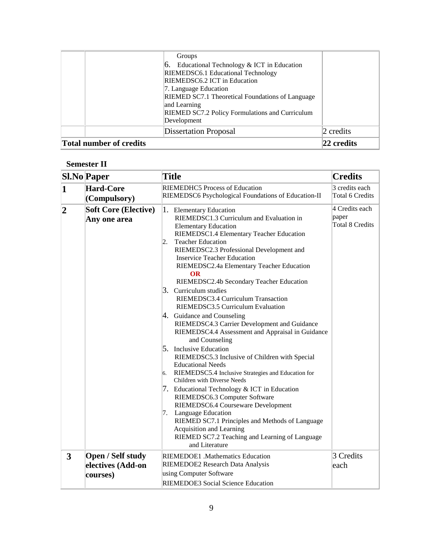| <b>Total number of credits</b> | <b>Dissertation Proposal</b>                                                                                                                                                                                                                                                                    | 2 credits<br> 22 credits |
|--------------------------------|-------------------------------------------------------------------------------------------------------------------------------------------------------------------------------------------------------------------------------------------------------------------------------------------------|--------------------------|
|                                | Groups<br>Educational Technology & ICT in Education<br>RIEMEDSC6.1 Educational Technology<br>RIEMEDSC6.2 ICT in Education<br>7. Language Education<br>RIEMED SC7.1 Theoretical Foundations of Language<br>and Learning<br><b>RIEMED SC7.2 Policy Formulations and Curriculum</b><br>Development |                          |
|                                |                                                                                                                                                                                                                                                                                                 |                          |

# **Semester II**

|                | <b>Sl.No</b> Paper                                 | <b>Title</b>                                                                                                                                                                                                                                                                                                                                                                                                                                                                                                                                                                                                                                                                                                                                                                                                                                                                                                                                                                                                                                                                                                                              | <b>Credits</b>                                    |
|----------------|----------------------------------------------------|-------------------------------------------------------------------------------------------------------------------------------------------------------------------------------------------------------------------------------------------------------------------------------------------------------------------------------------------------------------------------------------------------------------------------------------------------------------------------------------------------------------------------------------------------------------------------------------------------------------------------------------------------------------------------------------------------------------------------------------------------------------------------------------------------------------------------------------------------------------------------------------------------------------------------------------------------------------------------------------------------------------------------------------------------------------------------------------------------------------------------------------------|---------------------------------------------------|
| $\mathbf{1}$   | <b>Hard-Core</b><br>(Compulsory)                   | <b>RIEMEDHC5 Process of Education</b><br>RIEMEDSC6 Psychological Foundations of Education-II                                                                                                                                                                                                                                                                                                                                                                                                                                                                                                                                                                                                                                                                                                                                                                                                                                                                                                                                                                                                                                              | 3 credits each<br><b>Total 6 Credits</b>          |
| $\overline{2}$ | <b>Soft Core (Elective)</b><br>Any one area        | 1. Elementary Education<br>RIEMEDSC1.3 Curriculum and Evaluation in<br><b>Elementary Education</b><br>RIEMEDSC1.4 Elementary Teacher Education<br><b>Teacher Education</b><br>2.<br>RIEMEDSC2.3 Professional Development and<br><b>Inservice Teacher Education</b><br>RIEMEDSC2.4a Elementary Teacher Education<br><b>OR</b><br>RIEMEDSC2.4b Secondary Teacher Education<br>3. Curriculum studies<br>RIEMEDSC3.4 Curriculum Transaction<br>RIEMEDSC3.5 Curriculum Evaluation<br>4. Guidance and Counseling<br>RIEMEDSC4.3 Carrier Development and Guidance<br>RIEMEDSC4.4 Assessment and Appraisal in Guidance<br>and Counseling<br>5. Inclusive Education<br>RIEMEDSC5.3 Inclusive of Children with Special<br><b>Educational Needs</b><br>RIEMEDSC5.4 Inclusive Strategies and Education for<br>6.<br>Children with Diverse Needs<br>7. Educational Technology & ICT in Education<br>RIEMEDSC6.3 Computer Software<br>RIEMEDSC6.4 Courseware Development<br>Language Education<br>7.<br>RIEMED SC7.1 Principles and Methods of Language<br>Acquisition and Learning<br>RIEMED SC7.2 Teaching and Learning of Language<br>and Literature | 4 Credits each<br>paper<br><b>Total 8 Credits</b> |
| 3              | Open / Self study<br>electives (Add-on<br>courses) | RIEMEDOE1 .Mathematics Education<br>RIEMEDOE2 Research Data Analysis<br>using Computer Software<br>RIEMEDOE3 Social Science Education                                                                                                                                                                                                                                                                                                                                                                                                                                                                                                                                                                                                                                                                                                                                                                                                                                                                                                                                                                                                     | 3 Credits<br>each                                 |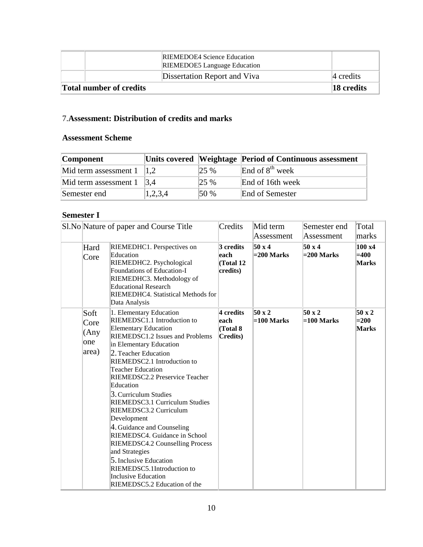|                                | <b>RIEMEDOE4</b> Science Education<br><b>RIEMEDOE5</b> Language Education |              |
|--------------------------------|---------------------------------------------------------------------------|--------------|
|                                | Dissertation Report and Viva                                              | $ 4$ credits |
| <b>Total number of credits</b> |                                                                           | 18 credits   |

# 7.**Assessment: Distribution of credits and marks**

### **Assessment Scheme**

| <b>Component</b>                           |         |         | Units covered Weightage Period of Continuous assessment |
|--------------------------------------------|---------|---------|---------------------------------------------------------|
| Mid term assessment $1 \vert 1,2 \vert$    |         | $125\%$ | End of $8th$ week                                       |
| Mid term assessment $1 \quad  3,4 \rangle$ |         | $125\%$ | End of 16th week                                        |
| Semester end                               | 1,2,3,4 | 150%    | End of Semester                                         |

# **Semester I**

|                                      | Sl. No Nature of paper and Course Title                                                                                                                                                                                                                                                                                                                                                                                                                                                                                                                                                                                             | Credits                                    | Mid term<br>Assessment        | Semester end<br>Assessment    | Total<br>marks                             |
|--------------------------------------|-------------------------------------------------------------------------------------------------------------------------------------------------------------------------------------------------------------------------------------------------------------------------------------------------------------------------------------------------------------------------------------------------------------------------------------------------------------------------------------------------------------------------------------------------------------------------------------------------------------------------------------|--------------------------------------------|-------------------------------|-------------------------------|--------------------------------------------|
| Hard<br>Core                         | RIEMEDHC1. Perspectives on<br>Education<br>RIEMEDHC2. Psychological<br>Foundations of Education-I<br>RIEMEDHC3. Methodology of<br><b>Educational Research</b><br>RIEMEDHC4. Statistical Methods for<br>Data Analysis                                                                                                                                                                                                                                                                                                                                                                                                                | 3 credits<br>each<br>(Total 12<br>credits) | 50 x 4<br>$= 200$ Marks       | 50 x 4<br>$= 200$ Marks       | $100 \text{ x}4$<br>$=400$<br><b>Marks</b> |
| Soft<br>Core<br>(Any<br>one<br>area) | 1. Elementary Education<br>RIEMEDSC1.1 Introduction to<br><b>Elementary Education</b><br>RIEMEDSC1.2 Issues and Problems<br>in Elementary Education<br>2. Teacher Education<br>RIEMEDSC2.1 Introduction to<br><b>Teacher Education</b><br>RIEMEDSC2.2 Preservice Teacher<br>Education<br>3. Curriculum Studies<br>RIEMEDSC3.1 Curriculum Studies<br>RIEMEDSC3.2 Curriculum<br>Development<br>4. Guidance and Counseling<br>RIEMEDSC4. Guidance in School<br>RIEMEDSC4.2 Counselling Process<br>and Strategies<br>5. Inclusive Education<br>RIEMEDSC5.1Introduction to<br><b>Inclusive Education</b><br>RIEMEDSC5.2 Education of the | 4 credits<br>each<br>(Total 8<br>Credits)  | $50 \times 2$<br>$=100$ Marks | $50 \times 2$<br>$=100$ Marks | $50 \times 2$<br>$=200$<br><b>Marks</b>    |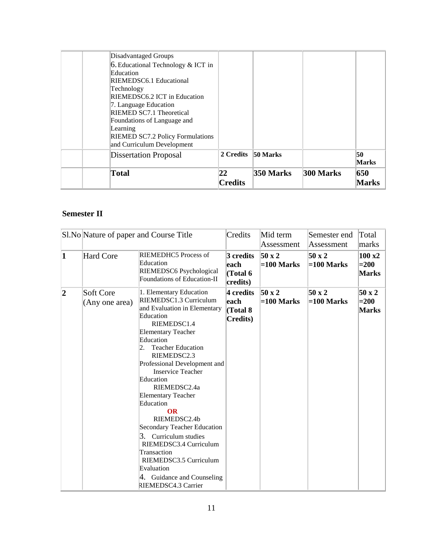# **Semester II**

| Assessment                    | Assessment | Total<br>marks                                   |
|-------------------------------|------------|--------------------------------------------------|
| $50 \times 2$<br>$=100$ Marks |            | $100 \text{ x}$<br>$=200$<br><b>Marks</b>        |
| $50 \times 2$<br>$=100$ Marks |            | 50 x 2<br>$=200$<br><b>Marks</b>                 |
|                               |            | 50 x 2<br>$=100$ Marks<br>50 x 2<br>$=100$ Marks |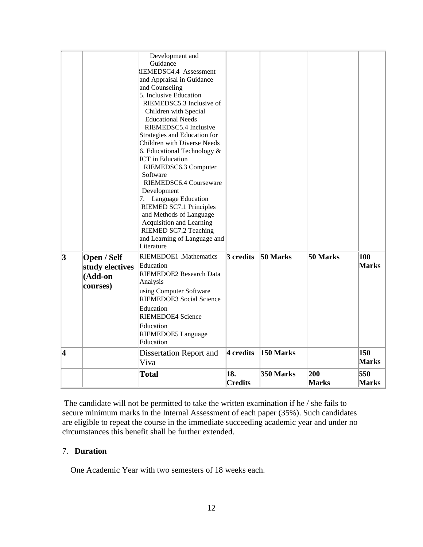|                       |                                                       | Development and<br>Guidance<br>IEMEDSC4.4 Assessment<br>and Appraisal in Guidance<br>and Counseling<br>5. Inclusive Education<br>RIEMEDSC5.3 Inclusive of<br>Children with Special<br><b>Educational Needs</b><br>RIEMEDSC5.4 Inclusive<br>Strategies and Education for<br>Children with Diverse Needs<br>6. Educational Technology &<br>ICT in Education<br>RIEMEDSC6.3 Computer<br>Software<br>RIEMEDSC6.4 Courseware<br>Development<br>7. Language Education<br>RIEMED SC7.1 Principles<br>and Methods of Language<br>Acquisition and Learning<br>RIEMED SC7.2 Teaching<br>and Learning of Language and<br>Literature |                       |           |                     |                     |
|-----------------------|-------------------------------------------------------|--------------------------------------------------------------------------------------------------------------------------------------------------------------------------------------------------------------------------------------------------------------------------------------------------------------------------------------------------------------------------------------------------------------------------------------------------------------------------------------------------------------------------------------------------------------------------------------------------------------------------|-----------------------|-----------|---------------------|---------------------|
| 3                     | Open / Self<br>study electives<br>(Add-on<br>courses) | RIEMEDOE1 .Mathematics<br>Education<br>RIEMEDOE2 Research Data<br>Analysis<br>using Computer Software<br><b>RIEMEDOE3</b> Social Science<br>Education<br><b>RIEMEDOE4 Science</b><br>Education<br>RIEMEDOE5 Language<br>Education                                                                                                                                                                                                                                                                                                                                                                                        | $3$ credits           | 50 Marks  | 50 Marks            | 100<br><b>Marks</b> |
| $\boldsymbol{\Delta}$ |                                                       | Dissertation Report and<br>Viva                                                                                                                                                                                                                                                                                                                                                                                                                                                                                                                                                                                          | 4 credits             | 150 Marks |                     | 150<br><b>Marks</b> |
|                       |                                                       | <b>Total</b>                                                                                                                                                                                                                                                                                                                                                                                                                                                                                                                                                                                                             | 18.<br><b>Credits</b> | 350 Marks | 200<br><b>Marks</b> | 550<br><b>Marks</b> |

The candidate will not be permitted to take the written examination if he / she fails to secure minimum marks in the Internal Assessment of each paper (35%). Such candidates are eligible to repeat the course in the immediate succeeding academic year and under no circumstances this benefit shall be further extended.

### 7. **Duration**

One Academic Year with two semesters of 18 weeks each.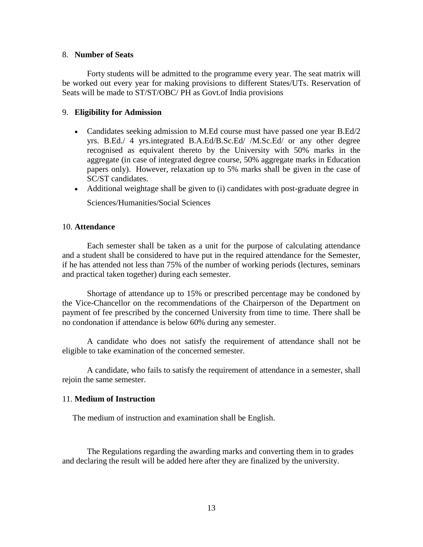#### 8. **Number of Seats**

Forty students will be admitted to the programme every year. The seat matrix will be worked out every year for making provisions to different States/UTs. Reservation of Seats will be made to ST/ST/OBC/ PH as Govt.of India provisions

### 9. **Eligibility for Admission**

- Candidates seeking admission to M.Ed course must have passed one year B.Ed/2 yrs. B.Ed./ 4 yrs.integrated B.A.Ed/B.Sc.Ed/ /M.Sc.Ed/ or any other degree recognised as equivalent thereto by the University with 50% marks in the aggregate (in case of integrated degree course, 50% aggregate marks in Education papers only). However, relaxation up to 5% marks shall be given in the case of SC/ST candidates.
- Additional weightage shall be given to (i) candidates with post-graduate degree in

Sciences/Humanities/Social Sciences

### 10. **Attendance**

Each semester shall be taken as a unit for the purpose of calculating attendance and a student shall be considered to have put in the required attendance for the Semester, if he has attended not less than 75% of the number of working periods (lectures, seminars and practical taken together) during each semester.

Shortage of attendance up to 15% or prescribed percentage may be condoned by the Vice-Chancellor on the recommendations of the Chairperson of the Department on payment of fee prescribed by the concerned University from time to time. There shall be no condonation if attendance is below 60% during any semester.

A candidate who does not satisfy the requirement of attendance shall not be eligible to take examination of the concerned semester.

A candidate, who fails to satisfy the requirement of attendance in a semester, shall rejoin the same semester.

#### 11. **Medium of Instruction**

The medium of instruction and examination shall be English.

The Regulations regarding the awarding marks and converting them in to grades and declaring the result will be added here after they are finalized by the university.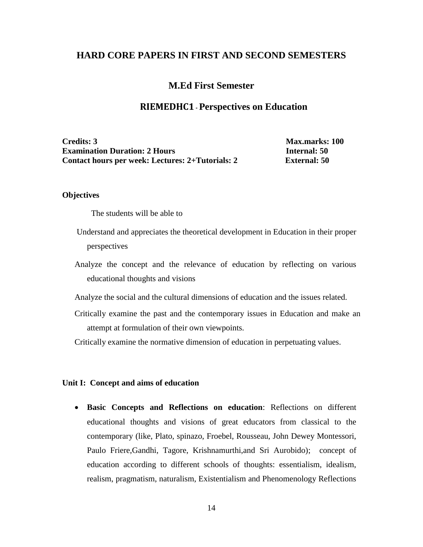### **HARD CORE PAPERS IN FIRST AND SECOND SEMESTERS**

### **M.Ed First Semester**

### **RIEMEDHC1-Perspectives on Education**

**Credits: 3 Max.marks: 100 Examination Duration: 2 Hours Internal: 50 Contact hours per week: Lectures: 2+Tutorials: 2 External: 50**

#### **Objectives**

The students will be able to

- Understand and appreciates the theoretical development in Education in their proper perspectives
- Analyze the concept and the relevance of education by reflecting on various educational thoughts and visions

Analyze the social and the cultural dimensions of education and the issues related.

Critically examine the past and the contemporary issues in Education and make an attempt at formulation of their own viewpoints.

Critically examine the normative dimension of education in perpetuating values.

### **Unit I: Concept and aims of education**

 **Basic Concepts and Reflections on education**: Reflections on different educational thoughts and visions of great educators from classical to the contemporary (like, Plato, spinazo, Froebel, Rousseau, John Dewey Montessori, Paulo Friere,Gandhi, Tagore, Krishnamurthi,and Sri Aurobido); concept of education according to different schools of thoughts: essentialism, idealism, realism, pragmatism, naturalism, Existentialism and Phenomenology Reflections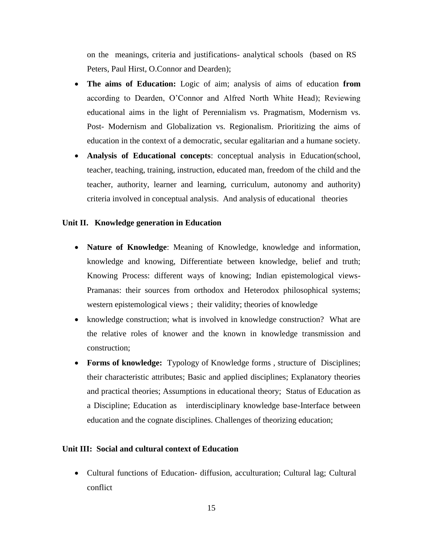on the meanings, criteria and justifications- analytical schools (based on RS Peters, Paul Hirst, O.Connor and Dearden);

- **The aims of Education:** Logic of aim; analysis of aims of education **from** according to Dearden, O'Connor and Alfred North White Head); Reviewing educational aims in the light of Perennialism vs. Pragmatism, Modernism vs. Post- Modernism and Globalization vs. Regionalism. Prioritizing the aims of education in the context of a democratic, secular egalitarian and a humane society.
- **Analysis of Educational concepts**: conceptual analysis in Education(school, teacher, teaching, training, instruction, educated man, freedom of the child and the teacher, authority, learner and learning, curriculum, autonomy and authority) criteria involved in conceptual analysis. And analysis of educational theories

### **Unit II. Knowledge generation in Education**

- **Nature of Knowledge**: Meaning of Knowledge, knowledge and information, knowledge and knowing, Differentiate between knowledge, belief and truth; Knowing Process: different ways of knowing; Indian epistemological views-Pramanas: their sources from orthodox and Heterodox philosophical systems; western epistemological views ; their validity; theories of knowledge
- knowledge construction; what is involved in knowledge construction? What are the relative roles of knower and the known in knowledge transmission and construction;
- **Forms of knowledge:** Typology of Knowledge forms , structure of Disciplines; their characteristic attributes; Basic and applied disciplines; Explanatory theories and practical theories; Assumptions in educational theory; Status of Education as a Discipline; Education as interdisciplinary knowledge base-Interface between education and the cognate disciplines. Challenges of theorizing education;

### **Unit III: Social and cultural context of Education**

 Cultural functions of Education- diffusion, acculturation; Cultural lag; Cultural conflict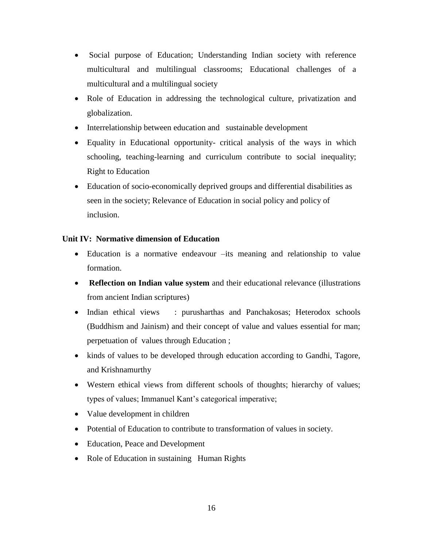- Social purpose of Education; Understanding Indian society with reference multicultural and multilingual classrooms; Educational challenges of a multicultural and a multilingual society
- Role of Education in addressing the technological culture, privatization and globalization.
- Interrelationship between education and sustainable development
- Equality in Educational opportunity- critical analysis of the ways in which schooling, teaching-learning and curriculum contribute to social inequality; Right to Education
- Education of socio-economically deprived groups and differential disabilities as seen in the society; Relevance of Education in social policy and policy of inclusion.

# **Unit IV: Normative dimension of Education**

- Education is a normative endeavour –its meaning and relationship to value formation.
- **Reflection on Indian value system** and their educational relevance (illustrations from ancient Indian scriptures)
- Indian ethical views : purusharthas and Panchakosas; Heterodox schools (Buddhism and Jainism) and their concept of value and values essential for man; perpetuation of values through Education ;
- kinds of values to be developed through education according to Gandhi, Tagore, and Krishnamurthy
- Western ethical views from different schools of thoughts; hierarchy of values; types of values; Immanuel Kant's categorical imperative;
- Value development in children
- Potential of Education to contribute to transformation of values in society.
- Education, Peace and Development
- Role of Education in sustaining Human Rights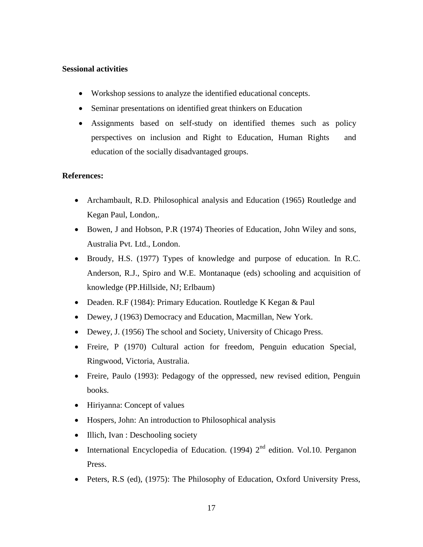### **Sessional activities**

- Workshop sessions to analyze the identified educational concepts.
- Seminar presentations on identified great thinkers on Education
- Assignments based on self-study on identified themes such as policy perspectives on inclusion and Right to Education, Human Rights and education of the socially disadvantaged groups.

# **References:**

- Archambault, R.D. Philosophical analysis and Education (1965) Routledge and Kegan Paul, London,.
- Bowen, J and Hobson, P.R (1974) Theories of Education, John Wiley and sons, Australia Pvt. Ltd., London.
- Broudy, H.S. (1977) Types of knowledge and purpose of education. In R.C. Anderson, R.J., Spiro and W.E. Montanaque (eds) schooling and acquisition of knowledge (PP.Hillside, NJ; Erlbaum)
- Deaden. R.F (1984): Primary Education. Routledge K Kegan & Paul
- Dewey, J (1963) Democracy and Education, Macmillan, New York.
- Dewey, J. (1956) The school and Society, University of Chicago Press.
- Freire, P (1970) Cultural action for freedom, Penguin education Special, Ringwood, Victoria, Australia.
- Freire, Paulo (1993): Pedagogy of the oppressed, new revised edition, Penguin books.
- Hiriyanna: Concept of values
- Hospers, John: An introduction to Philosophical analysis
- Illich, Ivan : Deschooling society
- International Encyclopedia of Education. (1994)  $2<sup>nd</sup>$  edition. Vol.10. Perganon Press.
- Peters, R.S (ed), (1975): The Philosophy of Education, Oxford University Press,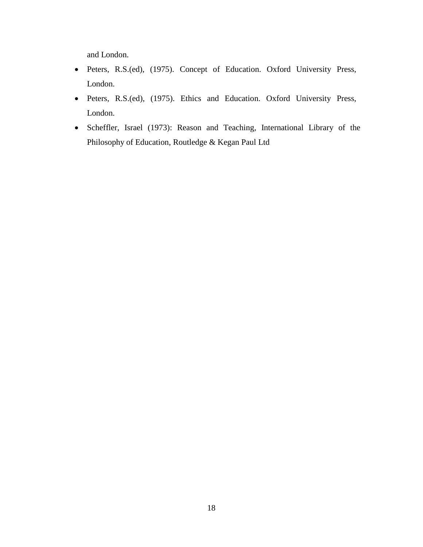and London.

- Peters, R.S.(ed), (1975). Concept of Education. Oxford University Press, London.
- Peters, R.S.(ed), (1975). Ethics and Education. Oxford University Press, London.
- Scheffler, Israel (1973): Reason and Teaching, International Library of the Philosophy of Education, Routledge & Kegan Paul Ltd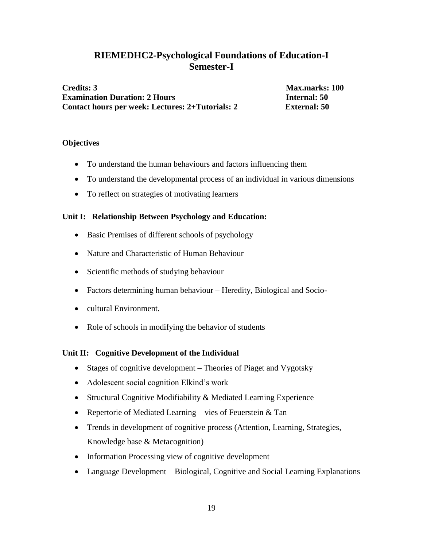# **RIEMEDHC2-Psychological Foundations of Education-I Semester-I**

**Credits: 3 Max.marks: 100 Examination Duration: 2 Hours Internal: 50 Contact hours per week: Lectures: 2+Tutorials: 2 External: 50**

### **Objectives**

- To understand the human behaviours and factors influencing them
- To understand the developmental process of an individual in various dimensions
- To reflect on strategies of motivating learners

### **Unit I: Relationship Between Psychology and Education:**

- Basic Premises of different schools of psychology
- Nature and Characteristic of Human Behaviour
- Scientific methods of studying behaviour
- Factors determining human behaviour Heredity, Biological and Socio-
- cultural Environment.
- Role of schools in modifying the behavior of students

# **Unit II: Cognitive Development of the Individual**

- Stages of cognitive development Theories of Piaget and Vygotsky
- Adolescent social cognition Elkind's work
- Structural Cognitive Modifiability & Mediated Learning Experience
- Repertorie of Mediated Learning vies of Feuerstein  $&$  Tan
- Trends in development of cognitive process (Attention, Learning, Strategies, Knowledge base & Metacognition)
- Information Processing view of cognitive development
- Language Development Biological, Cognitive and Social Learning Explanations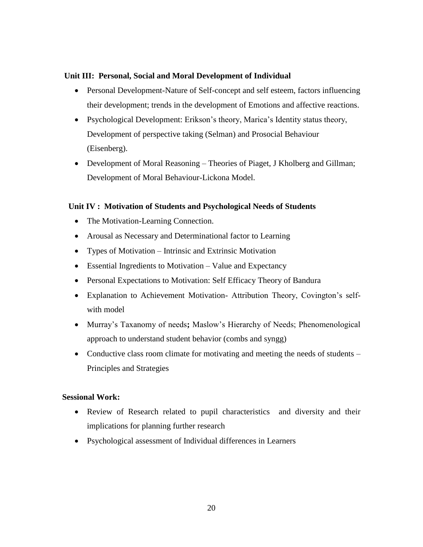### **Unit III: Personal, Social and Moral Development of Individual**

- Personal Development-Nature of Self-concept and self esteem, factors influencing their development; trends in the development of Emotions and affective reactions.
- Psychological Development: Erikson's theory, Marica's Identity status theory, Development of perspective taking (Selman) and Prosocial Behaviour (Eisenberg).
- Development of Moral Reasoning Theories of Piaget, J Kholberg and Gillman; Development of Moral Behaviour-Lickona Model.

### **Unit IV : Motivation of Students and Psychological Needs of Students**

- The Motivation-Learning Connection.
- Arousal as Necessary and Determinational factor to Learning
- Types of Motivation Intrinsic and Extrinsic Motivation
- Essential Ingredients to Motivation Value and Expectancy
- Personal Expectations to Motivation: Self Efficacy Theory of Bandura
- Explanation to Achievement Motivation- Attribution Theory, Covington's selfwith model
- Murray's Taxanomy of needs**;** Maslow's Hierarchy of Needs; Phenomenological approach to understand student behavior (combs and syngg)
- Conductive class room climate for motivating and meeting the needs of students Principles and Strategies

# **Sessional Work:**

- Review of Research related to pupil characteristics and diversity and their implications for planning further research
- Psychological assessment of Individual differences in Learners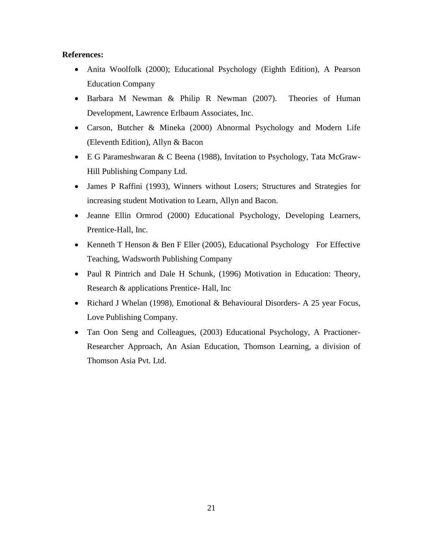### **References:**

- Anita Woolfolk (2000); Educational Psychology (Eighth Edition), A Pearson Education Company
- Barbara M Newman & Philip R Newman (2007). Theories of Human Development, Lawrence Erlbaum Associates, Inc.
- Carson, Butcher & Mineka (2000) Abnormal Psychology and Modern Life (Eleventh Edition), Allyn & Bacon
- E G Parameshwaran & C Beena (1988), Invitation to Psychology, Tata McGraw-Hill Publishing Company Ltd.
- James P Raffini (1993), Winners without Losers; Structures and Strategies for increasing student Motivation to Learn, Allyn and Bacon.
- Jeanne Ellin Ormrod (2000) Educational Psychology, Developing Learners, Prentice-Hall, Inc.
- Kenneth T Henson & Ben F Eller (2005), Educational Psychology For Effective Teaching, Wadsworth Publishing Company
- Paul R Pintrich and Dale H Schunk, (1996) Motivation in Education: Theory, Research & applications Prentice- Hall, Inc
- Richard J Whelan (1998), Emotional & Behavioural Disorders- A 25 year Focus, Love Publishing Company.
- Tan Oon Seng and Colleagues, (2003) Educational Psychology, A Practioner-Researcher Approach, An Asian Education, Thomson Learning, a division of Thomson Asia Pvt. Ltd.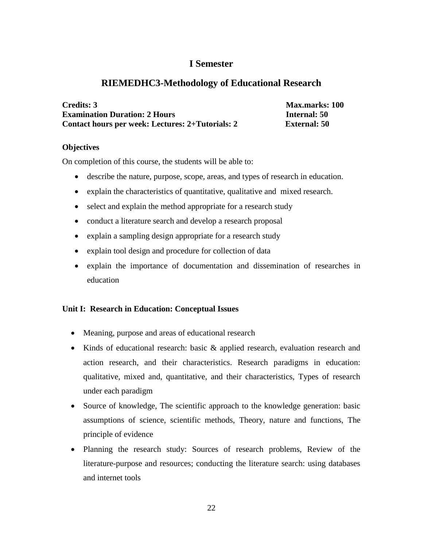# **I Semester**

# **RIEMEDHC3-Methodology of Educational Research**

| Credits: 3                                       | <b>Max.marks: 100</b> |
|--------------------------------------------------|-----------------------|
| <b>Examination Duration: 2 Hours</b>             | <b>Internal: 50</b>   |
| Contact hours per week: Lectures: 2+Tutorials: 2 | <b>External: 50</b>   |

### **Objectives**

On completion of this course, the students will be able to:

- describe the nature, purpose, scope, areas, and types of research in education.
- explain the characteristics of quantitative, qualitative and mixed research.
- select and explain the method appropriate for a research study
- conduct a literature search and develop a research proposal
- explain a sampling design appropriate for a research study
- explain tool design and procedure for collection of data
- explain the importance of documentation and dissemination of researches in education

# **Unit I: Research in Education: Conceptual Issues**

- Meaning, purpose and areas of educational research
- Kinds of educational research: basic & applied research, evaluation research and action research, and their characteristics. Research paradigms in education: qualitative, mixed and, quantitative, and their characteristics, Types of research under each paradigm
- Source of knowledge, The scientific approach to the knowledge generation: basic assumptions of science, scientific methods, Theory, nature and functions, The principle of evidence
- Planning the research study: Sources of research problems, Review of the literature-purpose and resources; conducting the literature search: using databases and internet tools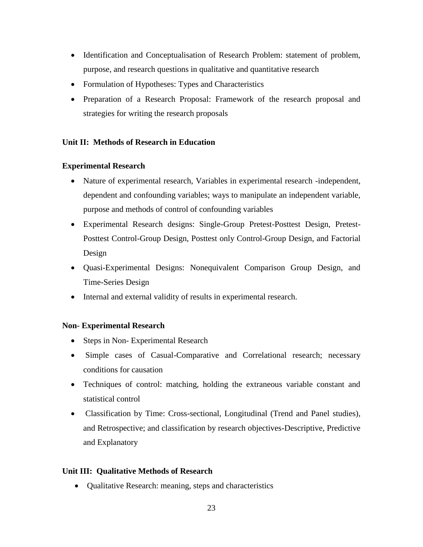- Identification and Conceptualisation of Research Problem: statement of problem, purpose, and research questions in qualitative and quantitative research
- Formulation of Hypotheses: Types and Characteristics
- Preparation of a Research Proposal: Framework of the research proposal and strategies for writing the research proposals

# **Unit II: Methods of Research in Education**

# **Experimental Research**

- Nature of experimental research, Variables in experimental research -independent, dependent and confounding variables; ways to manipulate an independent variable, purpose and methods of control of confounding variables
- Experimental Research designs: Single-Group Pretest-Posttest Design, Pretest-Posttest Control-Group Design, Posttest only Control-Group Design, and Factorial Design
- Quasi-Experimental Designs: Nonequivalent Comparison Group Design, and Time-Series Design
- Internal and external validity of results in experimental research.

# **Non- Experimental Research**

- Steps in Non-Experimental Research
- Simple cases of Casual-Comparative and Correlational research; necessary conditions for causation
- Techniques of control: matching, holding the extraneous variable constant and statistical control
- Classification by Time: Cross-sectional, Longitudinal (Trend and Panel studies), and Retrospective; and classification by research objectives-Descriptive, Predictive and Explanatory

# **Unit III: Qualitative Methods of Research**

Qualitative Research: meaning, steps and characteristics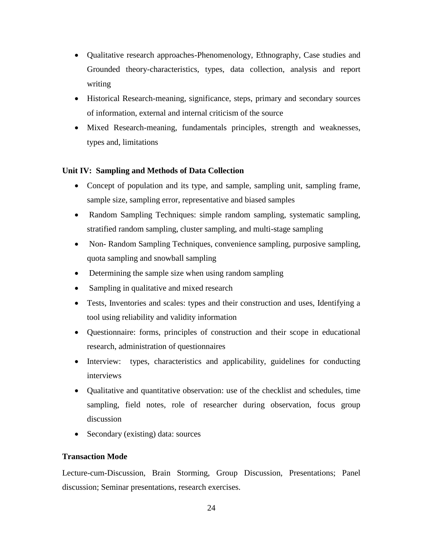- Qualitative research approaches-Phenomenology, Ethnography, Case studies and Grounded theory-characteristics, types, data collection, analysis and report writing
- Historical Research-meaning, significance, steps, primary and secondary sources of information, external and internal criticism of the source
- Mixed Research-meaning, fundamentals principles, strength and weaknesses, types and, limitations

# **Unit IV: Sampling and Methods of Data Collection**

- Concept of population and its type, and sample, sampling unit, sampling frame, sample size, sampling error, representative and biased samples
- Random Sampling Techniques: simple random sampling, systematic sampling, stratified random sampling, cluster sampling, and multi-stage sampling
- Non- Random Sampling Techniques, convenience sampling, purposive sampling, quota sampling and snowball sampling
- Determining the sample size when using random sampling
- Sampling in qualitative and mixed research
- Tests, Inventories and scales: types and their construction and uses, Identifying a tool using reliability and validity information
- Questionnaire: forms, principles of construction and their scope in educational research, administration of questionnaires
- Interview: types, characteristics and applicability, guidelines for conducting interviews
- Qualitative and quantitative observation: use of the checklist and schedules, time sampling, field notes, role of researcher during observation, focus group discussion
- Secondary (existing) data: sources

# **Transaction Mode**

Lecture-cum-Discussion, Brain Storming, Group Discussion, Presentations; Panel discussion; Seminar presentations, research exercises.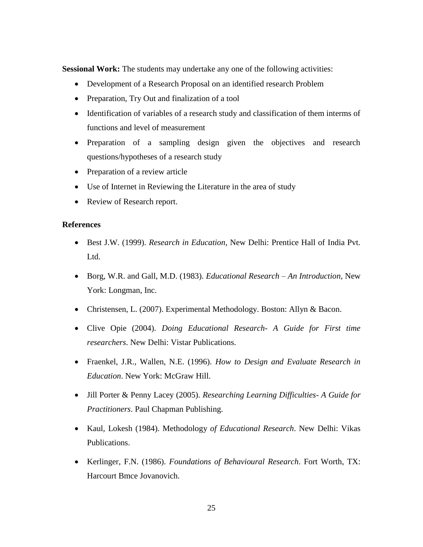**Sessional Work:** The students may undertake any one of the following activities:

- Development of a Research Proposal on an identified research Problem
- Preparation, Try Out and finalization of a tool
- Identification of variables of a research study and classification of them interms of functions and level of measurement
- Preparation of a sampling design given the objectives and research questions/hypotheses of a research study
- Preparation of a review article
- Use of Internet in Reviewing the Literature in the area of study
- Review of Research report.

### **References**

- Best J.W. (1999). *Research in Education*, New Delhi: Prentice Hall of India Pvt. Ltd.
- Borg, W.R. and Gall, M.D. (1983). *Educational Research – An Introduction,* New York: Longman, Inc.
- Christensen, L. (2007). Experimental Methodology. Boston: Allyn & Bacon.
- Clive Opie (2004). *Doing Educational Research- A Guide for First time researchers*. New Delhi: Vistar Publications.
- Fraenkel, J.R., Wallen, N.E. (1996). *How to Design and Evaluate Research in Education*. New York: McGraw Hill.
- Jill Porter & Penny Lacey (2005). *Researching Learning Difficulties- A Guide for Practitioners*. Paul Chapman Publishing.
- Kaul, Lokesh (1984). Methodology *of Educational Research*. New Delhi: Vikas Publications.
- Kerlinger, F.N. (1986). *Foundations of Behavioural Research*. Fort Worth, TX: Harcourt Bmce Jovanovich.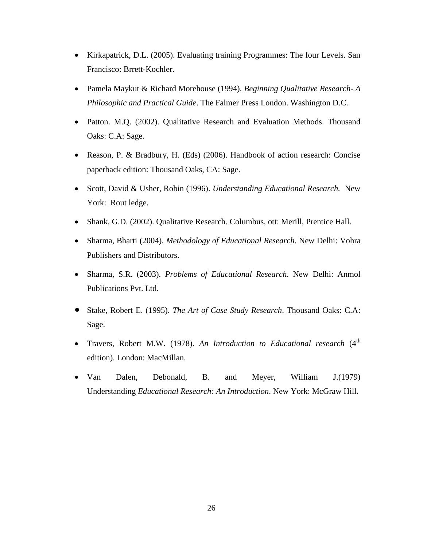- Kirkapatrick, D.L. (2005). Evaluating training Programmes: The four Levels. San Francisco: Brrett-Kochler.
- Pamela Maykut & Richard Morehouse (1994). *Beginning Qualitative Research- A Philosophic and Practical Guide*. The Falmer Press London. Washington D.C.
- Patton. M.Q. (2002). Qualitative Research and Evaluation Methods. Thousand Oaks: C.A: Sage.
- Reason, P. & Bradbury, H. (Eds) (2006). Handbook of action research: Concise paperback edition: Thousand Oaks, CA: Sage.
- Scott, David & Usher, Robin (1996). *Understanding Educational Research.* New York: Rout ledge.
- Shank, G.D. (2002). Qualitative Research. Columbus, ott: Merill, Prentice Hall.
- Sharma, Bharti (2004). *Methodology of Educational Research*. New Delhi: Vohra Publishers and Distributors.
- Sharma, S.R. (2003). *Problems of Educational Research*. New Delhi: Anmol Publications Pvt. Ltd.
- Stake, Robert E. (1995). *The Art of Case Study Research*. Thousand Oaks: C.A: Sage.
- Travers, Robert M.W. (1978). An Introduction to Educational research (4<sup>th</sup>) edition). London: MacMillan.
- Van Dalen, Debonald, B. and Meyer, William J.(1979) Understanding *Educational Research: An Introduction*. New York: McGraw Hill.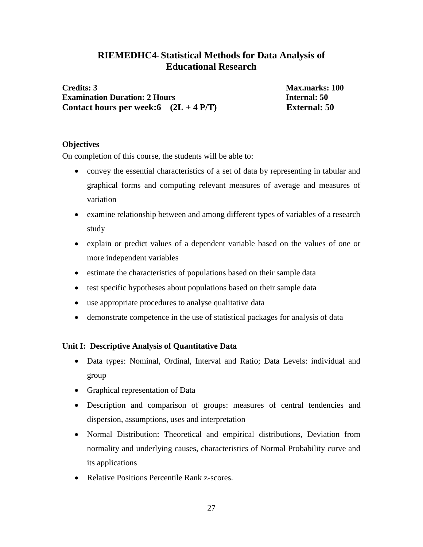# **RIEMEDHC4**- **Statistical Methods for Data Analysis of Educational Research**

**Credits: 3 Max.marks: 100 Examination Duration: 2 Hours Internal: 50 Contact hours per week:6 (2L + 4 P/T) External: 50**

### **Objectives**

On completion of this course, the students will be able to:

- convey the essential characteristics of a set of data by representing in tabular and graphical forms and computing relevant measures of average and measures of variation
- examine relationship between and among different types of variables of a research study
- explain or predict values of a dependent variable based on the values of one or more independent variables
- estimate the characteristics of populations based on their sample data
- test specific hypotheses about populations based on their sample data
- use appropriate procedures to analyse qualitative data
- demonstrate competence in the use of statistical packages for analysis of data

# **Unit I: Descriptive Analysis of Quantitative Data**

- Data types: Nominal, Ordinal, Interval and Ratio; Data Levels: individual and group
- Graphical representation of Data
- Description and comparison of groups: measures of central tendencies and dispersion, assumptions, uses and interpretation
- Normal Distribution: Theoretical and empirical distributions, Deviation from normality and underlying causes, characteristics of Normal Probability curve and its applications
- Relative Positions Percentile Rank z-scores.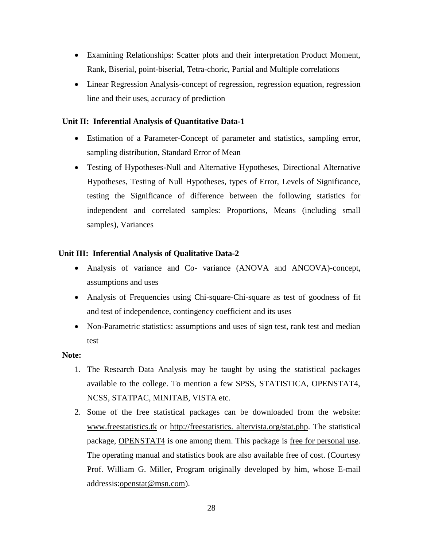- Examining Relationships: Scatter plots and their interpretation Product Moment, Rank, Biserial, point-biserial, Tetra-choric, Partial and Multiple correlations
- Linear Regression Analysis-concept of regression, regression equation, regression line and their uses, accuracy of prediction

### **Unit II: Inferential Analysis of Quantitative Data-1**

- Estimation of a Parameter-Concept of parameter and statistics, sampling error, sampling distribution, Standard Error of Mean
- Testing of Hypotheses-Null and Alternative Hypotheses, Directional Alternative Hypotheses, Testing of Null Hypotheses, types of Error, Levels of Significance, testing the Significance of difference between the following statistics for independent and correlated samples: Proportions, Means (including small samples), Variances

### **Unit III: Inferential Analysis of Qualitative Data-2**

- Analysis of variance and Co- variance (ANOVA and ANCOVA)-concept, assumptions and uses
- Analysis of Frequencies using Chi-square-Chi-square as test of goodness of fit and test of independence, contingency coefficient and its uses
- Non-Parametric statistics: assumptions and uses of sign test, rank test and median test

### **Note:**

- 1. The Research Data Analysis may be taught by using the statistical packages available to the college. To mention a few SPSS, STATISTICA, OPENSTAT4, NCSS, STATPAC, MINITAB, VISTA etc.
- 2. Some of the free statistical packages can be downloaded from the website: [www.freestatistics.tk](http://www.freestatistics.tk/) or http://freestatistics. altervista.org/stat.php. The statistical package, OPENSTAT4 is one among them. This package is free for personal use. The operating manual and statistics book are also available free of cost. (Courtesy Prof. William G. Miller, Program originally developed by him, whose E-mail [addressis:openstat@msn.com\).](mailto:addressis:openstat@msn.com.)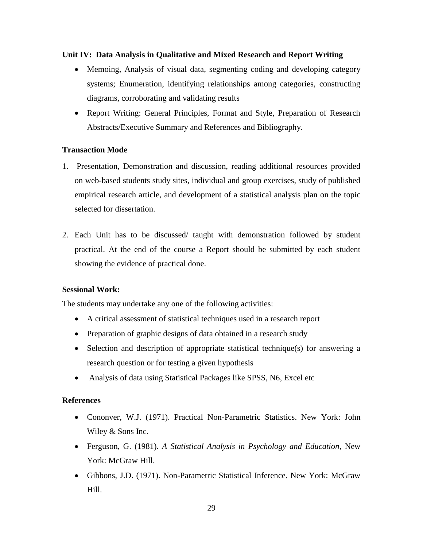### **Unit IV: Data Analysis in Qualitative and Mixed Research and Report Writing**

- Memoing, Analysis of visual data, segmenting coding and developing category systems; Enumeration, identifying relationships among categories, constructing diagrams, corroborating and validating results
- Report Writing: General Principles, Format and Style, Preparation of Research Abstracts/Executive Summary and References and Bibliography.

### **Transaction Mode**

- 1. Presentation, Demonstration and discussion, reading additional resources provided on web-based students study sites, individual and group exercises, study of published empirical research article, and development of a statistical analysis plan on the topic selected for dissertation.
- 2. Each Unit has to be discussed/ taught with demonstration followed by student practical. At the end of the course a Report should be submitted by each student showing the evidence of practical done.

### **Sessional Work:**

The students may undertake any one of the following activities:

- A critical assessment of statistical techniques used in a research report
- Preparation of graphic designs of data obtained in a research study
- Selection and description of appropriate statistical technique(s) for answering a research question or for testing a given hypothesis
- Analysis of data using Statistical Packages like SPSS, N6, Excel etc

# **References**

- Cononver, W.J. (1971). Practical Non-Parametric Statistics. New York: John Wiley & Sons Inc.
- Ferguson, G. (1981). *A Statistical Analysis in Psychology and Education*, New York: McGraw Hill.
- Gibbons, J.D. (1971). Non-Parametric Statistical Inference. New York: McGraw Hill.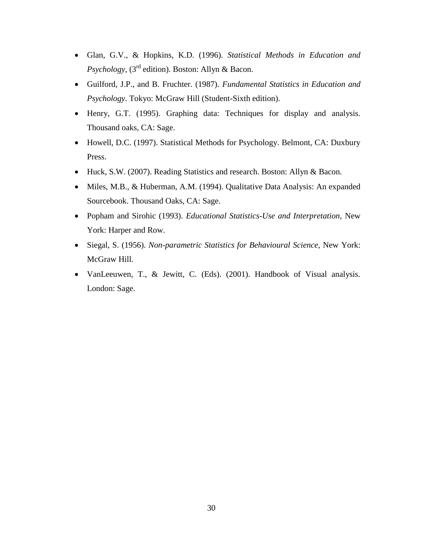- Glan, G.V., & Hopkins, K.D. (1996). *Statistical Methods in Education and Psychology*, (3<sup>rd</sup> edition). Boston: Allyn & Bacon.
- Guilford, J.P., and B. Fruchter. (1987). *Fundamental Statistics in Education and Psychology*. Tokyo: McGraw Hill (Student-Sixth edition).
- Henry, G.T. (1995). Graphing data: Techniques for display and analysis. Thousand oaks, CA: Sage.
- Howell, D.C. (1997). Statistical Methods for Psychology. Belmont, CA: Duxbury Press.
- Huck, S.W. (2007). Reading Statistics and research. Boston: Allyn & Bacon.
- Miles, M.B., & Huberman, A.M. (1994). Qualitative Data Analysis: An expanded Sourcebook. Thousand Oaks, CA: Sage.
- Popham and Sirohic (1993). *Educational Statistics-Use and Interpretation*, New York: Harper and Row.
- Siegal, S. (1956). *Non-parametric Statistics for Behavioural Science,* New York: McGraw Hill.
- VanLeeuwen, T., & Jewitt, C. (Eds). (2001). Handbook of Visual analysis. London: Sage.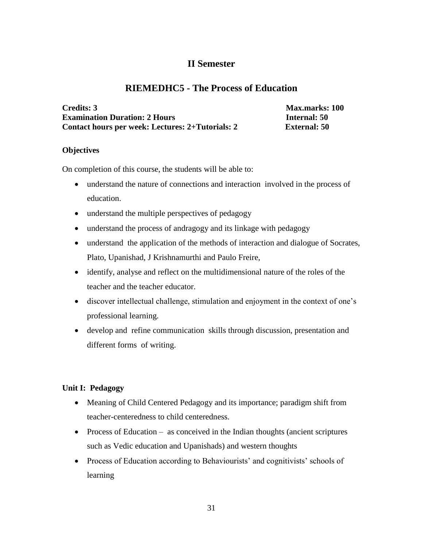# **II Semester**

# **RIEMEDHC5 - The Process of Education**

| <b>Credits: 3</b>                                |
|--------------------------------------------------|
| <b>Examination Duration: 2 Hours</b>             |
| Contact hours per week: Lectures: 2+Tutorials: 2 |

**Credits: 3 Max.marks: 100 Example 150 External: 50** 

### **Objectives**

On completion of this course, the students will be able to:

- understand the nature of connections and interaction involved in the process of education.
- understand the multiple perspectives of pedagogy
- understand the process of andragogy and its linkage with pedagogy
- understand the application of the methods of interaction and dialogue of Socrates, Plato, Upanishad, J Krishnamurthi and Paulo Freire,
- identify, analyse and reflect on the multidimensional nature of the roles of the teacher and the teacher educator.
- discover intellectual challenge, stimulation and enjoyment in the context of one's professional learning.
- develop and refine communication skills through discussion, presentation and different forms of writing.

# **Unit I: Pedagogy**

- Meaning of Child Centered Pedagogy and its importance; paradigm shift from teacher-centeredness to child centeredness.
- Process of Education as conceived in the Indian thoughts (ancient scriptures such as Vedic education and Upanishads) and western thoughts
- Process of Education according to Behaviourists' and cognitivists' schools of learning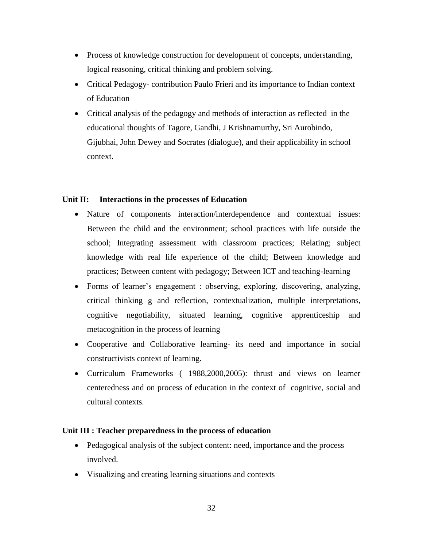- Process of knowledge construction for development of concepts, understanding, logical reasoning, critical thinking and problem solving.
- Critical Pedagogy- contribution Paulo Frieri and its importance to Indian context of Education
- Critical analysis of the pedagogy and methods of interaction as reflected in the educational thoughts of Tagore, Gandhi, J Krishnamurthy, Sri Aurobindo, Gijubhai, John Dewey and Socrates (dialogue), and their applicability in school context.

### **Unit II: Interactions in the processes of Education**

- Nature of components interaction/interdependence and contextual issues: Between the child and the environment; school practices with life outside the school; Integrating assessment with classroom practices; Relating; subject knowledge with real life experience of the child; Between knowledge and practices; Between content with pedagogy; Between ICT and teaching-learning
- Forms of learner's engagement : observing, exploring, discovering, analyzing, critical thinking g and reflection, contextualization, multiple interpretations, cognitive negotiability, situated learning, cognitive apprenticeship and metacognition in the process of learning
- Cooperative and Collaborative learning- its need and importance in social constructivists context of learning.
- Curriculum Frameworks ( 1988,2000,2005): thrust and views on learner centeredness and on process of education in the context of cognitive, social and cultural contexts.

### **Unit III : Teacher preparedness in the process of education**

- Pedagogical analysis of the subject content: need, importance and the process involved.
- Visualizing and creating learning situations and contexts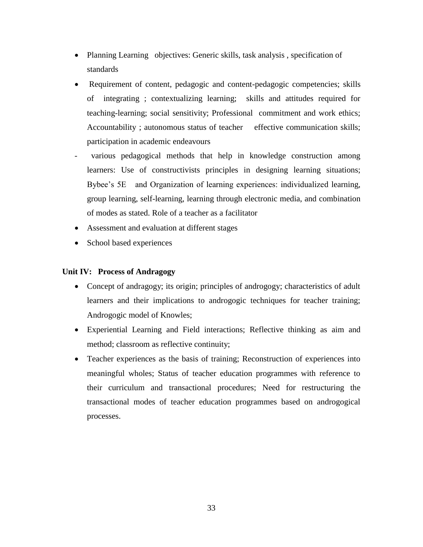- Planning Learning objectives: Generic skills, task analysis, specification of standards
- Requirement of content, pedagogic and content-pedagogic competencies; skills of integrating ; contextualizing learning; skills and attitudes required for teaching-learning; social sensitivity; Professional commitment and work ethics; Accountability ; autonomous status of teacher effective communication skills; participation in academic endeavours
- various pedagogical methods that help in knowledge construction among learners: Use of constructivists principles in designing learning situations; Bybee's 5E and Organization of learning experiences: individualized learning, group learning, self-learning, learning through electronic media, and combination of modes as stated. Role of a teacher as a facilitator
- Assessment and evaluation at different stages
- School based experiences

# **Unit IV: Process of Andragogy**

- Concept of andragogy; its origin; principles of androgogy; characteristics of adult learners and their implications to androgogic techniques for teacher training; Androgogic model of Knowles;
- Experiential Learning and Field interactions; Reflective thinking as aim and method; classroom as reflective continuity;
- Teacher experiences as the basis of training; Reconstruction of experiences into meaningful wholes; Status of teacher education programmes with reference to their curriculum and transactional procedures; Need for restructuring the transactional modes of teacher education programmes based on androgogical processes.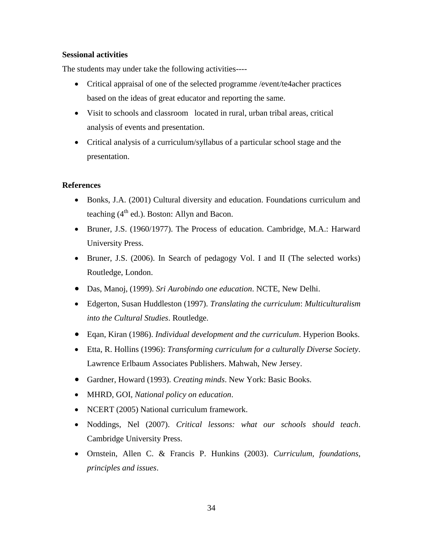### **Sessional activities**

The students may under take the following activities----

- Critical appraisal of one of the selected programme /event/te4acher practices based on the ideas of great educator and reporting the same.
- Visit to schools and classroom located in rural, urban tribal areas, critical analysis of events and presentation.
- Critical analysis of a curriculum/syllabus of a particular school stage and the presentation.

### **References**

- Bonks, J.A. (2001) Cultural diversity and education. Foundations curriculum and teaching  $(4<sup>th</sup>$  ed.). Boston: Allyn and Bacon.
- Bruner, J.S. (1960/1977). The Process of education. Cambridge, M.A.: Harward University Press.
- Bruner, J.S. (2006). In Search of pedagogy Vol. I and II (The selected works) Routledge, London.
- Das, Manoj, (1999). *Sri Aurobindo one education*. NCTE, New Delhi.
- Edgerton, Susan Huddleston (1997). *Translating the curriculum*: *Multiculturalism into the Cultural Studies*. Routledge.
- Eqan, Kiran (1986). *Individual development and the curriculum*. Hyperion Books.
- Etta, R. Hollins (1996): *Transforming curriculum for a culturally Diverse Society*. Lawrence Erlbaum Associates Publishers. Mahwah, New Jersey.
- Gardner, Howard (1993). *Creating minds*. New York: Basic Books.
- MHRD, GOI, *National policy on education*.
- NCERT (2005) National curriculum framework.
- Noddings, Nel (2007). *Critical lessons: what our schools should teach*. Cambridge University Press.
- Ornstein, Allen C. & Francis P. Hunkins (2003). *Curriculum, foundations, principles and issues*.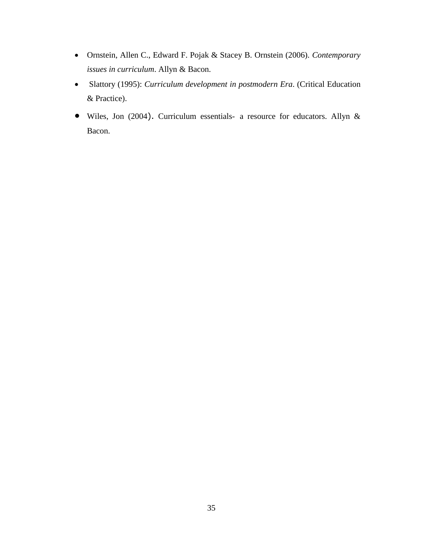- Ornstein, Allen C., Edward F. Pojak & Stacey B. Ornstein (2006). *Contemporary issues in curriculum*. Allyn & Bacon.
- Slattory (1995): *Curriculum development in postmodern Era*. (Critical Education & Practice).
- Wiles, Jon (2004). Curriculum essentials- a resource for educators. Allyn & Bacon.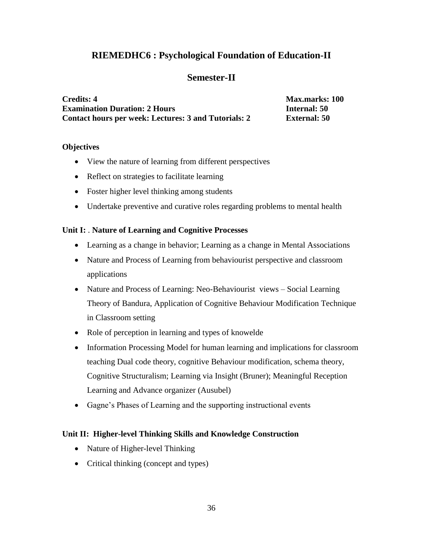# **RIEMEDHC6 : Psychological Foundation of Education-II**

# **Semester-II**

**Credits: 4 Max.marks: 100 Examination Duration: 2 Hours Internal: 50 Contact hours per week: Lectures: 3 and Tutorials: 2 External: 50**

### **Objectives**

- View the nature of learning from different perspectives
- Reflect on strategies to facilitate learning
- Foster higher level thinking among students
- Undertake preventive and curative roles regarding problems to mental health

# **Unit I:** . **Nature of Learning and Cognitive Processes**

- Learning as a change in behavior; Learning as a change in Mental Associations
- Nature and Process of Learning from behaviourist perspective and classroom applications
- Nature and Process of Learning: Neo-Behaviourist views Social Learning Theory of Bandura, Application of Cognitive Behaviour Modification Technique in Classroom setting
- Role of perception in learning and types of knowelde
- Information Processing Model for human learning and implications for classroom teaching Dual code theory, cognitive Behaviour modification, schema theory, Cognitive Structuralism; Learning via Insight (Bruner); Meaningful Reception Learning and Advance organizer (Ausubel)
- Gagne's Phases of Learning and the supporting instructional events

# **Unit II: Higher-level Thinking Skills and Knowledge Construction**

- Nature of Higher-level Thinking
- Critical thinking (concept and types)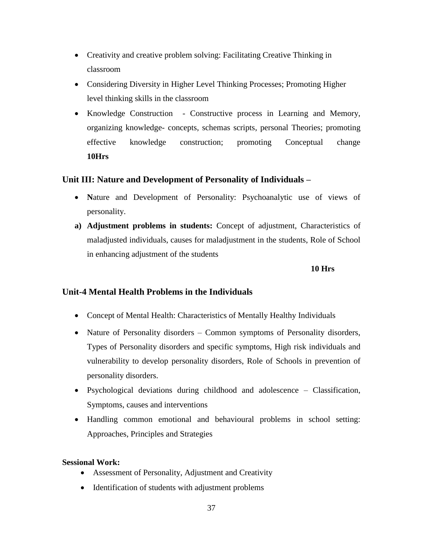- Creativity and creative problem solving: Facilitating Creative Thinking in classroom
- Considering Diversity in Higher Level Thinking Processes; Promoting Higher level thinking skills in the classroom
- Knowledge Construction Constructive process in Learning and Memory, organizing knowledge- concepts, schemas scripts, personal Theories; promoting effective knowledge construction; promoting Conceptual change **10Hrs**

#### **Unit III: Nature and Development of Personality of Individuals –**

- Nature and Development of Personality: Psychoanalytic use of views of personality.
- **a) Adjustment problems in students:** Concept of adjustment, Characteristics of maladjusted individuals, causes for maladjustment in the students, Role of School in enhancing adjustment of the students

#### **10 Hrs**

#### **Unit-4 Mental Health Problems in the Individuals**

- Concept of Mental Health: Characteristics of Mentally Healthy Individuals
- Nature of Personality disorders Common symptoms of Personality disorders, Types of Personality disorders and specific symptoms, High risk individuals and vulnerability to develop personality disorders, Role of Schools in prevention of personality disorders.
- Psychological deviations during childhood and adolescence Classification, Symptoms, causes and interventions
- Handling common emotional and behavioural problems in school setting: Approaches, Principles and Strategies

#### **Sessional Work:**

- Assessment of Personality, Adjustment and Creativity
- Identification of students with adjustment problems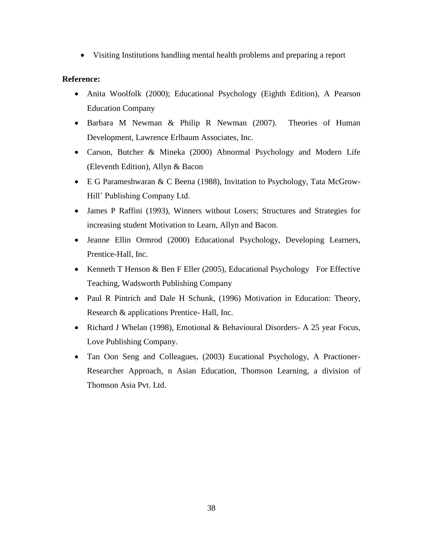Visiting Institutions handling mental health problems and preparing a report

#### **Reference:**

- Anita Woolfolk (2000); Educational Psychology (Eighth Edition), A Pearson Education Company
- Barbara M Newman & Philip R Newman (2007). Theories of Human Development, Lawrence Erlbaum Associates, Inc.
- Carson, Butcher & Mineka (2000) Abnormal Psychology and Modern Life (Eleventh Edition), Allyn & Bacon
- E G Parameshwaran & C Beena (1988), Invitation to Psychology, Tata McGrow-Hill' Publishing Company Ltd.
- James P Raffini (1993), Winners without Losers; Structures and Strategies for increasing student Motivation to Learn, Allyn and Bacon.
- Jeanne Ellin Ormrod (2000) Educational Psychology, Developing Learners, Prentice-Hall, Inc.
- Kenneth T Henson & Ben F Eller (2005), Educational Psychology For Effective Teaching, Wadsworth Publishing Company
- Paul R Pintrich and Dale H Schunk, (1996) Motivation in Education: Theory, Research & applications Prentice- Hall, Inc.
- Richard J Whelan (1998), Emotional & Behavioural Disorders- A 25 year Focus, Love Publishing Company.
- Tan Oon Seng and Colleagues, (2003) Eucational Psychology, A Practioner-Researcher Approach, n Asian Education, Thomson Learning, a division of Thomson Asia Pvt. Ltd.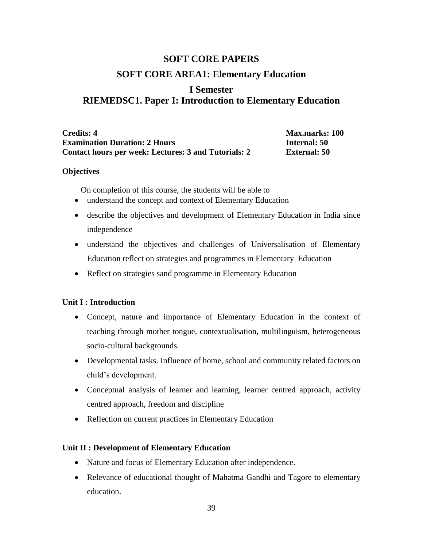# **SOFT CORE PAPERS SOFT CORE AREA1: Elementary Education**

## **I Semester RIEMEDSC1. Paper I: Introduction to Elementary Education**

**Credits: 4 Max.marks: 100 Examination Duration: 2 Hours Internal: 50 Contact hours per week: Lectures: 3 and Tutorials: 2 External: 50**

#### **Objectives**

On completion of this course, the students will be able to

- understand the concept and context of Elementary Education
- describe the objectives and development of Elementary Education in India since independence
- understand the objectives and challenges of Universalisation of Elementary Education reflect on strategies and programmes in Elementary Education
- Reflect on strategies sand programme in Elementary Education

#### **Unit I : Introduction**

- Concept, nature and importance of Elementary Education in the context of teaching through mother tongue, contextualisation, multilinguism, heterogeneous socio-cultural backgrounds.
- Developmental tasks. Influence of home, school and community related factors on child's development.
- Conceptual analysis of learner and learning, learner centred approach, activity centred approach, freedom and discipline
- Reflection on current practices in Elementary Education

#### **Unit II : Development of Elementary Education**

- Nature and focus of Elementary Education after independence.
- Relevance of educational thought of Mahatma Gandhi and Tagore to elementary education.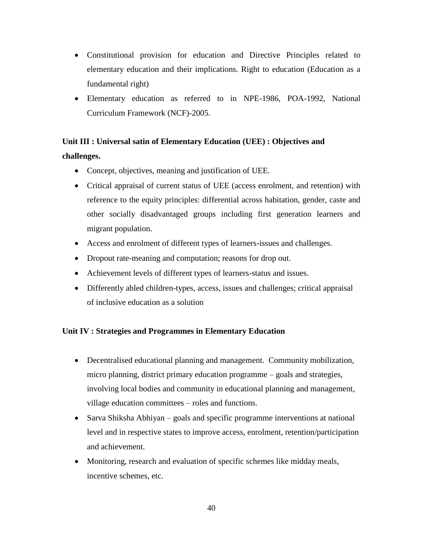- Constitutional provision for education and Directive Principles related to elementary education and their implications. Right to education (Education as a fundamental right)
- Elementary education as referred to in NPE-1986, POA-1992, National Curriculum Framework (NCF)-2005.

## **Unit III : Universal satin of Elementary Education (UEE) : Objectives and challenges.**

- Concept, objectives, meaning and justification of UEE.
- Critical appraisal of current status of UEE (access enrolment, and retention) with reference to the equity principles: differential across habitation, gender, caste and other socially disadvantaged groups including first generation learners and migrant population.
- Access and enrolment of different types of learners-issues and challenges.
- Dropout rate-meaning and computation; reasons for drop out.
- Achievement levels of different types of learners-status and issues.
- Differently abled children-types, access, issues and challenges; critical appraisal of inclusive education as a solution

#### **Unit IV : Strategies and Programmes in Elementary Education**

- Decentralised educational planning and management. Community mobilization, micro planning, district primary education programme – goals and strategies, involving local bodies and community in educational planning and management, village education committees – roles and functions.
- Sarva Shiksha Abhiyan goals and specific programme interventions at national level and in respective states to improve access, enrolment, retention/participation and achievement.
- Monitoring, research and evaluation of specific schemes like midday meals, incentive schemes, etc.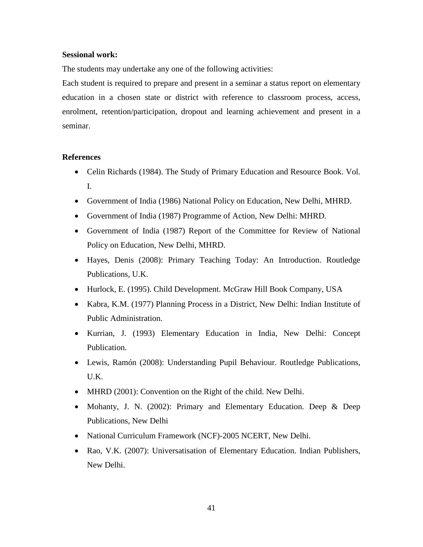#### **Sessional work:**

The students may undertake any one of the following activities:

Each student is required to prepare and present in a seminar a status report on elementary education in a chosen state or district with reference to classroom process, access, enrolment, retention/participation, dropout and learning achievement and present in a seminar.

- Celin Richards (1984). The Study of Primary Education and Resource Book. Vol. I.
- Government of India (1986) National Policy on Education, New Delhi, MHRD.
- Government of India (1987) Programme of Action, New Delhi: MHRD.
- Government of India (1987) Report of the Committee for Review of National Policy on Education, New Delhi, MHRD.
- Hayes, Denis (2008): Primary Teaching Today: An Introduction. Routledge Publications, U.K.
- Hurlock, E. (1995). Child Development. McGraw Hill Book Company, USA
- Kabra, K.M. (1977) Planning Process in a District, New Delhi: Indian Institute of Public Administration.
- Kurrian, J. (1993) Elementary Education in India, New Delhi: Concept Publication.
- Lewis, Ramón (2008): Understanding Pupil Behaviour. Routledge Publications, U.K.
- MHRD (2001): Convention on the Right of the child. New Delhi.
- Mohanty, J. N. (2002): Primary and Elementary Education. Deep & Deep Publications, New Delhi
- National Curriculum Framework (NCF)-2005 NCERT, New Delhi.
- Rao, V.K. (2007): Universatisation of Elementary Education. Indian Publishers, New Delhi.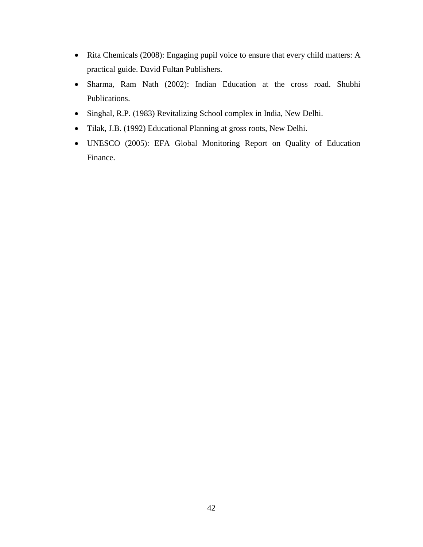- Rita Chemicals (2008): Engaging pupil voice to ensure that every child matters: A practical guide. David Fultan Publishers.
- Sharma, Ram Nath (2002): Indian Education at the cross road. Shubhi Publications.
- Singhal, R.P. (1983) Revitalizing School complex in India, New Delhi.
- Tilak, J.B. (1992) Educational Planning at gross roots, New Delhi.
- UNESCO (2005): EFA Global Monitoring Report on Quality of Education Finance.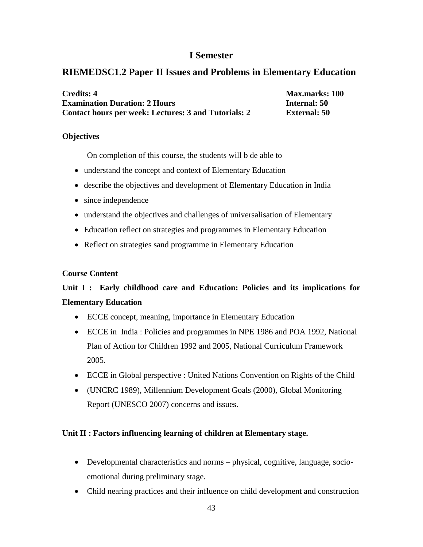### **I Semester**

## **RIEMEDSC1.2 Paper II Issues and Problems in Elementary Education**

| <b>Credits: 4</b>                                    | <b>Max.marks: 100</b> |
|------------------------------------------------------|-----------------------|
| <b>Examination Duration: 2 Hours</b>                 | <b>Internal: 50</b>   |
| Contact hours per week: Lectures: 3 and Tutorials: 2 | <b>External:</b> 50   |

#### **Objectives**

On completion of this course, the students will b de able to

- understand the concept and context of Elementary Education
- describe the objectives and development of Elementary Education in India
- since independence
- understand the objectives and challenges of universalisation of Elementary
- Education reflect on strategies and programmes in Elementary Education
- Reflect on strategies sand programme in Elementary Education

#### **Course Content**

## **Unit I : Early childhood care and Education: Policies and its implications for Elementary Education**

- ECCE concept, meaning, importance in Elementary Education
- ECCE in India : Policies and programmes in NPE 1986 and POA 1992, National Plan of Action for Children 1992 and 2005, National Curriculum Framework 2005.
- ECCE in Global perspective : United Nations Convention on Rights of the Child
- (UNCRC 1989), Millennium Development Goals (2000), Global Monitoring Report (UNESCO 2007) concerns and issues.

#### **Unit II : Factors influencing learning of children at Elementary stage.**

- Developmental characteristics and norms physical, cognitive, language, socioemotional during preliminary stage.
- Child nearing practices and their influence on child development and construction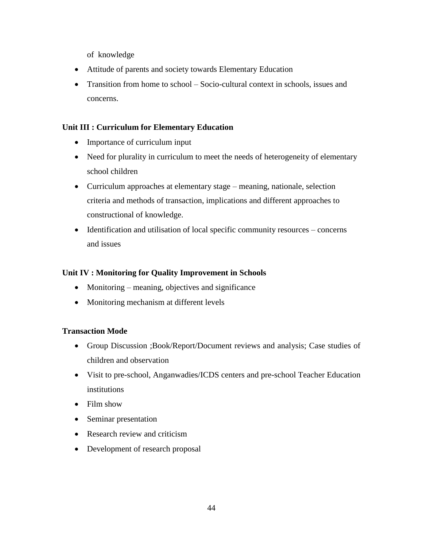of knowledge

- Attitude of parents and society towards Elementary Education
- Transition from home to school Socio-cultural context in schools, issues and concerns.

#### **Unit III : Curriculum for Elementary Education**

- Importance of curriculum input
- Need for plurality in curriculum to meet the needs of heterogeneity of elementary school children
- Curriculum approaches at elementary stage meaning, nationale, selection criteria and methods of transaction, implications and different approaches to constructional of knowledge.
- Identification and utilisation of local specific community resources concerns and issues

#### **Unit IV : Monitoring for Quality Improvement in Schools**

- Monitoring meaning, objectives and significance
- Monitoring mechanism at different levels

#### **Transaction Mode**

- Group Discussion ;Book/Report/Document reviews and analysis; Case studies of children and observation
- Visit to pre-school, Anganwadies/ICDS centers and pre-school Teacher Education institutions
- Film show
- Seminar presentation
- Research review and criticism
- Development of research proposal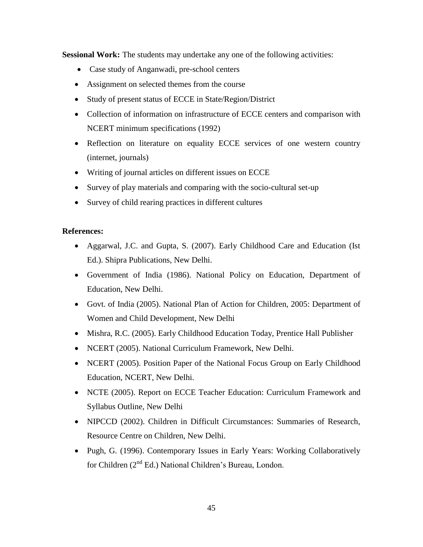**Sessional Work:** The students may undertake any one of the following activities:

- Case study of Anganwadi, pre-school centers
- Assignment on selected themes from the course
- Study of present status of ECCE in State/Region/District
- Collection of information on infrastructure of ECCE centers and comparison with NCERT minimum specifications (1992)
- Reflection on literature on equality ECCE services of one western country (internet, journals)
- Writing of journal articles on different issues on ECCE
- Survey of play materials and comparing with the socio-cultural set-up
- Survey of child rearing practices in different cultures

- Aggarwal, J.C. and Gupta, S. (2007). Early Childhood Care and Education (Ist Ed.). Shipra Publications, New Delhi.
- Government of India (1986). National Policy on Education, Department of Education, New Delhi.
- Govt. of India (2005). National Plan of Action for Children, 2005: Department of Women and Child Development, New Delhi
- Mishra, R.C. (2005). Early Childhood Education Today, Prentice Hall Publisher
- NCERT (2005). National Curriculum Framework, New Delhi.
- NCERT (2005). Position Paper of the National Focus Group on Early Childhood Education, NCERT, New Delhi.
- NCTE (2005). Report on ECCE Teacher Education: Curriculum Framework and Syllabus Outline, New Delhi
- NIPCCD (2002). Children in Difficult Circumstances: Summaries of Research, Resource Centre on Children, New Delhi.
- Pugh, G. (1996). Contemporary Issues in Early Years: Working Collaboratively for Children (2nd Ed.) National Children's Bureau, London.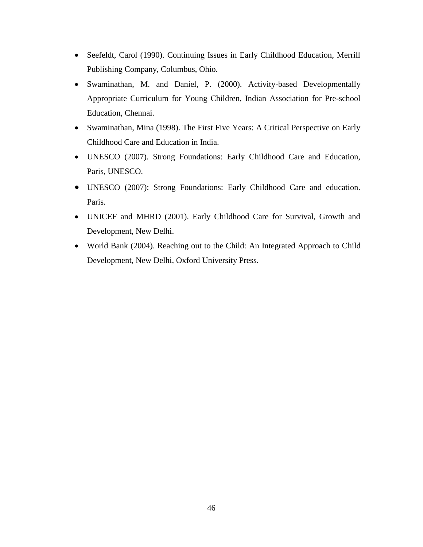- Seefeldt, Carol (1990). Continuing Issues in Early Childhood Education, Merrill Publishing Company, Columbus, Ohio.
- Swaminathan, M. and Daniel, P. (2000). Activity-based Developmentally Appropriate Curriculum for Young Children, Indian Association for Pre-school Education, Chennai.
- Swaminathan, Mina (1998). The First Five Years: A Critical Perspective on Early Childhood Care and Education in India.
- UNESCO (2007). Strong Foundations: Early Childhood Care and Education, Paris, UNESCO.
- UNESCO (2007): Strong Foundations: Early Childhood Care and education. Paris.
- UNICEF and MHRD (2001). Early Childhood Care for Survival, Growth and Development, New Delhi.
- World Bank (2004). Reaching out to the Child: An Integrated Approach to Child Development, New Delhi, Oxford University Press.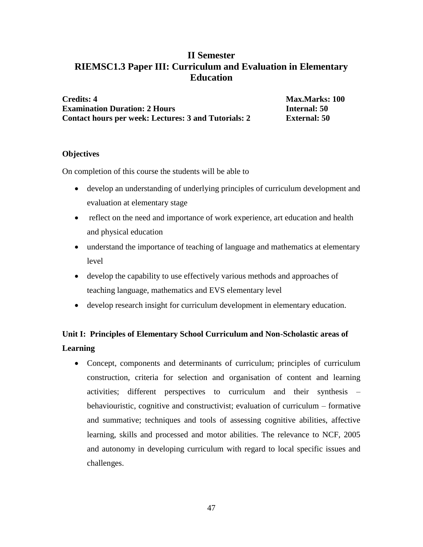## **II Semester RIEMSC1.3 Paper III: Curriculum and Evaluation in Elementary Education**

**Credits: 4** Max.Marks: 100 **Examination Duration: 2 Hours Internal: 50 Contact hours per week: Lectures: 3 and Tutorials: 2 External: 50**

#### **Objectives**

On completion of this course the students will be able to

- develop an understanding of underlying principles of curriculum development and evaluation at elementary stage
- reflect on the need and importance of work experience, art education and health and physical education
- understand the importance of teaching of language and mathematics at elementary level
- develop the capability to use effectively various methods and approaches of teaching language, mathematics and EVS elementary level
- develop research insight for curriculum development in elementary education.

## **Unit I: Principles of Elementary School Curriculum and Non-Scholastic areas of Learning**

 Concept, components and determinants of curriculum; principles of curriculum construction, criteria for selection and organisation of content and learning activities; different perspectives to curriculum and their synthesis – behaviouristic, cognitive and constructivist; evaluation of curriculum – formative and summative; techniques and tools of assessing cognitive abilities, affective learning, skills and processed and motor abilities. The relevance to NCF, 2005 and autonomy in developing curriculum with regard to local specific issues and challenges.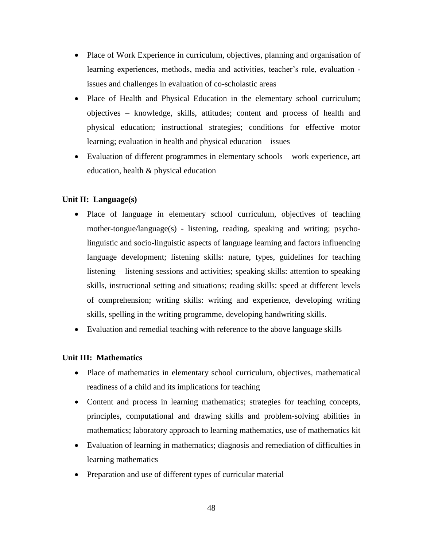- Place of Work Experience in curriculum, objectives, planning and organisation of learning experiences, methods, media and activities, teacher's role, evaluation issues and challenges in evaluation of co-scholastic areas
- Place of Health and Physical Education in the elementary school curriculum; objectives – knowledge, skills, attitudes; content and process of health and physical education; instructional strategies; conditions for effective motor learning; evaluation in health and physical education – issues
- Evaluation of different programmes in elementary schools work experience, art education, health & physical education

#### **Unit II: Language(s)**

- Place of language in elementary school curriculum, objectives of teaching mother-tongue/language(s) - listening, reading, speaking and writing; psycholinguistic and socio-linguistic aspects of language learning and factors influencing language development; listening skills: nature, types, guidelines for teaching listening – listening sessions and activities; speaking skills: attention to speaking skills, instructional setting and situations; reading skills: speed at different levels of comprehension; writing skills: writing and experience, developing writing skills, spelling in the writing programme, developing handwriting skills.
- Evaluation and remedial teaching with reference to the above language skills

#### **Unit III: Mathematics**

- Place of mathematics in elementary school curriculum, objectives, mathematical readiness of a child and its implications for teaching
- Content and process in learning mathematics; strategies for teaching concepts, principles, computational and drawing skills and problem-solving abilities in mathematics; laboratory approach to learning mathematics, use of mathematics kit
- Evaluation of learning in mathematics; diagnosis and remediation of difficulties in learning mathematics
- Preparation and use of different types of curricular material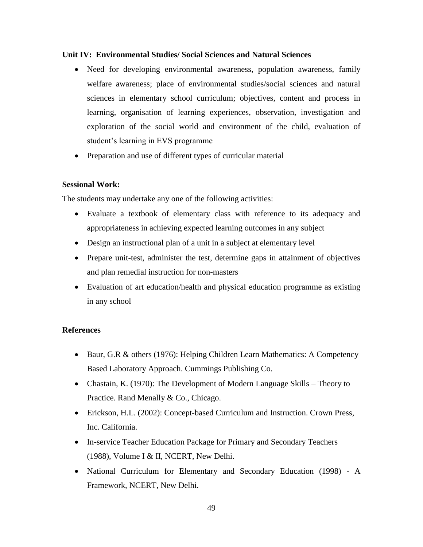#### **Unit IV: Environmental Studies/ Social Sciences and Natural Sciences**

- Need for developing environmental awareness, population awareness, family welfare awareness; place of environmental studies/social sciences and natural sciences in elementary school curriculum; objectives, content and process in learning, organisation of learning experiences, observation, investigation and exploration of the social world and environment of the child, evaluation of student's learning in EVS programme
- Preparation and use of different types of curricular material

#### **Sessional Work:**

The students may undertake any one of the following activities:

- Evaluate a textbook of elementary class with reference to its adequacy and appropriateness in achieving expected learning outcomes in any subject
- Design an instructional plan of a unit in a subject at elementary level
- Prepare unit-test, administer the test, determine gaps in attainment of objectives and plan remedial instruction for non-masters
- Evaluation of art education/health and physical education programme as existing in any school

- Baur, G.R & others (1976): Helping Children Learn Mathematics: A Competency Based Laboratory Approach. Cummings Publishing Co.
- Chastain, K. (1970): The Development of Modern Language Skills Theory to Practice. Rand Menally & Co., Chicago.
- Erickson, H.L. (2002): Concept-based Curriculum and Instruction. Crown Press, Inc. California.
- In-service Teacher Education Package for Primary and Secondary Teachers (1988), Volume I & II, NCERT, New Delhi.
- National Curriculum for Elementary and Secondary Education (1998) A Framework, NCERT, New Delhi.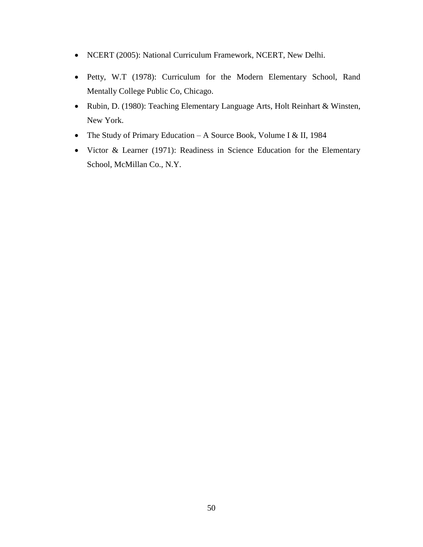- NCERT (2005): National Curriculum Framework, NCERT, New Delhi.
- Petty, W.T (1978): Curriculum for the Modern Elementary School, Rand Mentally College Public Co, Chicago.
- Rubin, D. (1980): Teaching Elementary Language Arts, Holt Reinhart & Winsten, New York.
- The Study of Primary Education A Source Book, Volume I & II, 1984
- Victor & Learner (1971): Readiness in Science Education for the Elementary School, McMillan Co., N.Y.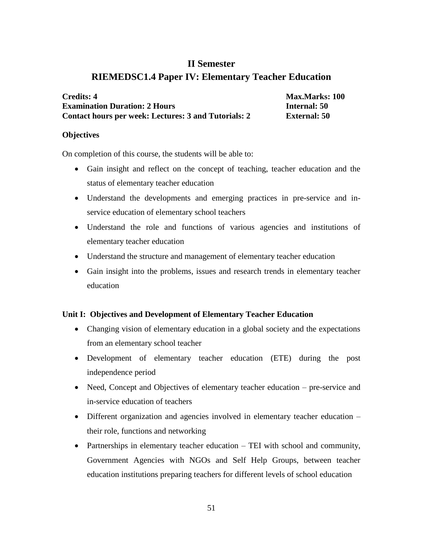## **II Semester RIEMEDSC1.4 Paper IV: Elementary Teacher Education**

| <b>Credits: 4</b>                                    | <b>Max.Marks: 100</b> |
|------------------------------------------------------|-----------------------|
| <b>Examination Duration: 2 Hours</b>                 | <b>Internal:</b> 50   |
| Contact hours per week: Lectures: 3 and Tutorials: 2 | <b>External: 50</b>   |

#### **Objectives**

On completion of this course, the students will be able to:

- Gain insight and reflect on the concept of teaching, teacher education and the status of elementary teacher education
- Understand the developments and emerging practices in pre-service and inservice education of elementary school teachers
- Understand the role and functions of various agencies and institutions of elementary teacher education
- Understand the structure and management of elementary teacher education
- Gain insight into the problems, issues and research trends in elementary teacher education

#### **Unit I: Objectives and Development of Elementary Teacher Education**

- Changing vision of elementary education in a global society and the expectations from an elementary school teacher
- Development of elementary teacher education (ETE) during the post independence period
- Need, Concept and Objectives of elementary teacher education pre-service and in-service education of teachers
- Different organization and agencies involved in elementary teacher education their role, functions and networking
- Partnerships in elementary teacher education TEI with school and community, Government Agencies with NGOs and Self Help Groups, between teacher education institutions preparing teachers for different levels of school education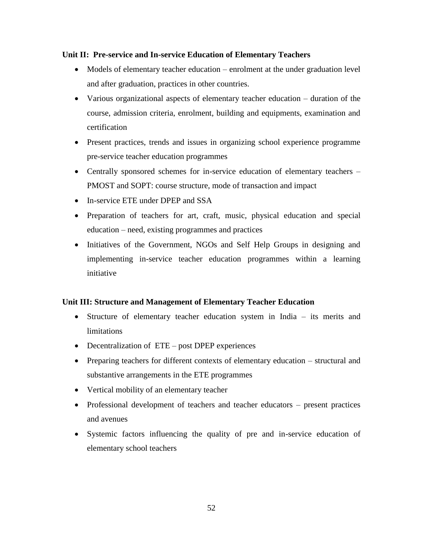#### **Unit II: Pre-service and In-service Education of Elementary Teachers**

- Models of elementary teacher education enrolment at the under graduation level and after graduation, practices in other countries.
- Various organizational aspects of elementary teacher education duration of the course, admission criteria, enrolment, building and equipments, examination and certification
- Present practices, trends and issues in organizing school experience programme pre-service teacher education programmes
- Centrally sponsored schemes for in-service education of elementary teachers PMOST and SOPT: course structure, mode of transaction and impact
- In-service ETE under DPEP and SSA
- Preparation of teachers for art, craft, music, physical education and special education – need, existing programmes and practices
- Initiatives of the Government, NGOs and Self Help Groups in designing and implementing in-service teacher education programmes within a learning initiative

#### **Unit III: Structure and Management of Elementary Teacher Education**

- Structure of elementary teacher education system in India its merits and limitations
- Decentralization of ETE post DPEP experiences
- Preparing teachers for different contexts of elementary education structural and substantive arrangements in the ETE programmes
- Vertical mobility of an elementary teacher
- Professional development of teachers and teacher educators present practices and avenues
- Systemic factors influencing the quality of pre and in-service education of elementary school teachers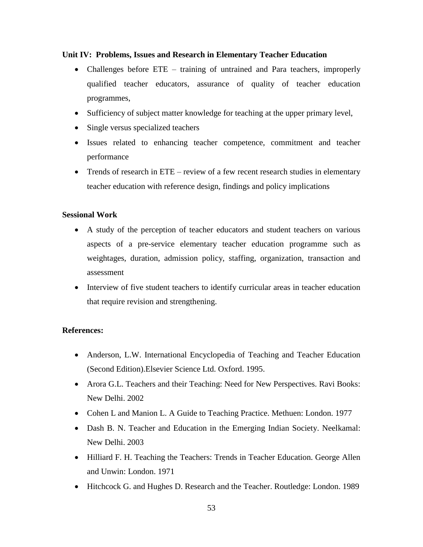#### **Unit IV: Problems, Issues and Research in Elementary Teacher Education**

- Challenges before ETE training of untrained and Para teachers, improperly qualified teacher educators, assurance of quality of teacher education programmes,
- Sufficiency of subject matter knowledge for teaching at the upper primary level,
- Single versus specialized teachers
- Issues related to enhancing teacher competence, commitment and teacher performance
- Trends of research in ETE review of a few recent research studies in elementary teacher education with reference design, findings and policy implications

#### **Sessional Work**

- A study of the perception of teacher educators and student teachers on various aspects of a pre-service elementary teacher education programme such as weightages, duration, admission policy, staffing, organization, transaction and assessment
- Interview of five student teachers to identify curricular areas in teacher education that require revision and strengthening.

- Anderson, L.W. International Encyclopedia of Teaching and Teacher Education (Second Edition).Elsevier Science Ltd. Oxford. 1995.
- Arora G.L. Teachers and their Teaching: Need for New Perspectives. Ravi Books: New Delhi. 2002
- Cohen L and Manion L. A Guide to Teaching Practice. Methuen: London. 1977
- Dash B. N. Teacher and Education in the Emerging Indian Society. Neelkamal: New Delhi. 2003
- Hilliard F. H. Teaching the Teachers: Trends in Teacher Education. George Allen and Unwin: London. 1971
- Hitchcock G. and Hughes D. Research and the Teacher. Routledge: London. 1989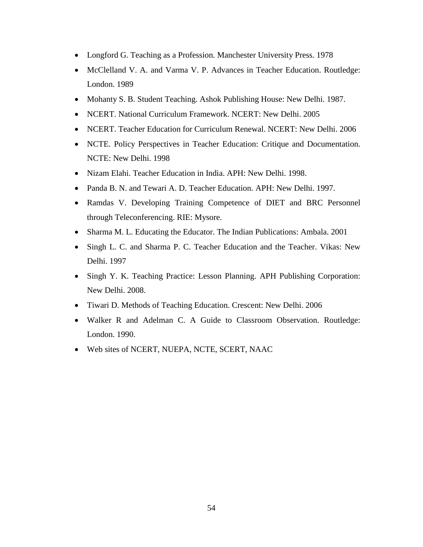- Longford G. Teaching as a Profession. Manchester University Press. 1978
- McClelland V. A. and Varma V. P. Advances in Teacher Education. Routledge: London. 1989
- Mohanty S. B. Student Teaching. Ashok Publishing House: New Delhi. 1987.
- NCERT. National Curriculum Framework. NCERT: New Delhi. 2005
- NCERT. Teacher Education for Curriculum Renewal. NCERT: New Delhi. 2006
- NCTE. Policy Perspectives in Teacher Education: Critique and Documentation. NCTE: New Delhi. 1998
- Nizam Elahi. Teacher Education in India. APH: New Delhi. 1998.
- Panda B. N. and Tewari A. D. Teacher Education. APH: New Delhi. 1997.
- Ramdas V. Developing Training Competence of DIET and BRC Personnel through Teleconferencing. RIE: Mysore.
- Sharma M. L. Educating the Educator. The Indian Publications: Ambala. 2001
- Singh L. C. and Sharma P. C. Teacher Education and the Teacher. Vikas: New Delhi. 1997
- Singh Y. K. Teaching Practice: Lesson Planning. APH Publishing Corporation: New Delhi. 2008.
- Tiwari D. Methods of Teaching Education. Crescent: New Delhi. 2006
- Walker R and Adelman C. A Guide to Classroom Observation. Routledge: London. 1990.
- Web sites of NCERT, NUEPA, NCTE, SCERT, NAAC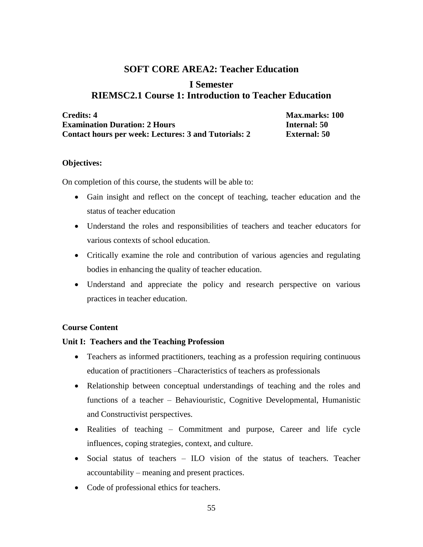## **SOFT CORE AREA2: Teacher Education**

### **I Semester RIEMSC2.1 Course 1: Introduction to Teacher Education**

| <b>Credits: 4</b>                                           | <b>Max.marks: 100</b> |
|-------------------------------------------------------------|-----------------------|
| <b>Examination Duration: 2 Hours</b>                        | Internal: 50          |
| <b>Contact hours per week: Lectures: 3 and Tutorials: 2</b> | <b>External:</b> 50   |

#### **Objectives:**

On completion of this course, the students will be able to:

- Gain insight and reflect on the concept of teaching, teacher education and the status of teacher education
- Understand the roles and responsibilities of teachers and teacher educators for various contexts of school education.
- Critically examine the role and contribution of various agencies and regulating bodies in enhancing the quality of teacher education.
- Understand and appreciate the policy and research perspective on various practices in teacher education.

#### **Course Content**

#### **Unit I: Teachers and the Teaching Profession**

- Teachers as informed practitioners, teaching as a profession requiring continuous education of practitioners –Characteristics of teachers as professionals
- Relationship between conceptual understandings of teaching and the roles and functions of a teacher – Behaviouristic, Cognitive Developmental, Humanistic and Constructivist perspectives.
- Realities of teaching Commitment and purpose, Career and life cycle influences, coping strategies, context, and culture.
- Social status of teachers ILO vision of the status of teachers. Teacher accountability – meaning and present practices.
- Code of professional ethics for teachers.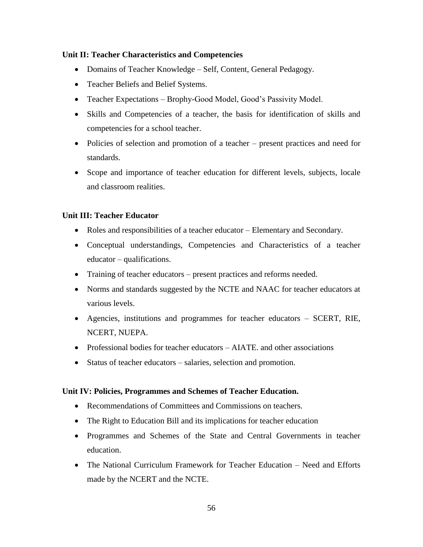#### **Unit II: Teacher Characteristics and Competencies**

- Domains of Teacher Knowledge Self, Content, General Pedagogy.
- Teacher Beliefs and Belief Systems.
- Teacher Expectations Brophy-Good Model, Good's Passivity Model.
- Skills and Competencies of a teacher, the basis for identification of skills and competencies for a school teacher.
- Policies of selection and promotion of a teacher present practices and need for standards.
- Scope and importance of teacher education for different levels, subjects, locale and classroom realities.

#### **Unit III: Teacher Educator**

- Roles and responsibilities of a teacher educator Elementary and Secondary.
- Conceptual understandings, Competencies and Characteristics of a teacher educator – qualifications.
- Training of teacher educators present practices and reforms needed.
- Norms and standards suggested by the NCTE and NAAC for teacher educators at various levels.
- Agencies, institutions and programmes for teacher educators SCERT, RIE, NCERT, NUEPA.
- Professional bodies for teacher educators AIATE. and other associations
- Status of teacher educators salaries, selection and promotion.

#### **Unit IV: Policies, Programmes and Schemes of Teacher Education.**

- Recommendations of Committees and Commissions on teachers.
- The Right to Education Bill and its implications for teacher education
- Programmes and Schemes of the State and Central Governments in teacher education.
- The National Curriculum Framework for Teacher Education Need and Efforts made by the NCERT and the NCTE.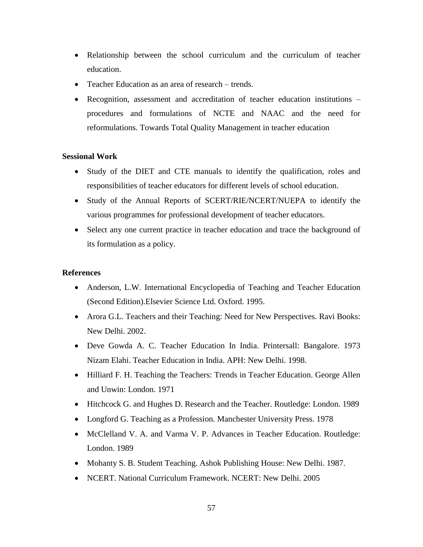- Relationship between the school curriculum and the curriculum of teacher education.
- Teacher Education as an area of research trends.
- Recognition, assessment and accreditation of teacher education institutions procedures and formulations of NCTE and NAAC and the need for reformulations. Towards Total Quality Management in teacher education

#### **Sessional Work**

- Study of the DIET and CTE manuals to identify the qualification, roles and responsibilities of teacher educators for different levels of school education.
- Study of the Annual Reports of SCERT/RIE/NCERT/NUEPA to identify the various programmes for professional development of teacher educators.
- Select any one current practice in teacher education and trace the background of its formulation as a policy.

- Anderson, L.W. International Encyclopedia of Teaching and Teacher Education (Second Edition).Elsevier Science Ltd. Oxford. 1995.
- Arora G.L. Teachers and their Teaching: Need for New Perspectives. Ravi Books: New Delhi. 2002.
- Deve Gowda A. C. Teacher Education In India. Printersall: Bangalore. 1973 Nizam Elahi. Teacher Education in India. APH: New Delhi. 1998.
- Hilliard F. H. Teaching the Teachers: Trends in Teacher Education. George Allen and Unwin: London. 1971
- Hitchcock G. and Hughes D. Research and the Teacher. Routledge: London. 1989
- Longford G. Teaching as a Profession. Manchester University Press. 1978
- McClelland V. A. and Varma V. P. Advances in Teacher Education. Routledge: London. 1989
- Mohanty S. B. Student Teaching. Ashok Publishing House: New Delhi. 1987.
- NCERT. National Curriculum Framework. NCERT: New Delhi. 2005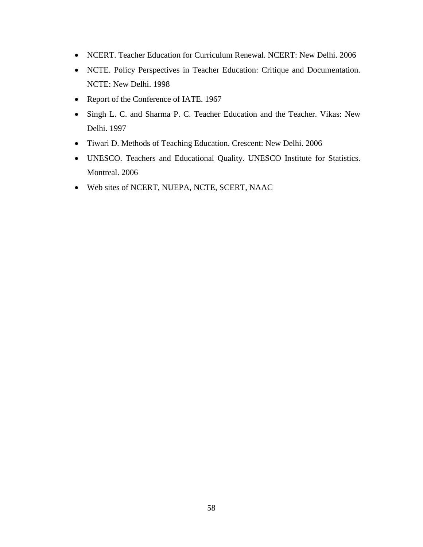- NCERT. Teacher Education for Curriculum Renewal. NCERT: New Delhi. 2006
- NCTE. Policy Perspectives in Teacher Education: Critique and Documentation. NCTE: New Delhi. 1998
- Report of the Conference of IATE. 1967
- Singh L. C. and Sharma P. C. Teacher Education and the Teacher. Vikas: New Delhi. 1997
- Tiwari D. Methods of Teaching Education. Crescent: New Delhi. 2006
- UNESCO. Teachers and Educational Quality. UNESCO Institute for Statistics. Montreal. 2006
- Web sites of NCERT, NUEPA, NCTE, SCERT, NAAC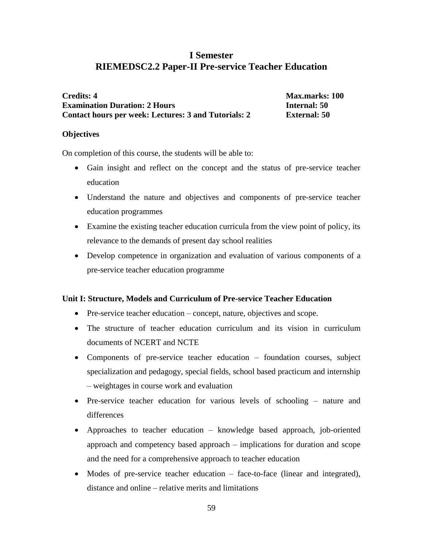## **I Semester RIEMEDSC2.2 Paper-II Pre-service Teacher Education**

| <b>Credits: 4</b>                                    | <b>Max.marks: 100</b> |
|------------------------------------------------------|-----------------------|
| <b>Examination Duration: 2 Hours</b>                 | <b>Internal:</b> 50   |
| Contact hours per week: Lectures: 3 and Tutorials: 2 | <b>External:</b> 50   |

#### **Objectives**

On completion of this course, the students will be able to:

- Gain insight and reflect on the concept and the status of pre-service teacher education
- Understand the nature and objectives and components of pre-service teacher education programmes
- Examine the existing teacher education curricula from the view point of policy, its relevance to the demands of present day school realities
- Develop competence in organization and evaluation of various components of a pre-service teacher education programme

#### **Unit I: Structure, Models and Curriculum of Pre-service Teacher Education**

- Pre-service teacher education concept, nature, objectives and scope.
- The structure of teacher education curriculum and its vision in curriculum documents of NCERT and NCTE
- Components of pre-service teacher education foundation courses, subject specialization and pedagogy, special fields, school based practicum and internship – weightages in course work and evaluation
- Pre-service teacher education for various levels of schooling nature and differences
- Approaches to teacher education knowledge based approach, job-oriented approach and competency based approach – implications for duration and scope and the need for a comprehensive approach to teacher education
- Modes of pre-service teacher education face-to-face (linear and integrated), distance and online – relative merits and limitations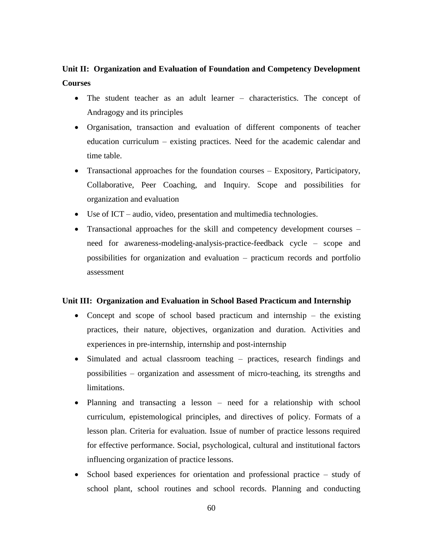## **Unit II: Organization and Evaluation of Foundation and Competency Development Courses**

- The student teacher as an adult learner characteristics. The concept of Andragogy and its principles
- Organisation, transaction and evaluation of different components of teacher education curriculum – existing practices. Need for the academic calendar and time table.
- Transactional approaches for the foundation courses Expository, Participatory, Collaborative, Peer Coaching, and Inquiry. Scope and possibilities for organization and evaluation
- Use of ICT audio, video, presentation and multimedia technologies.
- Transactional approaches for the skill and competency development courses need for awareness-modeling-analysis-practice-feedback cycle – scope and possibilities for organization and evaluation – practicum records and portfolio assessment

#### **Unit III: Organization and Evaluation in School Based Practicum and Internship**

- Concept and scope of school based practicum and internship the existing practices, their nature, objectives, organization and duration. Activities and experiences in pre-internship, internship and post-internship
- Simulated and actual classroom teaching practices, research findings and possibilities – organization and assessment of micro-teaching, its strengths and limitations.
- Planning and transacting a lesson need for a relationship with school curriculum, epistemological principles, and directives of policy. Formats of a lesson plan. Criteria for evaluation. Issue of number of practice lessons required for effective performance. Social, psychological, cultural and institutional factors influencing organization of practice lessons.
- School based experiences for orientation and professional practice study of school plant, school routines and school records. Planning and conducting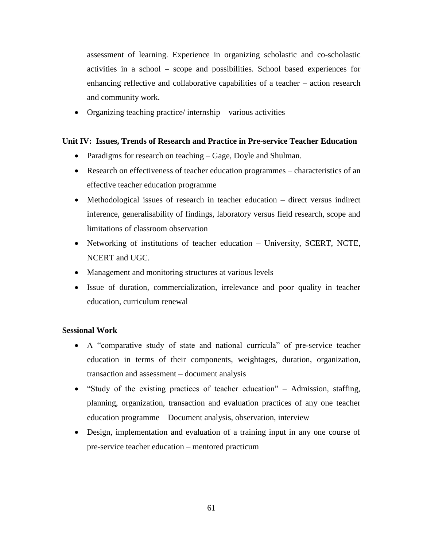assessment of learning. Experience in organizing scholastic and co-scholastic activities in a school – scope and possibilities. School based experiences for enhancing reflective and collaborative capabilities of a teacher – action research and community work.

Organizing teaching practice/ internship – various activities

#### **Unit IV: Issues, Trends of Research and Practice in Pre-service Teacher Education**

- Paradigms for research on teaching Gage, Doyle and Shulman.
- Research on effectiveness of teacher education programmes characteristics of an effective teacher education programme
- Methodological issues of research in teacher education direct versus indirect inference, generalisability of findings, laboratory versus field research, scope and limitations of classroom observation
- Networking of institutions of teacher education University, SCERT, NCTE, NCERT and UGC.
- Management and monitoring structures at various levels
- Issue of duration, commercialization, irrelevance and poor quality in teacher education, curriculum renewal

#### **Sessional Work**

- A "comparative study of state and national curricula" of pre-service teacher education in terms of their components, weightages, duration, organization, transaction and assessment – document analysis
- "Study of the existing practices of teacher education" Admission, staffing, planning, organization, transaction and evaluation practices of any one teacher education programme – Document analysis, observation, interview
- Design, implementation and evaluation of a training input in any one course of pre-service teacher education – mentored practicum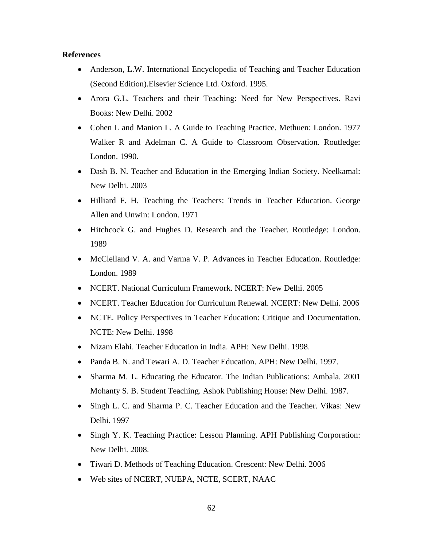- Anderson, L.W. International Encyclopedia of Teaching and Teacher Education (Second Edition).Elsevier Science Ltd. Oxford. 1995.
- Arora G.L. Teachers and their Teaching: Need for New Perspectives. Ravi Books: New Delhi. 2002
- Cohen L and Manion L. A Guide to Teaching Practice. Methuen: London. 1977 Walker R and Adelman C. A Guide to Classroom Observation. Routledge: London. 1990.
- Dash B. N. Teacher and Education in the Emerging Indian Society. Neelkamal: New Delhi. 2003
- Hilliard F. H. Teaching the Teachers: Trends in Teacher Education. George Allen and Unwin: London. 1971
- Hitchcock G. and Hughes D. Research and the Teacher. Routledge: London. 1989
- McClelland V. A. and Varma V. P. Advances in Teacher Education. Routledge: London. 1989
- NCERT. National Curriculum Framework. NCERT: New Delhi. 2005
- NCERT. Teacher Education for Curriculum Renewal. NCERT: New Delhi. 2006
- NCTE. Policy Perspectives in Teacher Education: Critique and Documentation. NCTE: New Delhi. 1998
- Nizam Elahi. Teacher Education in India. APH: New Delhi. 1998.
- Panda B. N. and Tewari A. D. Teacher Education. APH: New Delhi. 1997.
- Sharma M. L. Educating the Educator. The Indian Publications: Ambala. 2001 Mohanty S. B. Student Teaching. Ashok Publishing House: New Delhi. 1987.
- Singh L. C. and Sharma P. C. Teacher Education and the Teacher. Vikas: New Delhi. 1997
- Singh Y. K. Teaching Practice: Lesson Planning. APH Publishing Corporation: New Delhi. 2008.
- Tiwari D. Methods of Teaching Education. Crescent: New Delhi. 2006
- Web sites of NCERT, NUEPA, NCTE, SCERT, NAAC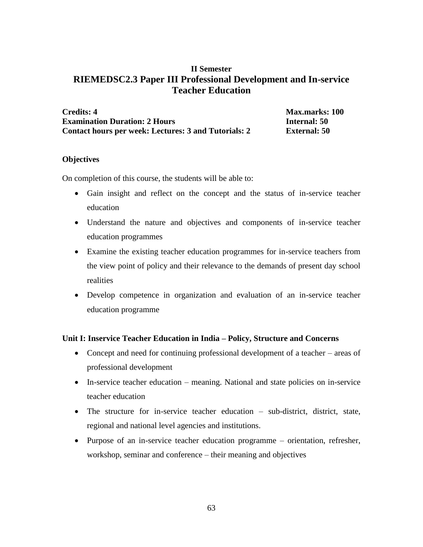### **II Semester RIEMEDSC2.3 Paper III Professional Development and In-service Teacher Education**

| <b>Credits: 4</b>                                    |  |
|------------------------------------------------------|--|
| <b>Examination Duration: 2 Hours</b>                 |  |
| Contact hours per week: Lectures: 3 and Tutorials: 2 |  |

**Credits: 4 Max.marks: 100 Example 1 Example 1 Example 1 Example 1 Example 1 Example 1 Example 1 Example 1 Example 1 Example 1 Example 1 Example 1 Example 1 Example 1 Example 1 Example 1 Example 1 Example 1 Examp External: 50** 

#### **Objectives**

On completion of this course, the students will be able to:

- Gain insight and reflect on the concept and the status of in-service teacher education
- Understand the nature and objectives and components of in-service teacher education programmes
- Examine the existing teacher education programmes for in-service teachers from the view point of policy and their relevance to the demands of present day school realities
- Develop competence in organization and evaluation of an in-service teacher education programme

#### **Unit I: Inservice Teacher Education in India – Policy, Structure and Concerns**

- Concept and need for continuing professional development of a teacher areas of professional development
- In-service teacher education meaning. National and state policies on in-service teacher education
- The structure for in-service teacher education sub-district, district, state, regional and national level agencies and institutions.
- Purpose of an in-service teacher education programme orientation, refresher, workshop, seminar and conference – their meaning and objectives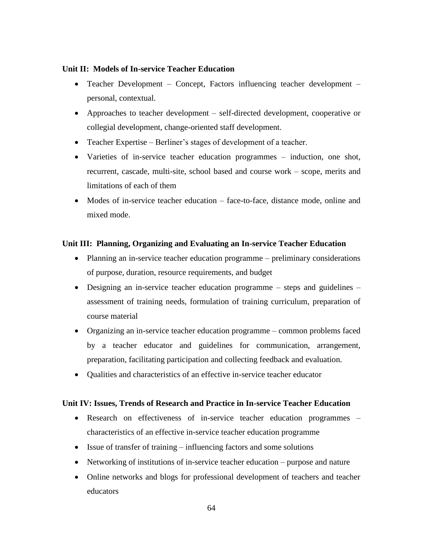#### **Unit II: Models of In-service Teacher Education**

- Teacher Development Concept, Factors influencing teacher development personal, contextual.
- Approaches to teacher development self-directed development, cooperative or collegial development, change-oriented staff development.
- Teacher Expertise Berliner's stages of development of a teacher.
- Varieties of in-service teacher education programmes induction, one shot, recurrent, cascade, multi-site, school based and course work – scope, merits and limitations of each of them
- Modes of in-service teacher education face-to-face, distance mode, online and mixed mode.

#### **Unit III: Planning, Organizing and Evaluating an In-service Teacher Education**

- Planning an in-service teacher education programme preliminary considerations of purpose, duration, resource requirements, and budget
- Designing an in-service teacher education programme steps and guidelines assessment of training needs, formulation of training curriculum, preparation of course material
- Organizing an in-service teacher education programme common problems faced by a teacher educator and guidelines for communication, arrangement, preparation, facilitating participation and collecting feedback and evaluation.
- Qualities and characteristics of an effective in-service teacher educator

#### **Unit IV: Issues, Trends of Research and Practice in In-service Teacher Education**

- Research on effectiveness of in-service teacher education programmes characteristics of an effective in-service teacher education programme
- Issue of transfer of training influencing factors and some solutions
- Networking of institutions of in-service teacher education purpose and nature
- Online networks and blogs for professional development of teachers and teacher educators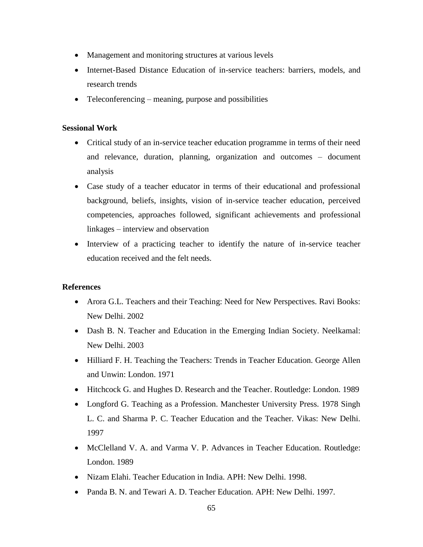- Management and monitoring structures at various levels
- Internet-Based Distance Education of in-service teachers: barriers, models, and research trends
- Teleconferencing meaning, purpose and possibilities

#### **Sessional Work**

- Critical study of an in-service teacher education programme in terms of their need and relevance, duration, planning, organization and outcomes – document analysis
- Case study of a teacher educator in terms of their educational and professional background, beliefs, insights, vision of in-service teacher education, perceived competencies, approaches followed, significant achievements and professional linkages – interview and observation
- Interview of a practicing teacher to identify the nature of in-service teacher education received and the felt needs.

- Arora G.L. Teachers and their Teaching: Need for New Perspectives. Ravi Books: New Delhi. 2002
- Dash B. N. Teacher and Education in the Emerging Indian Society. Neelkamal: New Delhi. 2003
- Hilliard F. H. Teaching the Teachers: Trends in Teacher Education. George Allen and Unwin: London. 1971
- Hitchcock G. and Hughes D. Research and the Teacher. Routledge: London. 1989
- Longford G. Teaching as a Profession. Manchester University Press. 1978 Singh L. C. and Sharma P. C. Teacher Education and the Teacher. Vikas: New Delhi. 1997
- McClelland V. A. and Varma V. P. Advances in Teacher Education. Routledge: London. 1989
- Nizam Elahi. Teacher Education in India. APH: New Delhi. 1998.
- Panda B. N. and Tewari A. D. Teacher Education. APH: New Delhi. 1997.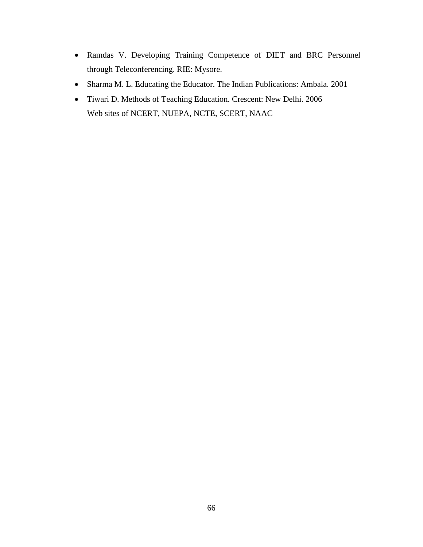- Ramdas V. Developing Training Competence of DIET and BRC Personnel through Teleconferencing. RIE: Mysore.
- Sharma M. L. Educating the Educator. The Indian Publications: Ambala. 2001
- Tiwari D. Methods of Teaching Education. Crescent: New Delhi. 2006 Web sites of NCERT, NUEPA, NCTE, SCERT, NAAC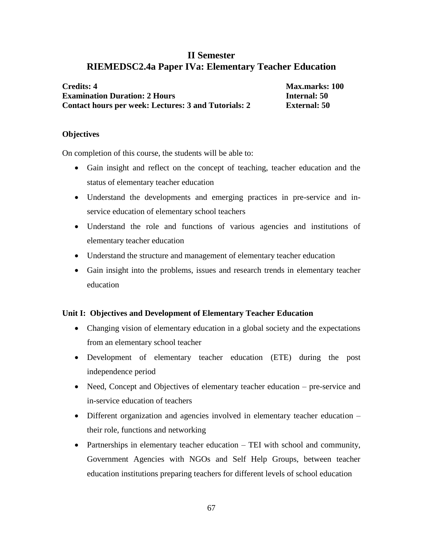### **II Semester RIEMEDSC2.4a Paper IVa: Elementary Teacher Education**

| <b>Credits: 4</b>                                    | <b>Max.marks: 100</b> |
|------------------------------------------------------|-----------------------|
| <b>Examination Duration: 2 Hours</b>                 | <b>Internal: 50</b>   |
| Contact hours per week: Lectures: 3 and Tutorials: 2 | <b>External: 50</b>   |

#### **Objectives**

On completion of this course, the students will be able to:

- Gain insight and reflect on the concept of teaching, teacher education and the status of elementary teacher education
- Understand the developments and emerging practices in pre-service and inservice education of elementary school teachers
- Understand the role and functions of various agencies and institutions of elementary teacher education
- Understand the structure and management of elementary teacher education
- Gain insight into the problems, issues and research trends in elementary teacher education

#### **Unit I: Objectives and Development of Elementary Teacher Education**

- Changing vision of elementary education in a global society and the expectations from an elementary school teacher
- Development of elementary teacher education (ETE) during the post independence period
- Need, Concept and Objectives of elementary teacher education pre-service and in-service education of teachers
- Different organization and agencies involved in elementary teacher education their role, functions and networking
- Partnerships in elementary teacher education TEI with school and community, Government Agencies with NGOs and Self Help Groups, between teacher education institutions preparing teachers for different levels of school education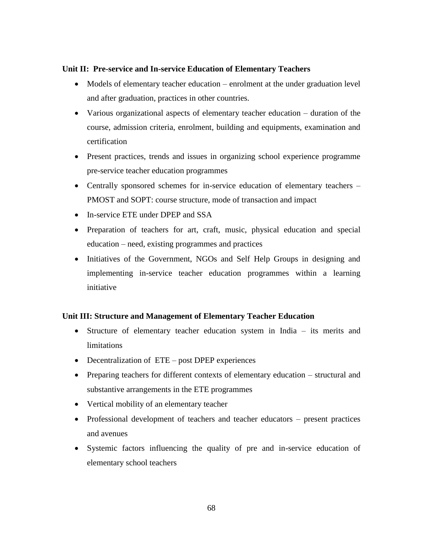#### **Unit II: Pre-service and In-service Education of Elementary Teachers**

- Models of elementary teacher education enrolment at the under graduation level and after graduation, practices in other countries.
- Various organizational aspects of elementary teacher education duration of the course, admission criteria, enrolment, building and equipments, examination and certification
- Present practices, trends and issues in organizing school experience programme pre-service teacher education programmes
- Centrally sponsored schemes for in-service education of elementary teachers PMOST and SOPT: course structure, mode of transaction and impact
- In-service ETE under DPEP and SSA
- Preparation of teachers for art, craft, music, physical education and special education – need, existing programmes and practices
- Initiatives of the Government, NGOs and Self Help Groups in designing and implementing in-service teacher education programmes within a learning initiative

#### **Unit III: Structure and Management of Elementary Teacher Education**

- Structure of elementary teacher education system in India its merits and limitations
- Decentralization of ETE post DPEP experiences
- Preparing teachers for different contexts of elementary education structural and substantive arrangements in the ETE programmes
- Vertical mobility of an elementary teacher
- Professional development of teachers and teacher educators present practices and avenues
- Systemic factors influencing the quality of pre and in-service education of elementary school teachers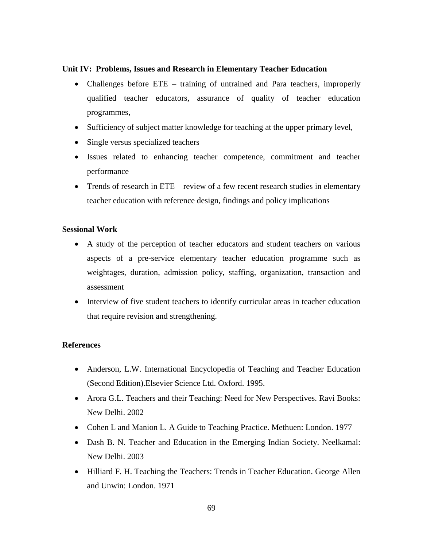#### **Unit IV: Problems, Issues and Research in Elementary Teacher Education**

- Challenges before ETE training of untrained and Para teachers, improperly qualified teacher educators, assurance of quality of teacher education programmes,
- Sufficiency of subject matter knowledge for teaching at the upper primary level,
- Single versus specialized teachers
- Issues related to enhancing teacher competence, commitment and teacher performance
- Trends of research in ETE review of a few recent research studies in elementary teacher education with reference design, findings and policy implications

#### **Sessional Work**

- A study of the perception of teacher educators and student teachers on various aspects of a pre-service elementary teacher education programme such as weightages, duration, admission policy, staffing, organization, transaction and assessment
- Interview of five student teachers to identify curricular areas in teacher education that require revision and strengthening.

- Anderson, L.W. International Encyclopedia of Teaching and Teacher Education (Second Edition).Elsevier Science Ltd. Oxford. 1995.
- Arora G.L. Teachers and their Teaching: Need for New Perspectives. Ravi Books: New Delhi. 2002
- Cohen L and Manion L. A Guide to Teaching Practice. Methuen: London. 1977
- Dash B. N. Teacher and Education in the Emerging Indian Society. Neelkamal: New Delhi. 2003
- Hilliard F. H. Teaching the Teachers: Trends in Teacher Education. George Allen and Unwin: London. 1971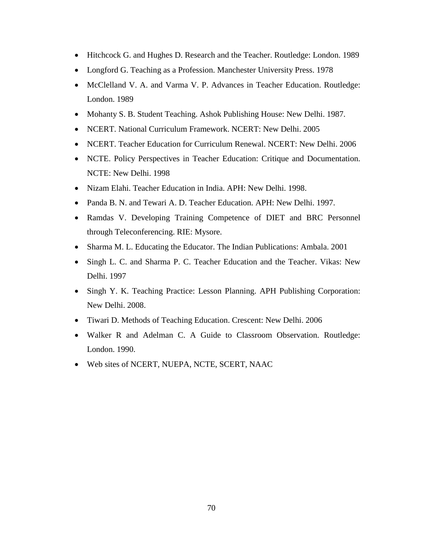- Hitchcock G. and Hughes D. Research and the Teacher. Routledge: London. 1989
- Longford G. Teaching as a Profession. Manchester University Press. 1978
- McClelland V. A. and Varma V. P. Advances in Teacher Education. Routledge: London. 1989
- Mohanty S. B. Student Teaching. Ashok Publishing House: New Delhi. 1987.
- NCERT. National Curriculum Framework. NCERT: New Delhi. 2005
- NCERT. Teacher Education for Curriculum Renewal. NCERT: New Delhi. 2006
- NCTE. Policy Perspectives in Teacher Education: Critique and Documentation. NCTE: New Delhi. 1998
- Nizam Elahi. Teacher Education in India. APH: New Delhi. 1998.
- Panda B. N. and Tewari A. D. Teacher Education. APH: New Delhi. 1997.
- Ramdas V. Developing Training Competence of DIET and BRC Personnel through Teleconferencing. RIE: Mysore.
- Sharma M. L. Educating the Educator. The Indian Publications: Ambala. 2001
- Singh L. C. and Sharma P. C. Teacher Education and the Teacher. Vikas: New Delhi. 1997
- Singh Y. K. Teaching Practice: Lesson Planning. APH Publishing Corporation: New Delhi. 2008.
- Tiwari D. Methods of Teaching Education. Crescent: New Delhi. 2006
- Walker R and Adelman C. A Guide to Classroom Observation. Routledge: London. 1990.
- Web sites of NCERT, NUEPA, NCTE, SCERT, NAAC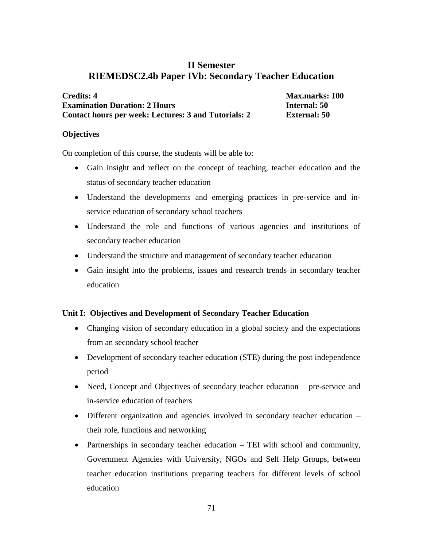## **II Semester RIEMEDSC2.4b Paper IVb: Secondary Teacher Education**

| <b>Credits: 4</b>                                           | <b>Max.marks: 100</b> |
|-------------------------------------------------------------|-----------------------|
| <b>Examination Duration: 2 Hours</b>                        | <b>Internal:</b> 50   |
| <b>Contact hours per week: Lectures: 3 and Tutorials: 2</b> | <b>External: 50</b>   |

#### **Objectives**

On completion of this course, the students will be able to:

- Gain insight and reflect on the concept of teaching, teacher education and the status of secondary teacher education
- Understand the developments and emerging practices in pre-service and inservice education of secondary school teachers
- Understand the role and functions of various agencies and institutions of secondary teacher education
- Understand the structure and management of secondary teacher education
- Gain insight into the problems, issues and research trends in secondary teacher education

#### **Unit I: Objectives and Development of Secondary Teacher Education**

- Changing vision of secondary education in a global society and the expectations from an secondary school teacher
- Development of secondary teacher education (STE) during the post independence period
- Need, Concept and Objectives of secondary teacher education pre-service and in-service education of teachers
- Different organization and agencies involved in secondary teacher education their role, functions and networking
- Partnerships in secondary teacher education TEI with school and community, Government Agencies with University, NGOs and Self Help Groups, between teacher education institutions preparing teachers for different levels of school education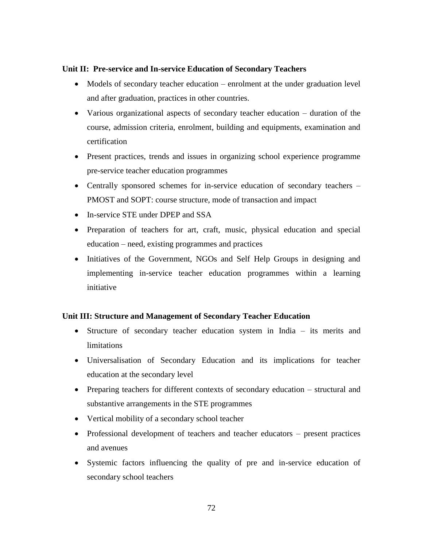#### **Unit II: Pre-service and In-service Education of Secondary Teachers**

- Models of secondary teacher education enrolment at the under graduation level and after graduation, practices in other countries.
- Various organizational aspects of secondary teacher education duration of the course, admission criteria, enrolment, building and equipments, examination and certification
- Present practices, trends and issues in organizing school experience programme pre-service teacher education programmes
- Centrally sponsored schemes for in-service education of secondary teachers PMOST and SOPT: course structure, mode of transaction and impact
- In-service STE under DPEP and SSA
- Preparation of teachers for art, craft, music, physical education and special education – need, existing programmes and practices
- Initiatives of the Government, NGOs and Self Help Groups in designing and implementing in-service teacher education programmes within a learning initiative

#### **Unit III: Structure and Management of Secondary Teacher Education**

- Structure of secondary teacher education system in India its merits and limitations
- Universalisation of Secondary Education and its implications for teacher education at the secondary level
- Preparing teachers for different contexts of secondary education structural and substantive arrangements in the STE programmes
- Vertical mobility of a secondary school teacher
- Professional development of teachers and teacher educators present practices and avenues
- Systemic factors influencing the quality of pre and in-service education of secondary school teachers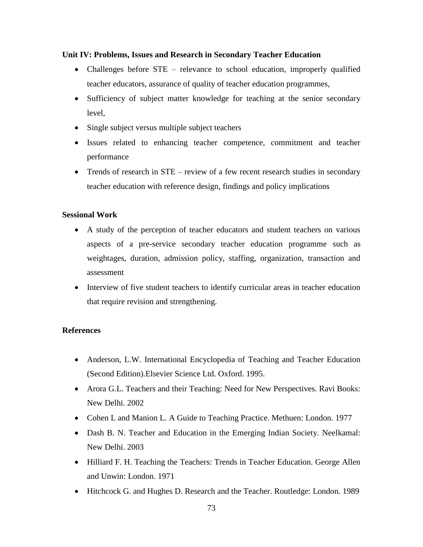#### **Unit IV: Problems, Issues and Research in Secondary Teacher Education**

- Challenges before STE relevance to school education, improperly qualified teacher educators, assurance of quality of teacher education programmes,
- Sufficiency of subject matter knowledge for teaching at the senior secondary level,
- Single subject versus multiple subject teachers
- Issues related to enhancing teacher competence, commitment and teacher performance
- Trends of research in STE review of a few recent research studies in secondary teacher education with reference design, findings and policy implications

#### **Sessional Work**

- A study of the perception of teacher educators and student teachers on various aspects of a pre-service secondary teacher education programme such as weightages, duration, admission policy, staffing, organization, transaction and assessment
- Interview of five student teachers to identify curricular areas in teacher education that require revision and strengthening.

- Anderson, L.W. International Encyclopedia of Teaching and Teacher Education (Second Edition).Elsevier Science Ltd. Oxford. 1995.
- Arora G.L. Teachers and their Teaching: Need for New Perspectives. Ravi Books: New Delhi. 2002
- Cohen L and Manion L. A Guide to Teaching Practice. Methuen: London. 1977
- Dash B. N. Teacher and Education in the Emerging Indian Society. Neelkamal: New Delhi. 2003
- Hilliard F. H. Teaching the Teachers: Trends in Teacher Education. George Allen and Unwin: London. 1971
- Hitchcock G. and Hughes D. Research and the Teacher. Routledge: London. 1989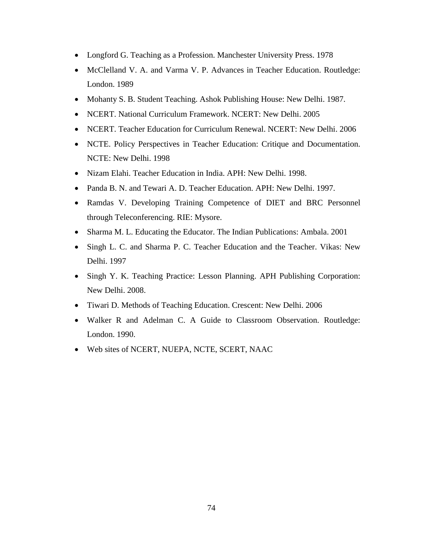- Longford G. Teaching as a Profession. Manchester University Press. 1978
- McClelland V. A. and Varma V. P. Advances in Teacher Education. Routledge: London. 1989
- Mohanty S. B. Student Teaching. Ashok Publishing House: New Delhi. 1987.
- NCERT. National Curriculum Framework. NCERT: New Delhi. 2005
- NCERT. Teacher Education for Curriculum Renewal. NCERT: New Delhi. 2006
- NCTE. Policy Perspectives in Teacher Education: Critique and Documentation. NCTE: New Delhi. 1998
- Nizam Elahi. Teacher Education in India. APH: New Delhi. 1998.
- Panda B. N. and Tewari A. D. Teacher Education. APH: New Delhi. 1997.
- Ramdas V. Developing Training Competence of DIET and BRC Personnel through Teleconferencing. RIE: Mysore.
- Sharma M. L. Educating the Educator. The Indian Publications: Ambala. 2001
- Singh L. C. and Sharma P. C. Teacher Education and the Teacher. Vikas: New Delhi. 1997
- Singh Y. K. Teaching Practice: Lesson Planning. APH Publishing Corporation: New Delhi. 2008.
- Tiwari D. Methods of Teaching Education. Crescent: New Delhi. 2006
- Walker R and Adelman C. A Guide to Classroom Observation. Routledge: London. 1990.
- Web sites of NCERT, NUEPA, NCTE, SCERT, NAAC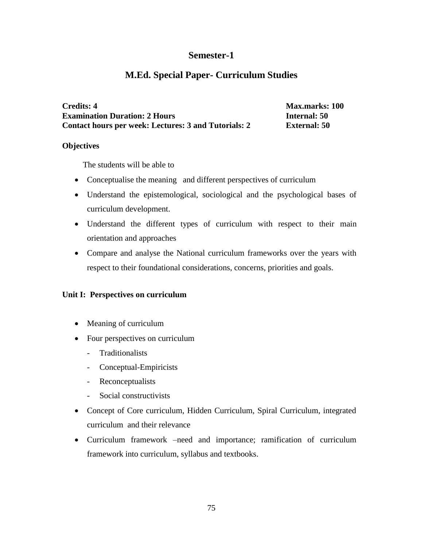# **Semester-1**

# **M.Ed. Special Paper- Curriculum Studies**

**Credits: 4** Max.marks: 100 **Examination Duration: 2 Hours Internal: 50 Contact hours per week: Lectures: 3 and Tutorials: 2 External: 50**

#### **Objectives**

The students will be able to

- Conceptualise the meaning and different perspectives of curriculum
- Understand the epistemological, sociological and the psychological bases of curriculum development.
- Understand the different types of curriculum with respect to their main orientation and approaches
- Compare and analyse the National curriculum frameworks over the years with respect to their foundational considerations, concerns, priorities and goals.

# **Unit I: Perspectives on curriculum**

- Meaning of curriculum
- Four perspectives on curriculum
	- Traditionalists
	- Conceptual-Empiricists
	- Reconceptualists
	- Social constructivists
- Concept of Core curriculum, Hidden Curriculum, Spiral Curriculum, integrated curriculum and their relevance
- Curriculum framework –need and importance; ramification of curriculum framework into curriculum, syllabus and textbooks.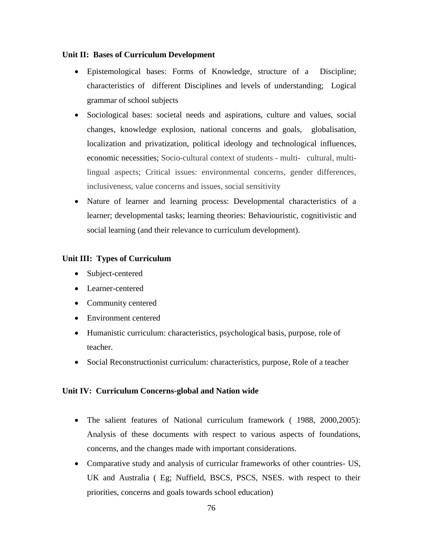#### **Unit II: Bases of Curriculum Development**

- Epistemological bases: Forms of Knowledge, structure of a Discipline; characteristics of different Disciplines and levels of understanding; Logical grammar of school subjects
- Sociological bases: societal needs and aspirations, culture and values, social changes, knowledge explosion, national concerns and goals, globalisation, localization and privatization, political ideology and technological influences, economic necessities; Socio-cultural context of students - multi- cultural, multilingual aspects; Critical issues: environmental concerns, gender differences, inclusiveness, value concerns and issues, social sensitivity
- Nature of learner and learning process: Developmental characteristics of a learner; developmental tasks; learning theories: Behaviouristic, cognitivistic and social learning (and their relevance to curriculum development).

# **Unit III: Types of Curriculum**

- Subject-centered
- Learner-centered
- Community centered
- Environment centered
- Humanistic curriculum: characteristics, psychological basis, purpose, role of teacher.
- Social Reconstructionist curriculum: characteristics, purpose, Role of a teacher

# **Unit IV: Curriculum Concerns-global and Nation wide**

- The salient features of National curriculum framework ( 1988, 2000,2005): Analysis of these documents with respect to various aspects of foundations, concerns, and the changes made with important considerations.
- Comparative study and analysis of curricular frameworks of other countries- US, UK and Australia ( Eg; Nuffield, BSCS, PSCS, NSES. with respect to their priorities, concerns and goals towards school education)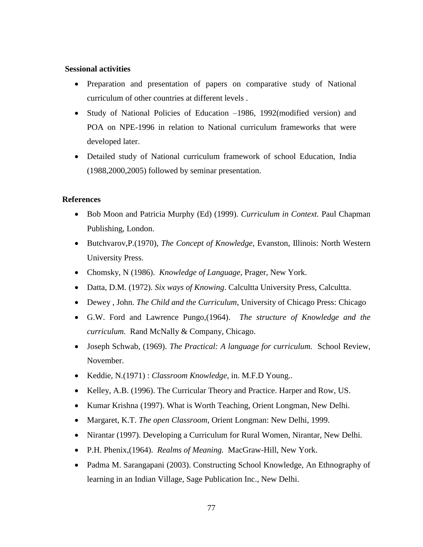#### **Sessional activities**

- Preparation and presentation of papers on comparative study of National curriculum of other countries at different levels .
- Study of National Policies of Education –1986, 1992(modified version) and POA on NPE-1996 in relation to National curriculum frameworks that were developed later.
- Detailed study of National curriculum framework of school Education, India (1988,2000,2005) followed by seminar presentation.

- Bob Moon and Patricia Murphy (Ed) (1999). *Curriculum in Context.* Paul Chapman Publishing, London.
- Butchvarov,P.(1970), *The Concept of Knowledge*, Evanston, Illinois: North Western University Press.
- Chomsky, N (1986). *Knowledge of Language*, Prager, New York.
- Datta, D.M. (1972). *Six ways of Knowing*. Calcultta University Press, Calcultta.
- Dewey , John. *The Child and the Curriculum*, University of Chicago Press: Chicago
- G.W. Ford and Lawrence Pungo,(1964). *The structure of Knowledge and the curriculum.* Rand McNally & Company, Chicago.
- Joseph Schwab, (1969). *The Practical: A language for curriculum.* School Review, November.
- Keddie, N.(1971) : *Classroom Knowledge*, in. M.F.D Young..
- Kelley, A.B. (1996). The Curricular Theory and Practice. Harper and Row, US.
- Kumar Krishna (1997). What is Worth Teaching, Orient Longman, New Delhi.
- Margaret, K.T. *The open Classroom*, Orient Longman: New Delhi, 1999.
- Nirantar (1997). Developing a Curriculum for Rural Women, Nirantar, New Delhi.
- P.H. Phenix,(1964). *Realms of Meaning.* MacGraw-Hill, New York.
- Padma M. Sarangapani (2003). Constructing School Knowledge, An Ethnography of learning in an Indian Village, Sage Publication Inc., New Delhi.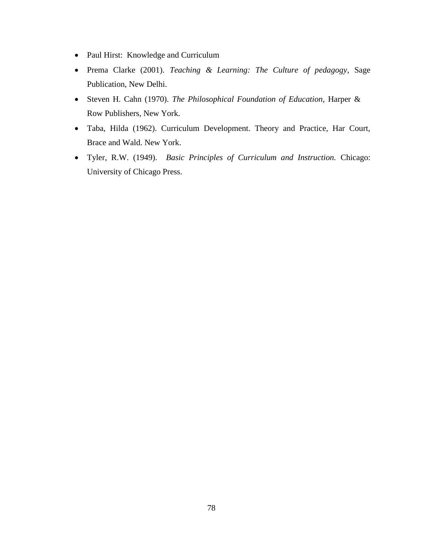- Paul Hirst: Knowledge and Curriculum
- Prema Clarke (2001). *Teaching & Learning: The Culture of pedagogy*, Sage Publication, New Delhi.
- Steven H. Cahn (1970). *The Philosophical Foundation of Education,* Harper & Row Publishers, New York.
- Taba, Hilda (1962). Curriculum Development. Theory and Practice, Har Court, Brace and Wald. New York.
- Tyler, R.W. (1949). *Basic Principles of Curriculum and Instruction.* Chicago: University of Chicago Press.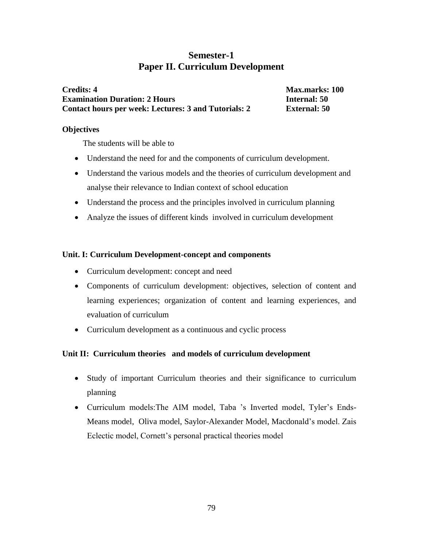# **Semester-1 Paper II. Curriculum Development**

**Credits: 4** Max.marks: 100 **Examination Duration: 2 Hours Internal: 50 Contact hours per week: Lectures: 3 and Tutorials: 2 External: 50**

#### **Objectives**

The students will be able to

- Understand the need for and the components of curriculum development.
- Understand the various models and the theories of curriculum development and analyse their relevance to Indian context of school education
- Understand the process and the principles involved in curriculum planning
- Analyze the issues of different kinds involved in curriculum development

#### **Unit. I: Curriculum Development-concept and components**

- Curriculum development: concept and need
- Components of curriculum development: objectives, selection of content and learning experiences; organization of content and learning experiences, and evaluation of curriculum
- Curriculum development as a continuous and cyclic process

# **Unit II: Curriculum theories and models of curriculum development**

- Study of important Curriculum theories and their significance to curriculum planning
- Curriculum models:The AIM model, Taba 's Inverted model, Tyler's Ends-Means model, Oliva model, Saylor-Alexander Model, Macdonald's model. Zais Eclectic model, Cornett's personal practical theories model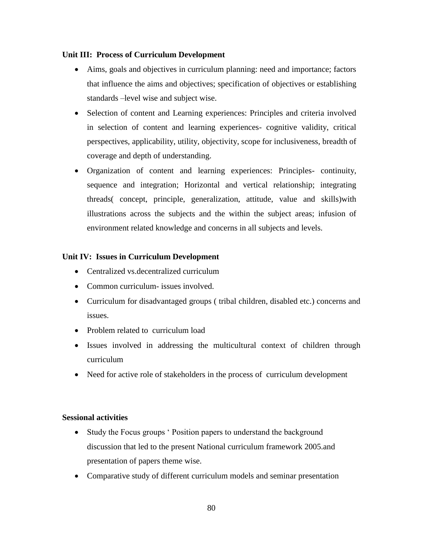#### **Unit III: Process of Curriculum Development**

- Aims, goals and objectives in curriculum planning: need and importance; factors that influence the aims and objectives; specification of objectives or establishing standards –level wise and subject wise.
- Selection of content and Learning experiences: Principles and criteria involved in selection of content and learning experiences- cognitive validity, critical perspectives, applicability, utility, objectivity, scope for inclusiveness, breadth of coverage and depth of understanding.
- Organization of content and learning experiences: Principles- continuity, sequence and integration; Horizontal and vertical relationship; integrating threads( concept, principle, generalization, attitude, value and skills)with illustrations across the subjects and the within the subject areas; infusion of environment related knowledge and concerns in all subjects and levels.

# **Unit IV: Issues in Curriculum Development**

- Centralized vs.decentralized curriculum
- Common curriculum- issues involved.
- Curriculum for disadvantaged groups ( tribal children, disabled etc.) concerns and issues.
- Problem related to curriculum load
- Issues involved in addressing the multicultural context of children through curriculum
- Need for active role of stakeholders in the process of curriculum development

#### **Sessional activities**

- Study the Focus groups 'Position papers to understand the background discussion that led to the present National curriculum framework 2005.and presentation of papers theme wise.
- Comparative study of different curriculum models and seminar presentation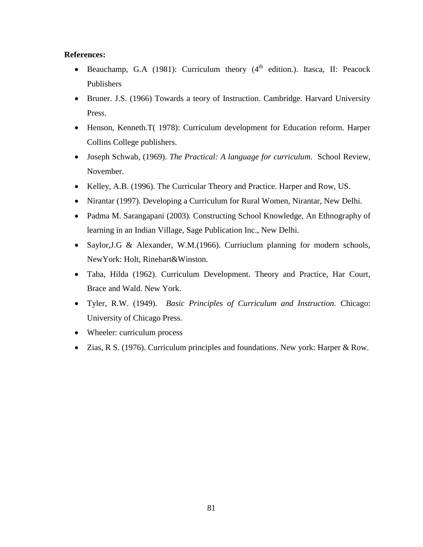- **Beauchamp, G.A** (1981): Curriculum theory  $(4<sup>th</sup>$  edition.). Itasca, II: Peacock Publishers
- Bruner. J.S. (1966) Towards a teory of Instruction. Cambridge. Harvard University Press.
- Henson, Kenneth.T( 1978): Curriculum development for Education reform. Harper Collins College publishers.
- Joseph Schwab, (1969). *The Practical: A language for curriculum.* School Review, November.
- Kelley, A.B. (1996). The Curricular Theory and Practice. Harper and Row, US.
- Nirantar (1997). Developing a Curriculum for Rural Women, Nirantar, New Delhi.
- Padma M. Sarangapani (2003). Constructing School Knowledge, An Ethnography of learning in an Indian Village, Sage Publication Inc., New Delhi.
- Saylor, J.G & Alexander, W.M. (1966). Curriuclum planning for modern schools, NewYork: Holt, Rinehart&Winston.
- Taba, Hilda (1962). Curriculum Development. Theory and Practice, Har Court, Brace and Wald. New York.
- Tyler, R.W. (1949). *Basic Principles of Curriculum and Instruction.* Chicago: University of Chicago Press.
- Wheeler: curriculum process
- Zias, R S. (1976). Curriculum principles and foundations. New york: Harper & Row.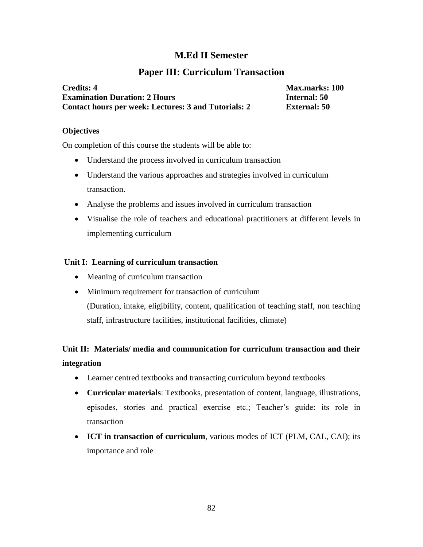# **M.Ed II Semester**

# **Paper III: Curriculum Transaction**

| <b>Credits: 4</b>                                           | <b>Max.marks: 100</b> |
|-------------------------------------------------------------|-----------------------|
| <b>Examination Duration: 2 Hours</b>                        | Internal: 50          |
| <b>Contact hours per week: Lectures: 3 and Tutorials: 2</b> | External: 50          |

#### **Objectives**

On completion of this course the students will be able to:

- Understand the process involved in curriculum transaction
- Understand the various approaches and strategies involved in curriculum transaction.
- Analyse the problems and issues involved in curriculum transaction
- Visualise the role of teachers and educational practitioners at different levels in implementing curriculum

# **Unit I: Learning of curriculum transaction**

- Meaning of curriculum transaction
- Minimum requirement for transaction of curriculum (Duration, intake, eligibility, content, qualification of teaching staff, non teaching staff, infrastructure facilities, institutional facilities, climate)

# **Unit II: Materials/ media and communication for curriculum transaction and their integration**

- Learner centred textbooks and transacting curriculum beyond textbooks
- **Curricular materials**: Textbooks, presentation of content, language, illustrations, episodes, stories and practical exercise etc.; Teacher's guide: its role in transaction
- **ICT in transaction of curriculum**, various modes of ICT (PLM, CAL, CAI); its importance and role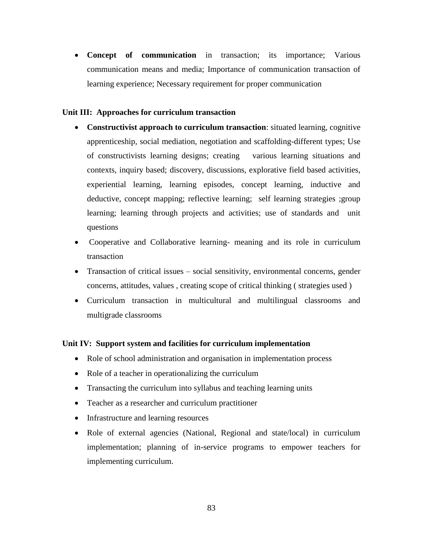**Concept of communication** in transaction; its importance; Various communication means and media; Importance of communication transaction of learning experience; Necessary requirement for proper communication

#### **Unit III: Approaches for curriculum transaction**

- **Constructivist approach to curriculum transaction**: situated learning, cognitive apprenticeship, social mediation, negotiation and scaffolding-different types; Use of constructivists learning designs; creating various learning situations and contexts, inquiry based; discovery, discussions, explorative field based activities, experiential learning, learning episodes, concept learning, inductive and deductive, concept mapping; reflective learning; self learning strategies ;group learning; learning through projects and activities; use of standards and unit questions
- Cooperative and Collaborative learning- meaning and its role in curriculum transaction
- Transaction of critical issues social sensitivity, environmental concerns, gender concerns, attitudes, values , creating scope of critical thinking ( strategies used )
- Curriculum transaction in multicultural and multilingual classrooms and multigrade classrooms

#### **Unit IV: Support system and facilities for curriculum implementation**

- Role of school administration and organisation in implementation process
- Role of a teacher in operationalizing the curriculum
- Transacting the curriculum into syllabus and teaching learning units
- Teacher as a researcher and curriculum practitioner
- Infrastructure and learning resources
- Role of external agencies (National, Regional and state/local) in curriculum implementation; planning of in-service programs to empower teachers for implementing curriculum.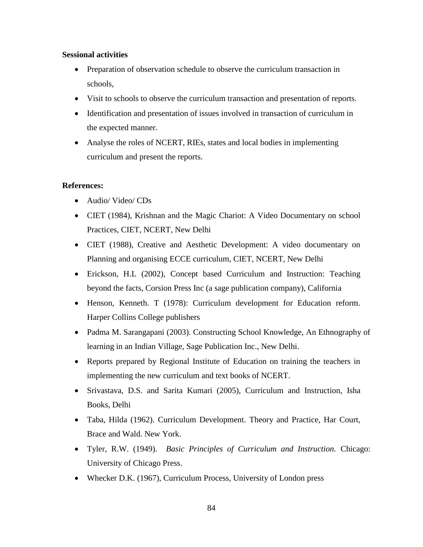#### **Sessional activities**

- Preparation of observation schedule to observe the curriculum transaction in schools,
- Visit to schools to observe the curriculum transaction and presentation of reports.
- Identification and presentation of issues involved in transaction of curriculum in the expected manner.
- Analyse the roles of NCERT, RIEs, states and local bodies in implementing curriculum and present the reports.

- Audio/ Video/ CDs
- CIET (1984), Krishnan and the Magic Chariot: A Video Documentary on school Practices, CIET, NCERT, New Delhi
- CIET (1988), Creative and Aesthetic Development: A video documentary on Planning and organising ECCE curriculum, CIET, NCERT, New Delhi
- Erickson, H.L (2002), Concept based Curriculum and Instruction: Teaching beyond the facts, Corsion Press Inc (a sage publication company), California
- Henson, Kenneth. T (1978): Curriculum development for Education reform. Harper Collins College publishers
- Padma M. Sarangapani (2003). Constructing School Knowledge, An Ethnography of learning in an Indian Village, Sage Publication Inc., New Delhi.
- Reports prepared by Regional Institute of Education on training the teachers in implementing the new curriculum and text books of NCERT.
- Srivastava, D.S. and Sarita Kumari (2005), Curriculum and Instruction, Isha Books, Delhi
- Taba, Hilda (1962). Curriculum Development. Theory and Practice, Har Court, Brace and Wald. New York.
- Tyler, R.W. (1949). *Basic Principles of Curriculum and Instruction.* Chicago: University of Chicago Press.
- Whecker D.K. (1967), Curriculum Process, University of London press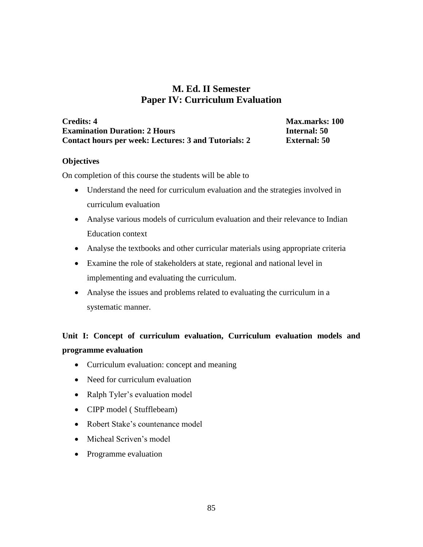# **M. Ed. II Semester Paper IV: Curriculum Evaluation**

| <b>Credits: 4</b>                                    |
|------------------------------------------------------|
| <b>Examination Duration: 2 Hours</b>                 |
| Contact hours per week: Lectures: 3 and Tutorials: 2 |

**Max.marks: 100 Example 1 External: 50** 

#### **Objectives**

On completion of this course the students will be able to

- Understand the need for curriculum evaluation and the strategies involved in curriculum evaluation
- Analyse various models of curriculum evaluation and their relevance to Indian Education context
- Analyse the textbooks and other curricular materials using appropriate criteria
- Examine the role of stakeholders at state, regional and national level in implementing and evaluating the curriculum.
- Analyse the issues and problems related to evaluating the curriculum in a systematic manner.

# **Unit I: Concept of curriculum evaluation, Curriculum evaluation models and programme evaluation**

- Curriculum evaluation: concept and meaning
- Need for curriculum evaluation
- Ralph Tyler's evaluation model
- CIPP model (Stufflebeam)
- Robert Stake's countenance model
- Micheal Scriven's model
- Programme evaluation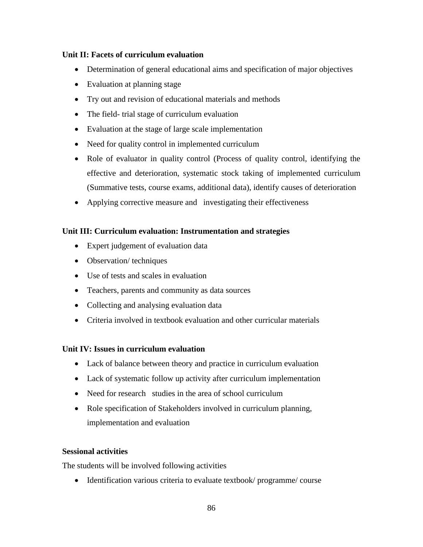# **Unit II: Facets of curriculum evaluation**

- Determination of general educational aims and specification of major objectives
- Evaluation at planning stage
- Try out and revision of educational materials and methods
- The field- trial stage of curriculum evaluation
- Evaluation at the stage of large scale implementation
- Need for quality control in implemented curriculum
- Role of evaluator in quality control (Process of quality control, identifying the effective and deterioration, systematic stock taking of implemented curriculum (Summative tests, course exams, additional data), identify causes of deterioration
- Applying corrective measure and investigating their effectiveness

# **Unit III: Curriculum evaluation: Instrumentation and strategies**

- Expert judgement of evaluation data
- Observation/ techniques
- Use of tests and scales in evaluation
- Teachers, parents and community as data sources
- Collecting and analysing evaluation data
- Criteria involved in textbook evaluation and other curricular materials

# **Unit IV: Issues in curriculum evaluation**

- Lack of balance between theory and practice in curriculum evaluation
- Lack of systematic follow up activity after curriculum implementation
- Need for research studies in the area of school curriculum
- Role specification of Stakeholders involved in curriculum planning, implementation and evaluation

# **Sessional activities**

The students will be involved following activities

• Identification various criteria to evaluate textbook/programme/course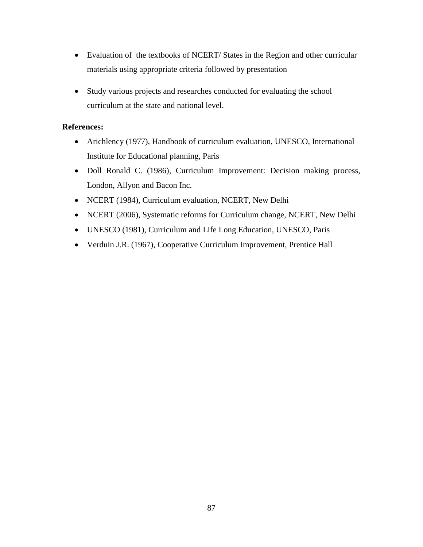- Evaluation of the textbooks of NCERT/ States in the Region and other curricular materials using appropriate criteria followed by presentation
- Study various projects and researches conducted for evaluating the school curriculum at the state and national level.

- Arichlency (1977), Handbook of curriculum evaluation, UNESCO, International Institute for Educational planning, Paris
- Doll Ronald C. (1986), Curriculum Improvement: Decision making process, London, Allyon and Bacon Inc.
- NCERT (1984), Curriculum evaluation, NCERT, New Delhi
- NCERT (2006), Systematic reforms for Curriculum change, NCERT, New Delhi
- UNESCO (1981), Curriculum and Life Long Education, UNESCO, Paris
- Verduin J.R. (1967), Cooperative Curriculum Improvement, Prentice Hall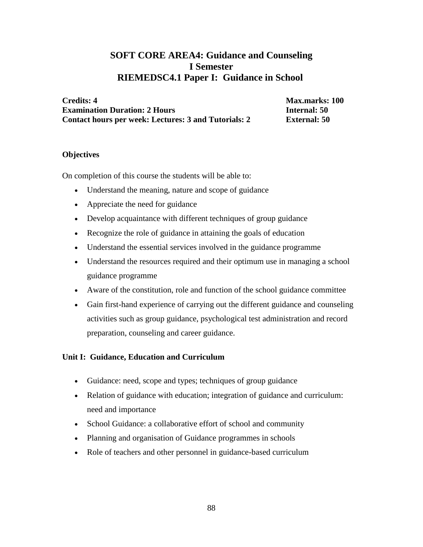# **SOFT CORE AREA4: Guidance and Counseling I Semester RIEMEDSC4.1 Paper I: Guidance in School**

**Credits: 4** Max.marks: 100 **Examination Duration: 2 Hours Internal: 50 Contact hours per week: Lectures: 3 and Tutorials: 2 External: 50**

#### **Objectives**

On completion of this course the students will be able to:

- Understand the meaning, nature and scope of guidance
- Appreciate the need for guidance
- Develop acquaintance with different techniques of group guidance
- Recognize the role of guidance in attaining the goals of education
- Understand the essential services involved in the guidance programme
- Understand the resources required and their optimum use in managing a school guidance programme
- Aware of the constitution, role and function of the school guidance committee
- Gain first-hand experience of carrying out the different guidance and counseling activities such as group guidance, psychological test administration and record preparation, counseling and career guidance.

# **Unit I: Guidance, Education and Curriculum**

- Guidance: need, scope and types; techniques of group guidance
- Relation of guidance with education; integration of guidance and curriculum: need and importance
- School Guidance: a collaborative effort of school and community
- Planning and organisation of Guidance programmes in schools
- Role of teachers and other personnel in guidance-based curriculum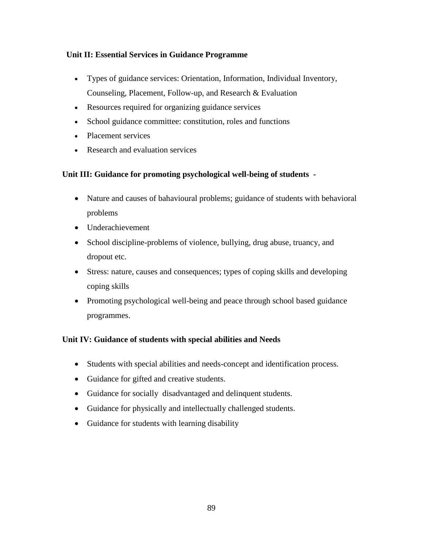# **Unit II: Essential Services in Guidance Programme**

- Types of guidance services: Orientation, Information, Individual Inventory, Counseling, Placement, Follow-up, and Research & Evaluation
- Resources required for organizing guidance services
- School guidance committee: constitution, roles and functions
- Placement services
- Research and evaluation services

# **Unit III: Guidance for promoting psychological well-being of students -**

- Nature and causes of bahavioural problems; guidance of students with behavioral problems
- Underachievement
- School discipline-problems of violence, bullying, drug abuse, truancy, and dropout etc.
- Stress: nature, causes and consequences; types of coping skills and developing coping skills
- Promoting psychological well-being and peace through school based guidance programmes.

# **Unit IV: Guidance of students with special abilities and Needs**

- Students with special abilities and needs-concept and identification process.
- Guidance for gifted and creative students.
- Guidance for socially disadvantaged and delinquent students.
- Guidance for physically and intellectually challenged students.
- Guidance for students with learning disability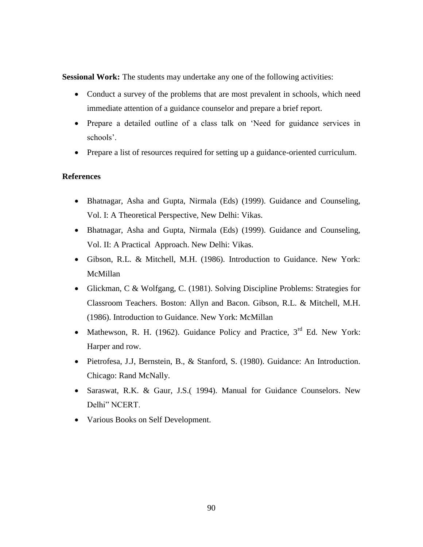**Sessional Work:** The students may undertake any one of the following activities:

- Conduct a survey of the problems that are most prevalent in schools, which need immediate attention of a guidance counselor and prepare a brief report.
- Prepare a detailed outline of a class talk on 'Need for guidance services in schools'.
- Prepare a list of resources required for setting up a guidance-oriented curriculum.

- Bhatnagar, Asha and Gupta, Nirmala (Eds) (1999). Guidance and Counseling, Vol. I: A Theoretical Perspective, New Delhi: Vikas.
- Bhatnagar, Asha and Gupta, Nirmala (Eds) (1999). Guidance and Counseling, Vol. II: A Practical Approach. New Delhi: Vikas.
- Gibson, R.L. & Mitchell, M.H. (1986). Introduction to Guidance. New York: McMillan
- Glickman, C & Wolfgang, C. (1981). Solving Discipline Problems: Strategies for Classroom Teachers. Boston: Allyn and Bacon. Gibson, R.L. & Mitchell, M.H. (1986). Introduction to Guidance. New York: McMillan
- Mathewson, R. H. (1962). Guidance Policy and Practice,  $3<sup>rd</sup>$  Ed. New York: Harper and row.
- Pietrofesa, J.J, Bernstein, B., & Stanford, S. (1980). Guidance: An Introduction. Chicago: Rand McNally.
- Saraswat, R.K. & Gaur, J.S.( 1994). Manual for Guidance Counselors. New Delhi" NCERT.
- Various Books on Self Development.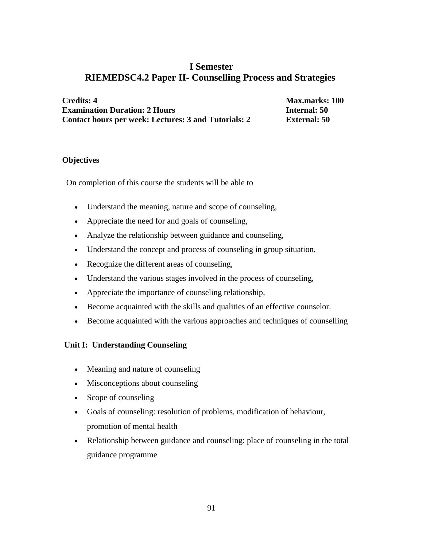# **I Semester RIEMEDSC4.2 Paper II- Counselling Process and Strategies**

**Credits: 4** Max.marks: 100 **Examination Duration: 2 Hours Internal: 50 Contact hours per week: Lectures: 3 and Tutorials: 2 External: 50**

#### **Objectives**

On completion of this course the students will be able to

- Understand the meaning, nature and scope of counseling,
- Appreciate the need for and goals of counseling,
- Analyze the relationship between guidance and counseling,
- Understand the concept and process of counseling in group situation,
- Recognize the different areas of counseling,
- Understand the various stages involved in the process of counseling,
- Appreciate the importance of counseling relationship,
- Become acquainted with the skills and qualities of an effective counselor.
- Become acquainted with the various approaches and techniques of counselling

#### **Unit I: Understanding Counseling**

- Meaning and nature of counseling
- Misconceptions about counseling
- Scope of counseling
- Goals of counseling: resolution of problems, modification of behaviour, promotion of mental health
- Relationship between guidance and counseling: place of counseling in the total guidance programme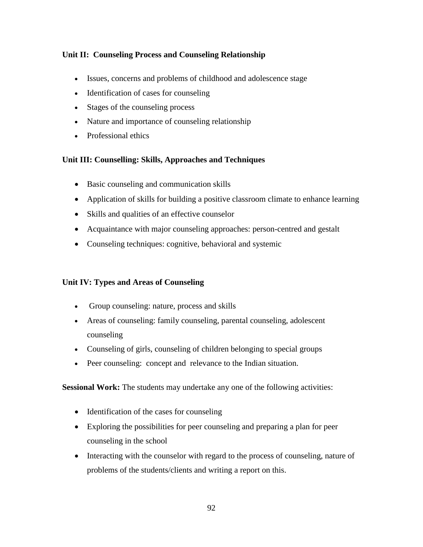# **Unit II: Counseling Process and Counseling Relationship**

- Issues, concerns and problems of childhood and adolescence stage
- Identification of cases for counseling
- Stages of the counseling process
- Nature and importance of counseling relationship
- Professional ethics

# **Unit III: Counselling: Skills, Approaches and Techniques**

- Basic counseling and communication skills
- Application of skills for building a positive classroom climate to enhance learning
- Skills and qualities of an effective counselor
- Acquaintance with major counseling approaches: person-centred and gestalt
- Counseling techniques: cognitive, behavioral and systemic

# **Unit IV: Types and Areas of Counseling**

- Group counseling: nature, process and skills
- Areas of counseling: family counseling, parental counseling, adolescent counseling
- Counseling of girls, counseling of children belonging to special groups
- Peer counseling: concept and relevance to the Indian situation.

**Sessional Work:** The students may undertake any one of the following activities:

- Identification of the cases for counseling
- Exploring the possibilities for peer counseling and preparing a plan for peer counseling in the school
- Interacting with the counselor with regard to the process of counseling, nature of problems of the students/clients and writing a report on this.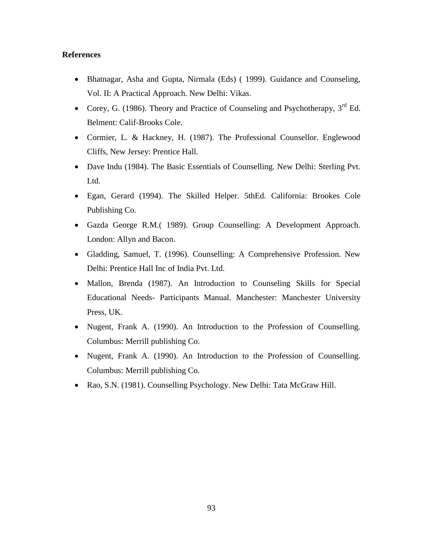- Bhatnagar, Asha and Gupta, Nirmala (Eds) ( 1999). Guidance and Counseling, Vol. II: A Practical Approach. New Delhi: Vikas.
- Corey, G. (1986). Theory and Practice of Counseling and Psychotherapy,  $3<sup>rd</sup>$  Ed. Belment: Calif-Brooks Cole.
- Cormier, L. & Hackney, H. (1987). The Professional Counsellor. Englewood Cliffs, New Jersey: Prentice Hall.
- Dave Indu (1984). The Basic Essentials of Counselling. New Delhi: Sterling Pvt. Ltd.
- Egan, Gerard (1994). The Skilled Helper. 5thEd. California: Brookes Cole Publishing Co.
- Gazda George R.M.( 1989). Group Counselling: A Development Approach. London: Allyn and Bacon.
- Gladding, Samuel, T. (1996). Counselling: A Comprehensive Profession. New Delhi: Prentice Hall Inc of India Pvt. Ltd.
- Mallon, Brenda (1987). An Introduction to Counseling Skills for Special Educational Needs- Participants Manual. Manchester: Manchester University Press, UK.
- Nugent, Frank A. (1990). An Introduction to the Profession of Counselling. Columbus: Merrill publishing Co.
- Nugent, Frank A. (1990). An Introduction to the Profession of Counselling. Columbus: Merrill publishing Co.
- Rao, S.N. (1981). Counselling Psychology. New Delhi: Tata McGraw Hill.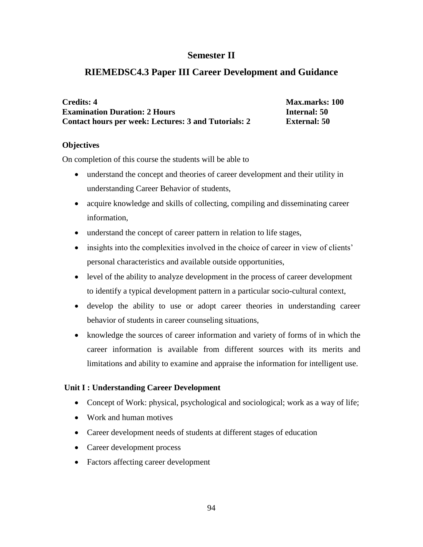# **Semester II**

# **RIEMEDSC4.3 Paper III Career Development and Guidance**

| <b>Credits: 4</b>                                    |
|------------------------------------------------------|
| <b>Examination Duration: 2 Hours</b>                 |
| Contact hours per week: Lectures: 3 and Tutorials: 2 |

**Max.marks: 100 Example 150 External: 50** 

#### **Objectives**

On completion of this course the students will be able to

- understand the concept and theories of career development and their utility in understanding Career Behavior of students,
- acquire knowledge and skills of collecting, compiling and disseminating career information,
- understand the concept of career pattern in relation to life stages,
- insights into the complexities involved in the choice of career in view of clients' personal characteristics and available outside opportunities,
- level of the ability to analyze development in the process of career development to identify a typical development pattern in a particular socio-cultural context,
- develop the ability to use or adopt career theories in understanding career behavior of students in career counseling situations,
- knowledge the sources of career information and variety of forms of in which the career information is available from different sources with its merits and limitations and ability to examine and appraise the information for intelligent use.

# **Unit I : Understanding Career Development**

- Concept of Work: physical, psychological and sociological; work as a way of life;
- Work and human motives
- Career development needs of students at different stages of education
- Career development process
- Factors affecting career development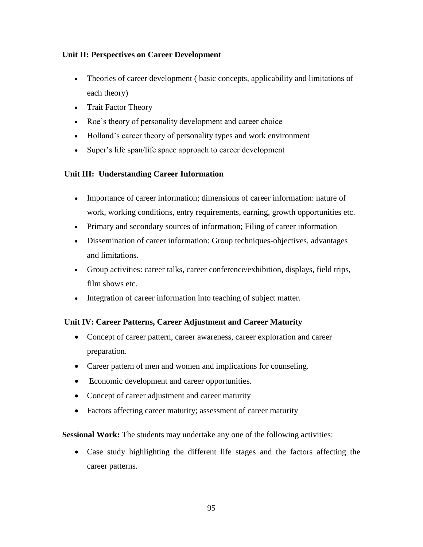# **Unit II: Perspectives on Career Development**

- Theories of career development ( basic concepts, applicability and limitations of each theory)
- Trait Factor Theory
- Roe's theory of personality development and career choice
- Holland's career theory of personality types and work environment
- Super's life span/life space approach to career development

# **Unit III: Understanding Career Information**

- Importance of career information; dimensions of career information: nature of work, working conditions, entry requirements, earning, growth opportunities etc.
- Primary and secondary sources of information; Filing of career information
- Dissemination of career information: Group techniques-objectives, advantages and limitations.
- Group activities: career talks, career conference/exhibition, displays, field trips, film shows etc.
- Integration of career information into teaching of subject matter.

# **Unit IV: Career Patterns, Career Adjustment and Career Maturity**

- Concept of career pattern, career awareness, career exploration and career preparation.
- Career pattern of men and women and implications for counseling.
- Economic development and career opportunities.
- Concept of career adjustment and career maturity
- Factors affecting career maturity; assessment of career maturity

**Sessional Work:** The students may undertake any one of the following activities:

 Case study highlighting the different life stages and the factors affecting the career patterns.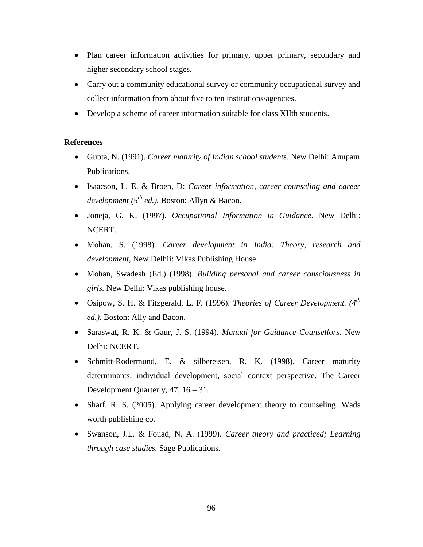- Plan career information activities for primary, upper primary, secondary and higher secondary school stages.
- Carry out a community educational survey or community occupational survey and collect information from about five to ten institutions/agencies.
- Develop a scheme of career information suitable for class XIIth students.

- Gupta, N. (1991). *Career maturity of Indian school students*. New Delhi: Anupam Publications.
- Isaacson, L. E. & Broen, D: *Career information, career counseling and career development (5th ed.).* Boston: Allyn & Bacon.
- Joneja, G. K. (1997). *Occupational Information in Guidance*. New Delhi: NCERT.
- Mohan, S. (1998). *Career development in India: Theory, research and development,* New Delhii: Vikas Publishing House.
- Mohan, Swadesh (Ed.) (1998). *Building personal and career consciousness in girls.* New Delhi: Vikas publishing house.
- Osipow, S. H. & Fitzgerald, L. F. (1996). *Theories of Career Development. (4th ed.).* Boston: Ally and Bacon.
- Saraswat, R. K. & Gaur, J. S. (1994). *Manual for Guidance Counsellors*. New Delhi: NCERT.
- Schmitt-Rodermund, E. & silbereisen, R. K. (1998). Career maturity determinants: individual development, social context perspective. The Career Development Quarterly, 47, 16 – 31.
- Sharf, R. S. (2005). Applying career development theory to counseling. Wads worth publishing co.
- Swanson, J.L. & Fouad, N. A. (1999). *Career theory and practiced; Learning through case studies.* Sage Publications.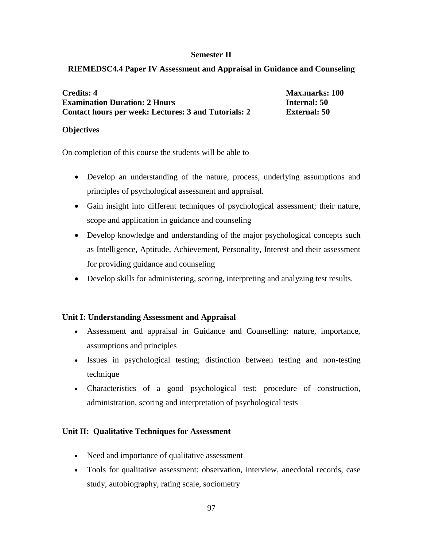#### **Semester II**

# **RIEMEDSC4.4 Paper IV Assessment and Appraisal in Guidance and Counseling**

| <b>Credits: 4</b>                                    | <b>Max.marks: 100</b> |
|------------------------------------------------------|-----------------------|
| <b>Examination Duration: 2 Hours</b>                 | <b>Internal: 50</b>   |
| Contact hours per week: Lectures: 3 and Tutorials: 2 | <b>External: 50</b>   |

#### **Objectives**

On completion of this course the students will be able to

- Develop an understanding of the nature, process, underlying assumptions and principles of psychological assessment and appraisal.
- Gain insight into different techniques of psychological assessment; their nature, scope and application in guidance and counseling
- Develop knowledge and understanding of the major psychological concepts such as Intelligence, Aptitude, Achievement, Personality, Interest and their assessment for providing guidance and counseling
- Develop skills for administering, scoring, interpreting and analyzing test results.

# **Unit I: Understanding Assessment and Appraisal**

- Assessment and appraisal in Guidance and Counselling: nature, importance, assumptions and principles
- Issues in psychological testing; distinction between testing and non-testing technique
- Characteristics of a good psychological test; procedure of construction, administration, scoring and interpretation of psychological tests

# **Unit II: Qualitative Techniques for Assessment**

- Need and importance of qualitative assessment
- Tools for qualitative assessment: observation, interview, anecdotal records, case study, autobiography, rating scale, sociometry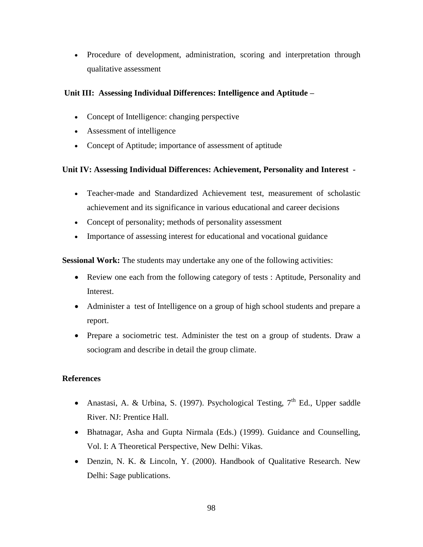Procedure of development, administration, scoring and interpretation through qualitative assessment

# **Unit III: Assessing Individual Differences: Intelligence and Aptitude –**

- Concept of Intelligence: changing perspective
- Assessment of intelligence
- Concept of Aptitude; importance of assessment of aptitude

# **Unit IV: Assessing Individual Differences: Achievement, Personality and Interest -**

- Teacher-made and Standardized Achievement test, measurement of scholastic achievement and its significance in various educational and career decisions
- Concept of personality; methods of personality assessment
- Importance of assessing interest for educational and vocational guidance

**Sessional Work:** The students may undertake any one of the following activities:

- Review one each from the following category of tests : Aptitude, Personality and Interest.
- Administer a test of Intelligence on a group of high school students and prepare a report.
- Prepare a sociometric test. Administer the test on a group of students. Draw a sociogram and describe in detail the group climate.

- Anastasi, A. & Urbina, S. (1997). Psychological Testing,  $7<sup>th</sup>$  Ed., Upper saddle River. NJ: Prentice Hall.
- Bhatnagar, Asha and Gupta Nirmala (Eds.) (1999). Guidance and Counselling, Vol. I: A Theoretical Perspective, New Delhi: Vikas.
- Denzin, N. K. & Lincoln, Y. (2000). Handbook of Qualitative Research. New Delhi: Sage publications.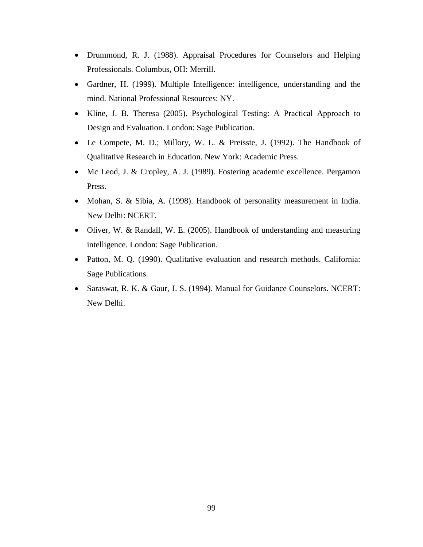- Drummond, R. J. (1988). Appraisal Procedures for Counselors and Helping Professionals. Columbus, OH: Merrill.
- Gardner, H. (1999). Multiple Intelligence: intelligence, understanding and the mind. National Professional Resources: NY.
- Kline, J. B. Theresa (2005). Psychological Testing: A Practical Approach to Design and Evaluation. London: Sage Publication.
- Le Compete, M. D.; Millory, W. L. & Preisste, J. (1992). The Handbook of Qualitative Research in Education. New York: Academic Press.
- Mc Leod, J. & Cropley, A. J. (1989). Fostering academic excellence. Pergamon Press.
- Mohan, S. & Sibia, A. (1998). Handbook of personality measurement in India. New Delhi: NCERT.
- Oliver, W. & Randall, W. E. (2005). Handbook of understanding and measuring intelligence. London: Sage Publication.
- Patton, M. Q. (1990). Qualitative evaluation and research methods. California: Sage Publications.
- Saraswat, R. K. & Gaur, J. S. (1994). Manual for Guidance Counselors. NCERT: New Delhi.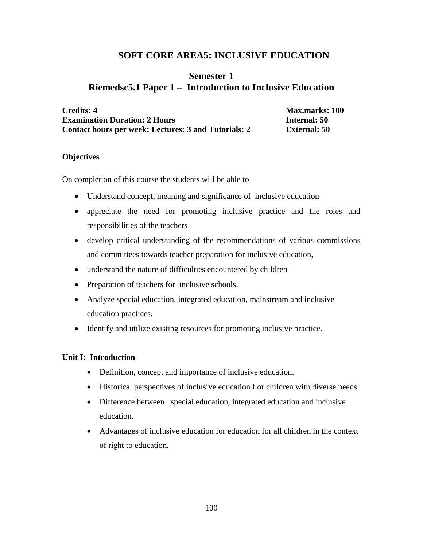# **SOFT CORE AREA5: INCLUSIVE EDUCATION**

# **Semester 1 Riemedsc5.1 Paper 1 – Introduction to Inclusive Education**

**Credits: 4 Max.marks: 100 Examination Duration: 2 Hours Internal: 50 Contact hours per week: Lectures: 3 and Tutorials: 2 External: 50**

#### **Objectives**

On completion of this course the students will be able to

- Understand concept, meaning and significance of inclusive education
- appreciate the need for promoting inclusive practice and the roles and responsibilities of the teachers
- develop critical understanding of the recommendations of various commissions and committees towards teacher preparation for inclusive education,
- understand the nature of difficulties encountered by children
- Preparation of teachers for inclusive schools,
- Analyze special education, integrated education, mainstream and inclusive education practices,
- Identify and utilize existing resources for promoting inclusive practice.

#### **Unit I: Introduction**

- Definition, concept and importance of inclusive education.
- Historical perspectives of inclusive education f or children with diverse needs.
- Difference between special education, integrated education and inclusive education.
- Advantages of inclusive education for education for all children in the context of right to education.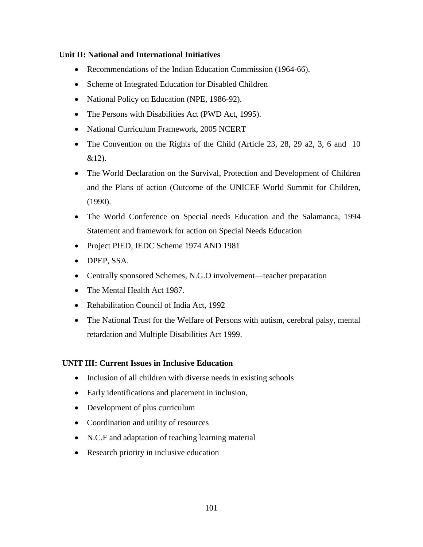#### **Unit II: National and International Initiatives**

- Recommendations of the Indian Education Commission (1964-66).
- Scheme of Integrated Education for Disabled Children
- National Policy on Education (NPE, 1986-92).
- The Persons with Disabilities Act (PWD Act, 1995).
- National Curriculum Framework, 2005 NCERT
- The Convention on the Rights of the Child (Article 23, 28, 29 a2, 3, 6 and 10  $&12$ ).
- The World Declaration on the Survival, Protection and Development of Children and the Plans of action (Outcome of the UNICEF World Summit for Children, (1990).
- The World Conference on Special needs Education and the Salamanca, 1994 Statement and framework for action on Special Needs Education
- Project PIED, IEDC Scheme 1974 AND 1981
- DPEP, SSA.
- Centrally sponsored Schemes, N.G.O involvement—teacher preparation
- The Mental Health Act 1987.
- Rehabilitation Council of India Act, 1992
- The National Trust for the Welfare of Persons with autism, cerebral palsy, mental retardation and Multiple Disabilities Act 1999.

# **UNIT III: Current Issues in Inclusive Education**

- Inclusion of all children with diverse needs in existing schools
- Early identifications and placement in inclusion,
- Development of plus curriculum
- Coordination and utility of resources
- N.C.F and adaptation of teaching learning material
- Research priority in inclusive education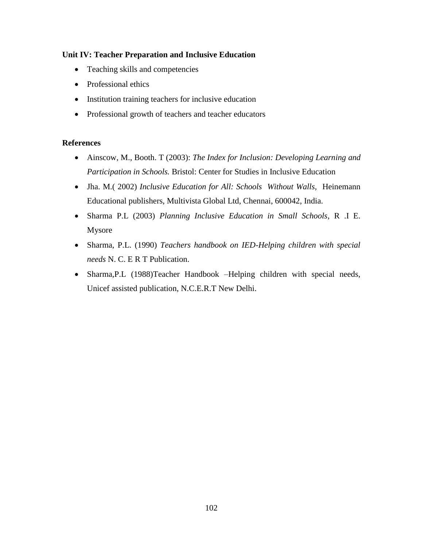# **Unit IV: Teacher Preparation and Inclusive Education**

- Teaching skills and competencies
- Professional ethics
- Institution training teachers for inclusive education
- Professional growth of teachers and teacher educators

- Ainscow, M., Booth. T (2003): *The Index for Inclusion: Developing Learning and Participation in Schools.* Bristol: Center for Studies in Inclusive Education
- Jha. M.( 2002) *Inclusive Education for All: Schools Without Walls,* Heinemann Educational publishers, Multivista Global Ltd, Chennai, 600042, India.
- Sharma P.L (2003) *Planning Inclusive Education in Small Schools*, R .I E. Mysore
- Sharma, P.L. (1990) *Teachers handbook on IED-Helping children with special needs* N. C. E R T Publication.
- Sharma,P.L (1988)Teacher Handbook –Helping children with special needs, Unicef assisted publication, N.C.E.R.T New Delhi.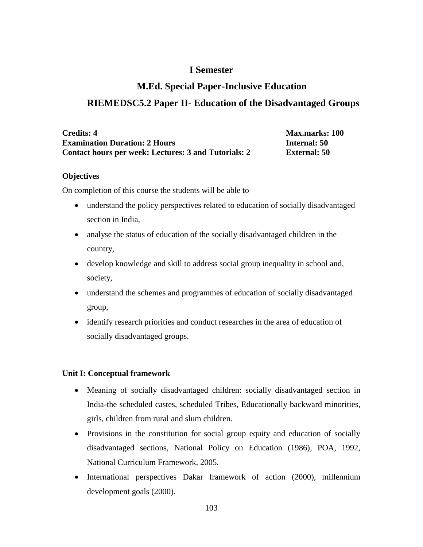# **I Semester**

# **M.Ed. Special Paper-Inclusive Education**

# **RIEMEDSC5.2 Paper II- Education of the Disadvantaged Groups**

| Credits: 4                                           |  |
|------------------------------------------------------|--|
| <b>Examination Duration: 2 Hours</b>                 |  |
| Contact hours per week: Lectures: 3 and Tutorials: 2 |  |

**Max.marks: 100 Example 150 External: 50** 

#### **Objectives**

On completion of this course the students will be able to

- understand the policy perspectives related to education of socially disadvantaged section in India,
- analyse the status of education of the socially disadvantaged children in the country,
- develop knowledge and skill to address social group inequality in school and, society,
- understand the schemes and programmes of education of socially disadvantaged group,
- identify research priorities and conduct researches in the area of education of socially disadvantaged groups.

# **Unit I: Conceptual framework**

- Meaning of socially disadvantaged children: socially disadvantaged section in India-the scheduled castes, scheduled Tribes, Educationally backward minorities, girls, children from rural and slum children.
- Provisions in the constitution for social group equity and education of socially disadvantaged sections, National Policy on Education (1986), POA, 1992, National Curriculum Framework, 2005.
- International perspectives Dakar framework of action (2000), millennium development goals (2000).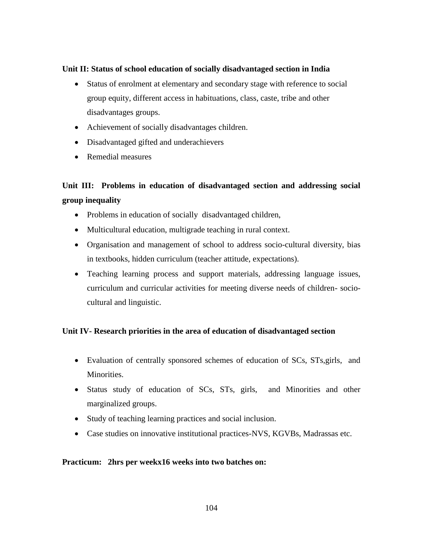#### **Unit II: Status of school education of socially disadvantaged section in India**

- Status of enrolment at elementary and secondary stage with reference to social group equity, different access in habituations, class, caste, tribe and other disadvantages groups.
- Achievement of socially disadvantages children.
- Disadvantaged gifted and underachievers
- Remedial measures

# **Unit III: Problems in education of disadvantaged section and addressing social group inequality**

- Problems in education of socially disadvantaged children,
- Multicultural education, multigrade teaching in rural context.
- Organisation and management of school to address socio-cultural diversity, bias in textbooks, hidden curriculum (teacher attitude, expectations).
- Teaching learning process and support materials, addressing language issues, curriculum and curricular activities for meeting diverse needs of children- sociocultural and linguistic.

# **Unit IV- Research priorities in the area of education of disadvantaged section**

- Evaluation of centrally sponsored schemes of education of SCs, STs,girls, and Minorities.
- Status study of education of SCs, STs, girls, and Minorities and other marginalized groups.
- Study of teaching learning practices and social inclusion.
- Case studies on innovative institutional practices-NVS, KGVBs, Madrassas etc.

#### **Practicum: 2hrs per weekx16 weeks into two batches on:**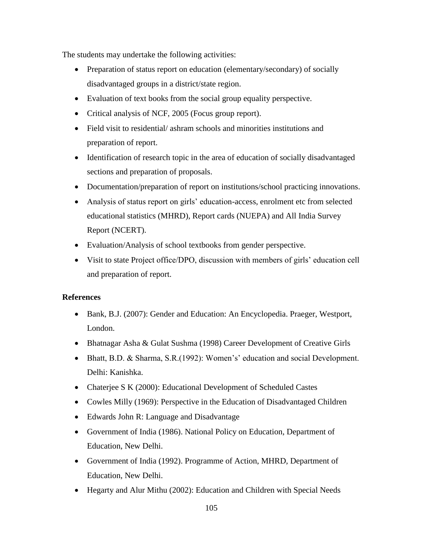The students may undertake the following activities:

- Preparation of status report on education (elementary/secondary) of socially disadvantaged groups in a district/state region.
- Evaluation of text books from the social group equality perspective.
- Critical analysis of NCF, 2005 (Focus group report).
- Field visit to residential/ ashram schools and minorities institutions and preparation of report.
- Identification of research topic in the area of education of socially disadvantaged sections and preparation of proposals.
- Documentation/preparation of report on institutions/school practicing innovations.
- Analysis of status report on girls' education-access, enrolment etc from selected educational statistics (MHRD), Report cards (NUEPA) and All India Survey Report (NCERT).
- Evaluation/Analysis of school textbooks from gender perspective.
- Visit to state Project office/DPO, discussion with members of girls' education cell and preparation of report.

- Bank, B.J. (2007): Gender and Education: An Encyclopedia. Praeger, Westport, London.
- Bhatnagar Asha & Gulat Sushma (1998) Career Development of Creative Girls
- Bhatt, B.D. & Sharma, S.R.(1992): Women's' education and social Development. Delhi: Kanishka.
- Chaterjee S K (2000): Educational Development of Scheduled Castes
- Cowles Milly (1969): Perspective in the Education of Disadvantaged Children
- Edwards John R: Language and Disadvantage
- Government of India (1986). National Policy on Education, Department of Education, New Delhi.
- Government of India (1992). Programme of Action, MHRD, Department of Education, New Delhi.
- Hegarty and Alur Mithu (2002): Education and Children with Special Needs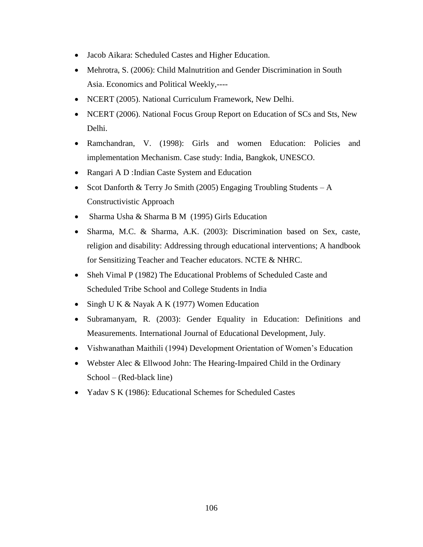- Jacob Aikara: Scheduled Castes and Higher Education.
- Mehrotra, S. (2006): Child Malnutrition and Gender Discrimination in South Asia. Economics and Political Weekly,----
- NCERT (2005). National Curriculum Framework, New Delhi.
- NCERT (2006). National Focus Group Report on Education of SCs and Sts, New Delhi.
- Ramchandran, V. (1998): Girls and women Education: Policies and implementation Mechanism. Case study: India, Bangkok, UNESCO.
- Rangari A D : Indian Caste System and Education
- Scot Danforth & Terry Jo Smith (2005) Engaging Troubling Students  $-A$ Constructivistic Approach
- Sharma Usha & Sharma B M (1995) Girls Education
- Sharma, M.C. & Sharma, A.K. (2003): Discrimination based on Sex, caste, religion and disability: Addressing through educational interventions; A handbook for Sensitizing Teacher and Teacher educators. NCTE & NHRC.
- Sheh Vimal P (1982) The Educational Problems of Scheduled Caste and Scheduled Tribe School and College Students in India
- Singh U K & Nayak A K (1977) Women Education
- Subramanyam, R. (2003): Gender Equality in Education: Definitions and Measurements. International Journal of Educational Development, July.
- Vishwanathan Maithili (1994) Development Orientation of Women's Education
- Webster Alec & Ellwood John: The Hearing-Impaired Child in the Ordinary School – (Red-black line)
- Yadav S K (1986): Educational Schemes for Scheduled Castes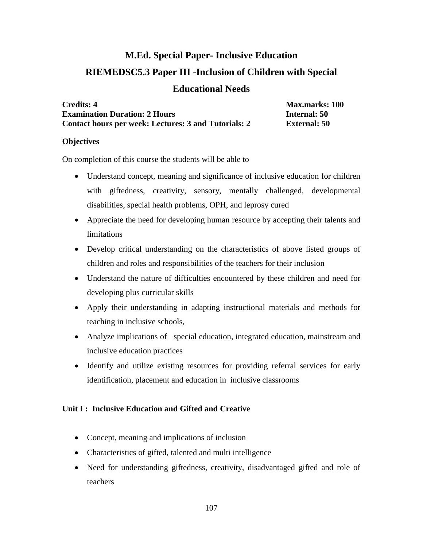# **M.Ed. Special Paper- Inclusive Education RIEMEDSC5.3 Paper III -Inclusion of Children with Special**

# **Educational Needs**

| <b>Credits: 4</b>                                    |  |
|------------------------------------------------------|--|
| <b>Examination Duration: 2 Hours</b>                 |  |
| Contact hours per week: Lectures: 3 and Tutorials: 2 |  |

**Credits: 4 Max.marks: 100 Example 1 External: 50** 

# **Objectives**

On completion of this course the students will be able to

- Understand concept, meaning and significance of inclusive education for children with giftedness, creativity, sensory, mentally challenged, developmental disabilities, special health problems, OPH, and leprosy cured
- Appreciate the need for developing human resource by accepting their talents and limitations
- Develop critical understanding on the characteristics of above listed groups of children and roles and responsibilities of the teachers for their inclusion
- Understand the nature of difficulties encountered by these children and need for developing plus curricular skills
- Apply their understanding in adapting instructional materials and methods for teaching in inclusive schools,
- Analyze implications of special education, integrated education, mainstream and inclusive education practices
- Identify and utilize existing resources for providing referral services for early identification, placement and education in inclusive classrooms

# **Unit I : Inclusive Education and Gifted and Creative**

- Concept, meaning and implications of inclusion
- Characteristics of gifted, talented and multi intelligence
- Need for understanding giftedness, creativity, disadvantaged gifted and role of teachers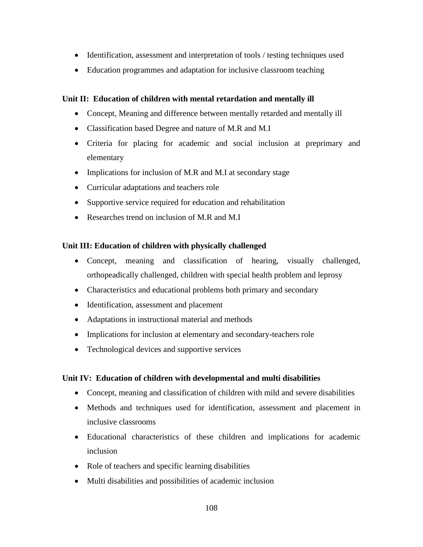- Identification, assessment and interpretation of tools / testing techniques used
- Education programmes and adaptation for inclusive classroom teaching

# **Unit II: Education of children with mental retardation and mentally ill**

- Concept, Meaning and difference between mentally retarded and mentally ill
- Classification based Degree and nature of M.R and M.I
- Criteria for placing for academic and social inclusion at preprimary and elementary
- Implications for inclusion of M.R and M.I at secondary stage
- Curricular adaptations and teachers role
- Supportive service required for education and rehabilitation
- Researches trend on inclusion of M.R and M.I

# **Unit III: Education of children with physically challenged**

- Concept, meaning and classification of hearing, visually challenged, orthopeadically challenged, children with special health problem and leprosy
- Characteristics and educational problems both primary and secondary
- Identification, assessment and placement
- Adaptations in instructional material and methods
- Implications for inclusion at elementary and secondary-teachers role
- Technological devices and supportive services

# **Unit IV: Education of children with developmental and multi disabilities**

- Concept, meaning and classification of children with mild and severe disabilities
- Methods and techniques used for identification, assessment and placement in inclusive classrooms
- Educational characteristics of these children and implications for academic inclusion
- Role of teachers and specific learning disabilities
- Multi disabilities and possibilities of academic inclusion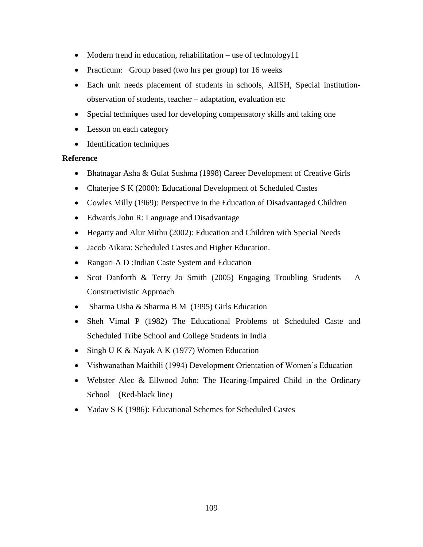- Modern trend in education, rehabilitation use of technology11
- Practicum: Group based (two hrs per group) for 16 weeks
- Each unit needs placement of students in schools, AIISH, Special institutionobservation of students, teacher – adaptation, evaluation etc
- Special techniques used for developing compensatory skills and taking one
- Lesson on each category
- Identification techniques

## **Reference**

- Bhatnagar Asha & Gulat Sushma (1998) Career Development of Creative Girls
- Chaterjee S K (2000): Educational Development of Scheduled Castes
- Cowles Milly (1969): Perspective in the Education of Disadvantaged Children
- Edwards John R: Language and Disadvantage
- Hegarty and Alur Mithu (2002): Education and Children with Special Needs
- Jacob Aikara: Scheduled Castes and Higher Education.
- Rangari A D : Indian Caste System and Education
- Scot Danforth & Terry Jo Smith (2005) Engaging Troubling Students  $A$ Constructivistic Approach
- Sharma Usha & Sharma B M (1995) Girls Education
- Sheh Vimal P (1982) The Educational Problems of Scheduled Caste and Scheduled Tribe School and College Students in India
- Singh U K & Nayak A K (1977) Women Education
- Vishwanathan Maithili (1994) Development Orientation of Women's Education
- Webster Alec & Ellwood John: The Hearing-Impaired Child in the Ordinary School – (Red-black line)
- Yadav S K (1986): Educational Schemes for Scheduled Castes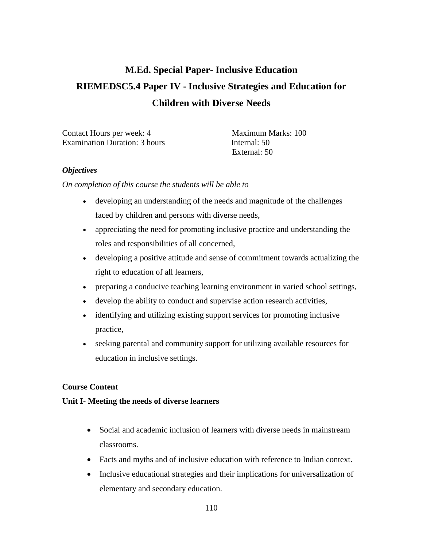# **M.Ed. Special Paper- Inclusive Education RIEMEDSC5.4 Paper IV - Inclusive Strategies and Education for Children with Diverse Needs**

| Contact Hours per week: 4            | Maximum Marks: 100 |
|--------------------------------------|--------------------|
| <b>Examination Duration: 3 hours</b> | Internal: 50       |
|                                      | External: 50       |

#### *Objectives*

*On completion of this course the students will be able to*

- developing an understanding of the needs and magnitude of the challenges faced by children and persons with diverse needs,
- appreciating the need for promoting inclusive practice and understanding the roles and responsibilities of all concerned,
- developing a positive attitude and sense of commitment towards actualizing the right to education of all learners,
- preparing a conducive teaching learning environment in varied school settings,
- develop the ability to conduct and supervise action research activities,
- identifying and utilizing existing support services for promoting inclusive practice,
- seeking parental and community support for utilizing available resources for education in inclusive settings.

#### **Course Content**

#### **Unit I- Meeting the needs of diverse learners**

- Social and academic inclusion of learners with diverse needs in mainstream classrooms.
- Facts and myths and of inclusive education with reference to Indian context.
- Inclusive educational strategies and their implications for universalization of elementary and secondary education.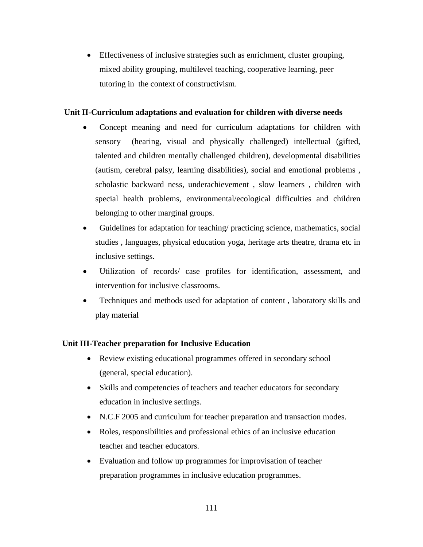Effectiveness of inclusive strategies such as enrichment, cluster grouping, mixed ability grouping, multilevel teaching, cooperative learning, peer tutoring in the context of constructivism.

## **Unit II-Curriculum adaptations and evaluation for children with diverse needs**

- Concept meaning and need for curriculum adaptations for children with sensory (hearing, visual and physically challenged) intellectual (gifted, talented and children mentally challenged children), developmental disabilities (autism, cerebral palsy, learning disabilities), social and emotional problems , scholastic backward ness, underachievement , slow learners , children with special health problems, environmental/ecological difficulties and children belonging to other marginal groups.
- Guidelines for adaptation for teaching/ practicing science, mathematics, social studies , languages, physical education yoga, heritage arts theatre, drama etc in inclusive settings.
- Utilization of records/ case profiles for identification, assessment, and intervention for inclusive classrooms.
- Techniques and methods used for adaptation of content , laboratory skills and play material

## **Unit III-Teacher preparation for Inclusive Education**

- Review existing educational programmes offered in secondary school (general, special education).
- Skills and competencies of teachers and teacher educators for secondary education in inclusive settings.
- N.C.F 2005 and curriculum for teacher preparation and transaction modes.
- Roles, responsibilities and professional ethics of an inclusive education teacher and teacher educators.
- Evaluation and follow up programmes for improvisation of teacher preparation programmes in inclusive education programmes.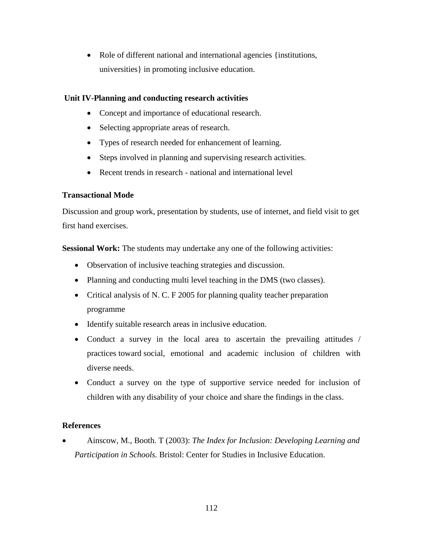• Role of different national and international agencies {institutions, universities} in promoting inclusive education.

#### **Unit IV-Planning and conducting research activities**

- Concept and importance of educational research.
- Selecting appropriate areas of research.
- Types of research needed for enhancement of learning.
- Steps involved in planning and supervising research activities.
- Recent trends in research national and international level

## **Transactional Mode**

Discussion and group work, presentation by students, use of internet, and field visit to get first hand exercises.

**Sessional Work:** The students may undertake any one of the following activities:

- Observation of inclusive teaching strategies and discussion.
- Planning and conducting multi level teaching in the DMS (two classes).
- Critical analysis of N. C. F 2005 for planning quality teacher preparation programme
- Identify suitable research areas in inclusive education.
- Conduct a survey in the local area to ascertain the prevailing attitudes / practices toward social, emotional and academic inclusion of children with diverse needs.
- Conduct a survey on the type of supportive service needed for inclusion of children with any disability of your choice and share the findings in the class.

## **References**

 Ainscow, M., Booth. T (2003): *The Index for Inclusion: Developing Learning and Participation in Schools.* Bristol: Center for Studies in Inclusive Education.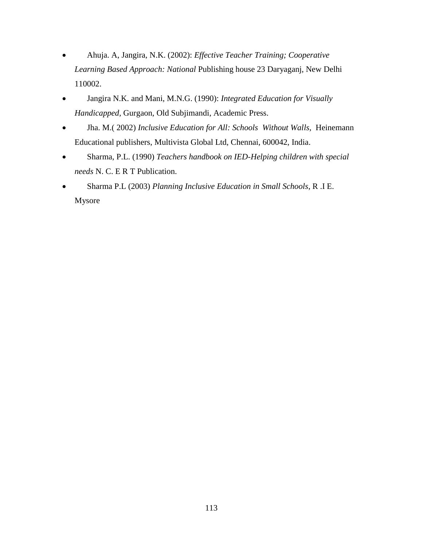- Ahuja. A, Jangira, N.K. (2002): *Effective Teacher Training; Cooperative Learning Based Approach: National* Publishing house 23 Daryaganj, New Delhi 110002.
- Jangira N.K. and Mani, M.N.G. (1990): *Integrated Education for Visually Handicapped,* Gurgaon, Old Subjimandi, Academic Press.
- Jha. M.( 2002) *Inclusive Education for All: Schools Without Walls,* Heinemann Educational publishers, Multivista Global Ltd, Chennai, 600042, India.
- Sharma, P.L. (1990) *Teachers handbook on IED-Helping children with special needs* N. C. E R T Publication.
- Sharma P.L (2003) *Planning Inclusive Education in Small Schools*, R .I E. Mysore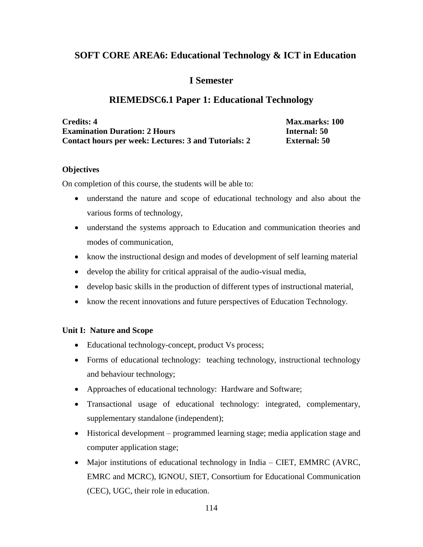## **SOFT CORE AREA6: Educational Technology & ICT in Education**

## **I Semester**

## **RIEMEDSC6.1 Paper 1: Educational Technology**

| <b>Credits: 4</b>                                    | <b>Max.marks: 100</b> |
|------------------------------------------------------|-----------------------|
| <b>Examination Duration: 2 Hours</b>                 | Internal: 50          |
| Contact hours per week: Lectures: 3 and Tutorials: 2 | <b>External: 50</b>   |

#### **Objectives**

On completion of this course, the students will be able to:

- understand the nature and scope of educational technology and also about the various forms of technology,
- understand the systems approach to Education and communication theories and modes of communication,
- know the instructional design and modes of development of self learning material
- develop the ability for critical appraisal of the audio-visual media,
- develop basic skills in the production of different types of instructional material,
- know the recent innovations and future perspectives of Education Technology.

## **Unit I: Nature and Scope**

- Educational technology-concept, product Vs process;
- Forms of educational technology: teaching technology, instructional technology and behaviour technology;
- Approaches of educational technology: Hardware and Software;
- Transactional usage of educational technology: integrated, complementary, supplementary standalone (independent);
- Historical development programmed learning stage; media application stage and computer application stage;
- Major institutions of educational technology in India CIET, EMMRC (AVRC, EMRC and MCRC), IGNOU, SIET, Consortium for Educational Communication (CEC), UGC, their role in education.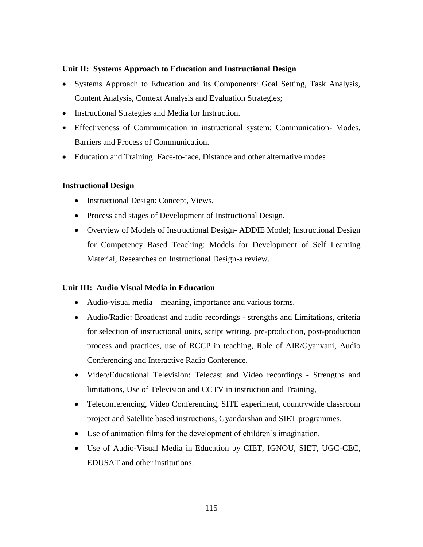#### **Unit II: Systems Approach to Education and Instructional Design**

- Systems Approach to Education and its Components: Goal Setting, Task Analysis, Content Analysis, Context Analysis and Evaluation Strategies;
- Instructional Strategies and Media for Instruction.
- Effectiveness of Communication in instructional system; Communication- Modes, Barriers and Process of Communication.
- Education and Training: Face-to-face, Distance and other alternative modes

## **Instructional Design**

- Instructional Design: Concept, Views.
- Process and stages of Development of Instructional Design.
- Overview of Models of Instructional Design- ADDIE Model; Instructional Design for Competency Based Teaching: Models for Development of Self Learning Material, Researches on Instructional Design-a review.

## **Unit III: Audio Visual Media in Education**

- Audio-visual media meaning, importance and various forms.
- Audio/Radio: Broadcast and audio recordings strengths and Limitations, criteria for selection of instructional units, script writing, pre-production, post-production process and practices, use of RCCP in teaching, Role of AIR/Gyanvani, Audio Conferencing and Interactive Radio Conference.
- Video/Educational Television: Telecast and Video recordings Strengths and limitations, Use of Television and CCTV in instruction and Training,
- Teleconferencing, Video Conferencing, SITE experiment, countrywide classroom project and Satellite based instructions, Gyandarshan and SIET programmes.
- Use of animation films for the development of children's imagination.
- Use of Audio-Visual Media in Education by CIET, IGNOU, SIET, UGC-CEC, EDUSAT and other institutions.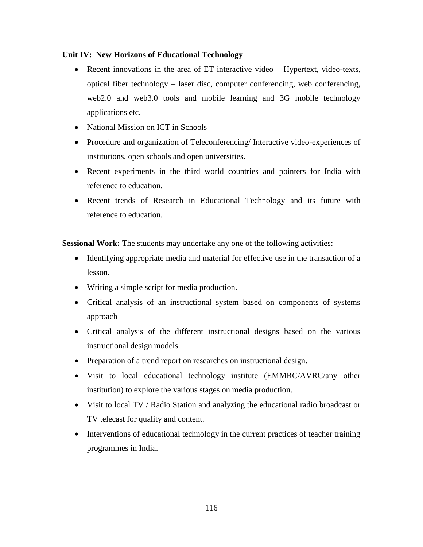## **Unit IV: New Horizons of Educational Technology**

- Recent innovations in the area of ET interactive video Hypertext, video-texts, optical fiber technology – laser disc, computer conferencing, web conferencing, web2.0 and web3.0 tools and mobile learning and 3G mobile technology applications etc.
- National Mission on ICT in Schools
- Procedure and organization of Teleconferencing/ Interactive video-experiences of institutions, open schools and open universities.
- Recent experiments in the third world countries and pointers for India with reference to education.
- Recent trends of Research in Educational Technology and its future with reference to education.

**Sessional Work:** The students may undertake any one of the following activities:

- Identifying appropriate media and material for effective use in the transaction of a lesson.
- Writing a simple script for media production.
- Critical analysis of an instructional system based on components of systems approach
- Critical analysis of the different instructional designs based on the various instructional design models.
- Preparation of a trend report on researches on instructional design.
- Visit to local educational technology institute (EMMRC/AVRC/any other institution) to explore the various stages on media production.
- Visit to local TV / Radio Station and analyzing the educational radio broadcast or TV telecast for quality and content.
- Interventions of educational technology in the current practices of teacher training programmes in India.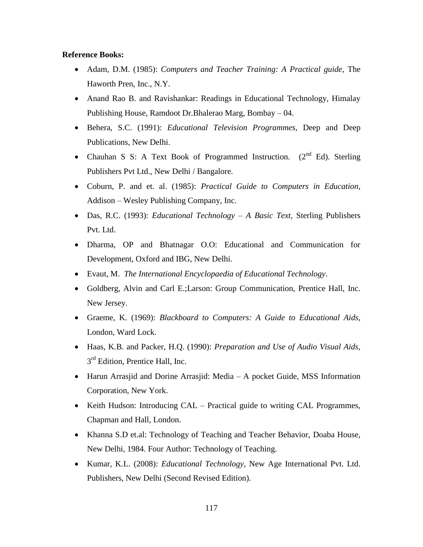#### **Reference Books:**

- Adam, D.M. (1985): *Computers and Teacher Training: A Practical guide,* The Haworth Pren, Inc., N.Y.
- Anand Rao B. and Ravishankar: Readings in Educational Technology, Himalay Publishing House, Ramdoot Dr.Bhalerao Marg, Bombay – 04.
- Behera, S.C. (1991): *Educational Television Programmes,* Deep and Deep Publications, New Delhi.
- Chauhan S S: A Text Book of Programmed Instruction. (2<sup>nd</sup> Ed). Sterling Publishers Pvt Ltd., New Delhi / Bangalore.
- Coburn, P. and et. al. (1985): *Practical Guide to Computers in Education*, Addison – Wesley Publishing Company, Inc.
- Das, R.C. (1993): *Educational Technology – A Basic Text*, Sterling Publishers Pvt. Ltd.
- Dharma, OP and Bhatnagar O.O: Educational and Communication for Development, Oxford and IBG, New Delhi.
- Evaut, M.*The International Encyclopaedia of Educational Technology*.
- Goldberg, Alvin and Carl E.;Larson: Group Communication, Prentice Hall, Inc. New Jersey.
- Graeme, K. (1969): *Blackboard to Computers: A Guide to Educational Aids,* London, Ward Lock.
- Haas, K.B. and Packer, H.Q. (1990): *Preparation and Use of Audio Visual Aids,* 3<sup>rd</sup> Edition, Prentice Hall, Inc.
- Harun Arrasjid and Dorine Arrasjid: Media A pocket Guide, MSS Information Corporation, New York.
- Keith Hudson: Introducing CAL Practical guide to writing CAL Programmes, Chapman and Hall, London.
- Khanna S.D et.al: Technology of Teaching and Teacher Behavior, Doaba House, New Delhi, 1984. Four Author: Technology of Teaching.
- Kumar, K.L. (2008): *Educational Technology*, New Age International Pvt. Ltd. Publishers, New Delhi (Second Revised Edition).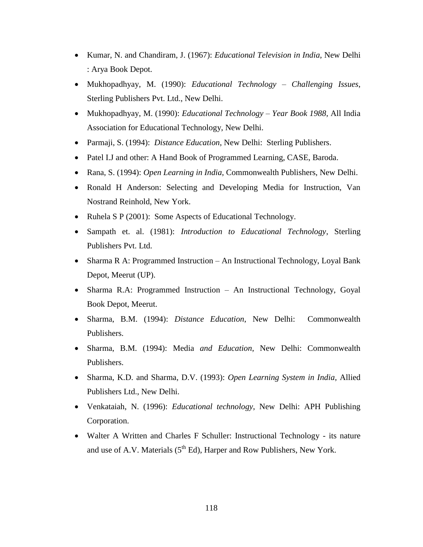- Kumar, N. and Chandiram, J. (1967): *Educational Television in India*, New Delhi : Arya Book Depot.
- Mukhopadhyay, M. (1990): *Educational Technology – Challenging Issues*, Sterling Publishers Pvt. Ltd., New Delhi.
- Mukhopadhyay, M. (1990): *Educational Technology – Year Book 1988*, All India Association for Educational Technology, New Delhi.
- Parmaji, S. (1994):*Distance Education*, New Delhi: Sterling Publishers.
- Patel I.J and other: A Hand Book of Programmed Learning, CASE, Baroda.
- Rana, S. (1994): *Open Learning in India*, Commonwealth Publishers, New Delhi.
- Ronald H Anderson: Selecting and Developing Media for Instruction, Van Nostrand Reinhold, New York.
- Ruhela S P (2001): Some Aspects of Educational Technology.
- Sampath et. al. (1981): *Introduction to Educational Technology*, Sterling Publishers Pvt. Ltd.
- Sharma R A: Programmed Instruction An Instructional Technology, Loyal Bank Depot, Meerut (UP).
- Sharma R.A: Programmed Instruction An Instructional Technology, Goyal Book Depot, Meerut.
- Sharma, B.M. (1994): *Distance Education*, New Delhi: Commonwealth Publishers.
- Sharma, B.M. (1994): Media *and Education*, New Delhi: Commonwealth Publishers.
- Sharma, K.D. and Sharma, D.V. (1993): *Open Learning System in India*, Allied Publishers Ltd., New Delhi.
- Venkataiah, N. (1996): *Educational technology*, New Delhi: APH Publishing Corporation.
- Walter A Written and Charles F Schuller: Instructional Technology its nature and use of A.V. Materials  $(5<sup>th</sup> Ed)$ , Harper and Row Publishers, New York.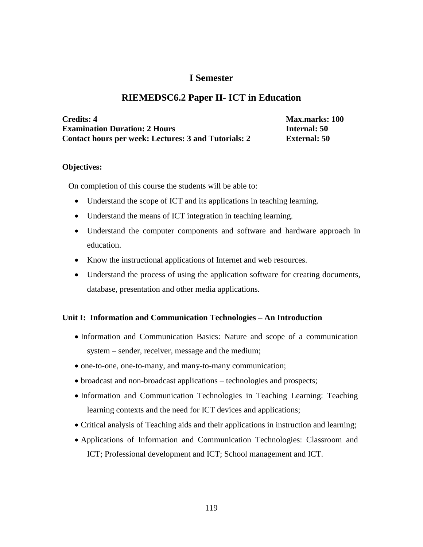## **I Semester**

## **RIEMEDSC6.2 Paper II- ICT in Education**

| <b>Credits: 4</b>                                    | <b>Max.marks: 100</b> |
|------------------------------------------------------|-----------------------|
| <b>Examination Duration: 2 Hours</b>                 | Internal: 50          |
| Contact hours per week: Lectures: 3 and Tutorials: 2 | External: 50          |

#### **Objectives:**

On completion of this course the students will be able to:

- Understand the scope of ICT and its applications in teaching learning.
- Understand the means of ICT integration in teaching learning.
- Understand the computer components and software and hardware approach in education.
- Know the instructional applications of Internet and web resources.
- Understand the process of using the application software for creating documents, database, presentation and other media applications.

#### **Unit I: Information and Communication Technologies – An Introduction**

- Information and Communication Basics: Nature and scope of a communication system – sender, receiver, message and the medium;
- one-to-one, one-to-many, and many-to-many communication;
- broadcast and non-broadcast applications technologies and prospects;
- Information and Communication Technologies in Teaching Learning: Teaching learning contexts and the need for ICT devices and applications;
- Critical analysis of Teaching aids and their applications in instruction and learning;
- Applications of Information and Communication Technologies: Classroom and ICT; Professional development and ICT; School management and ICT.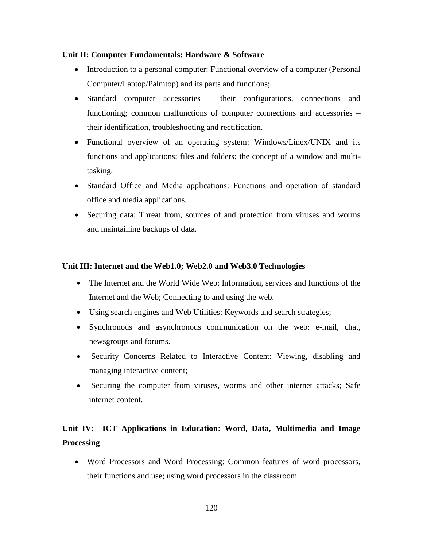## **Unit II: Computer Fundamentals: Hardware & Software**

- Introduction to a personal computer: Functional overview of a computer (Personal Computer/Laptop/Palmtop) and its parts and functions;
- Standard computer accessories their configurations, connections and functioning; common malfunctions of computer connections and accessories – their identification, troubleshooting and rectification.
- Functional overview of an operating system: Windows/Linex/UNIX and its functions and applications; files and folders; the concept of a window and multitasking.
- Standard Office and Media applications: Functions and operation of standard office and media applications.
- Securing data: Threat from, sources of and protection from viruses and worms and maintaining backups of data.

## **Unit III: Internet and the Web1.0; Web2.0 and Web3.0 Technologies**

- The Internet and the World Wide Web: Information, services and functions of the Internet and the Web; Connecting to and using the web.
- Using search engines and Web Utilities: Keywords and search strategies;
- Synchronous and asynchronous communication on the web: e-mail, chat, newsgroups and forums.
- Security Concerns Related to Interactive Content: Viewing, disabling and managing interactive content;
- Securing the computer from viruses, worms and other internet attacks; Safe internet content.

## **Unit IV: ICT Applications in Education: Word, Data, Multimedia and Image Processing**

 Word Processors and Word Processing: Common features of word processors, their functions and use; using word processors in the classroom.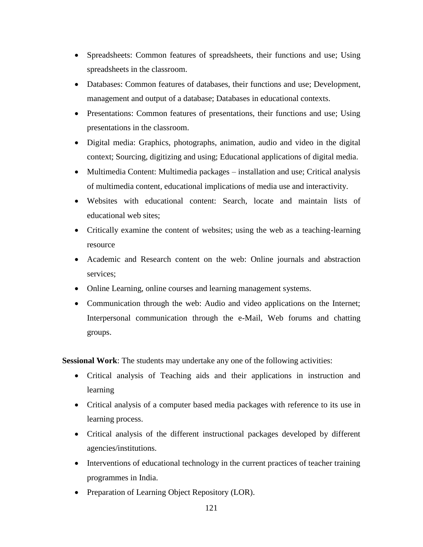- Spreadsheets: Common features of spreadsheets, their functions and use; Using spreadsheets in the classroom.
- Databases: Common features of databases, their functions and use; Development, management and output of a database; Databases in educational contexts.
- Presentations: Common features of presentations, their functions and use; Using presentations in the classroom.
- Digital media: Graphics, photographs, animation, audio and video in the digital context; Sourcing, digitizing and using; Educational applications of digital media.
- Multimedia Content: Multimedia packages installation and use; Critical analysis of multimedia content, educational implications of media use and interactivity.
- Websites with educational content: Search, locate and maintain lists of educational web sites;
- Critically examine the content of websites; using the web as a teaching-learning resource
- Academic and Research content on the web: Online journals and abstraction services;
- Online Learning, online courses and learning management systems.
- Communication through the web: Audio and video applications on the Internet; Interpersonal communication through the e-Mail, Web forums and chatting groups.

**Sessional Work**: The students may undertake any one of the following activities:

- Critical analysis of Teaching aids and their applications in instruction and learning
- Critical analysis of a computer based media packages with reference to its use in learning process.
- Critical analysis of the different instructional packages developed by different agencies/institutions.
- Interventions of educational technology in the current practices of teacher training programmes in India.
- Preparation of Learning Object Repository (LOR).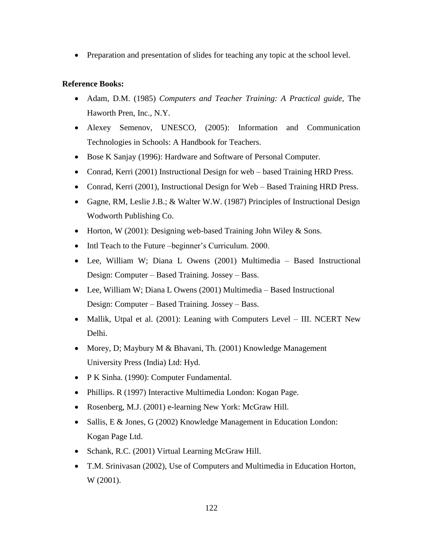• Preparation and presentation of slides for teaching any topic at the school level.

## **Reference Books:**

- Adam, D.M. (1985) *Computers and Teacher Training: A Practical guide,* The Haworth Pren, Inc., N.Y.
- Alexey Semenov, UNESCO, (2005): Information and Communication Technologies in Schools: A Handbook for Teachers.
- Bose K Sanjay (1996): Hardware and Software of Personal Computer.
- Conrad, Kerri (2001) Instructional Design for web based Training HRD Press.
- Conrad, Kerri (2001), Instructional Design for Web Based Training HRD Press.
- Gagne, RM, Leslie J.B.; & Walter W.W. (1987) Principles of Instructional Design Wodworth Publishing Co.
- Horton, W (2001): Designing web-based Training John Wiley  $&$  Sons.
- Intl Teach to the Future –beginner's Curriculum. 2000.
- Lee, William W; Diana L Owens (2001) Multimedia Based Instructional Design: Computer – Based Training. Jossey – Bass.
- Lee, William W; Diana L Owens (2001) Multimedia Based Instructional Design: Computer – Based Training. Jossey – Bass.
- Mallik, Utpal et al. (2001): Leaning with Computers Level III. NCERT New Delhi.
- Morey, D; Maybury M & Bhavani, Th. (2001) Knowledge Management University Press (India) Ltd: Hyd.
- P K Sinha. (1990): Computer Fundamental.
- Phillips. R (1997) Interactive Multimedia London: Kogan Page.
- Rosenberg, M.J. (2001) e-learning New York: McGraw Hill.
- Sallis, E & Jones, G (2002) Knowledge Management in Education London: Kogan Page Ltd.
- Schank, R.C. (2001) Virtual Learning McGraw Hill.
- T.M. Srinivasan (2002), Use of Computers and Multimedia in Education Horton, W (2001).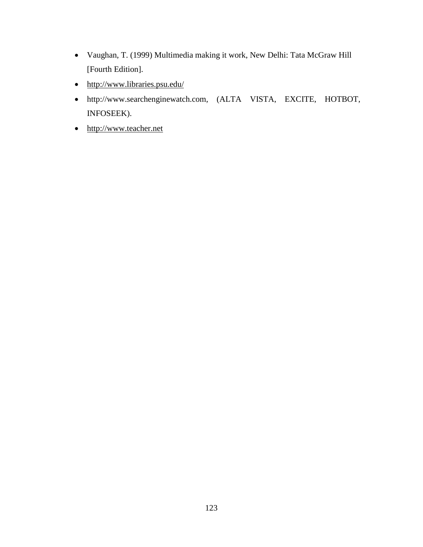- Vaughan, T. (1999) Multimedia making it work, New Delhi: Tata McGraw Hill [Fourth Edition].
- <http://www.libraries.psu.edu/>
- http://www.searchenginewatch.com, (ALTA VISTA, EXCITE, HOTBOT, INFOSEEK).
- [http://www.teacher.net](http://www.teacher.net/)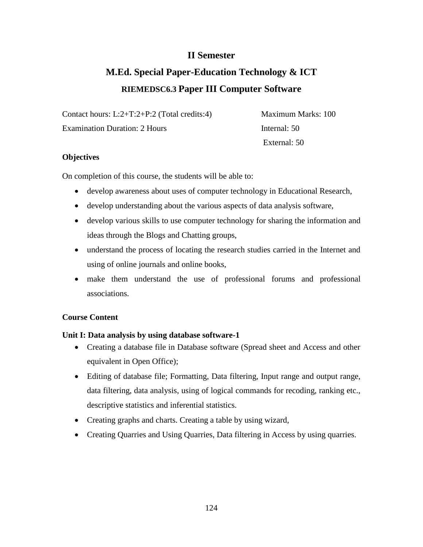## **II Semester**

# **M.Ed. Special Paper-Education Technology & ICT RIEMEDSC6.3 Paper III Computer Software**

Contact hours: L:2+T:2+P:2 (Total credits:4) Maximum Marks: 100

Examination Duration: 2 Hours Internal: 50

External: 50

## **Objectives**

On completion of this course, the students will be able to:

- develop awareness about uses of computer technology in Educational Research,
- develop understanding about the various aspects of data analysis software,
- develop various skills to use computer technology for sharing the information and ideas through the Blogs and Chatting groups,
- understand the process of locating the research studies carried in the Internet and using of online journals and online books,
- make them understand the use of professional forums and professional associations.

## **Course Content**

## **Unit I: Data analysis by using database software-1**

- Creating a database file in Database software (Spread sheet and Access and other equivalent in Open Office);
- Editing of database file; Formatting, Data filtering, Input range and output range, data filtering, data analysis, using of logical commands for recoding, ranking etc., descriptive statistics and inferential statistics.
- Creating graphs and charts. Creating a table by using wizard,
- Creating Quarries and Using Quarries, Data filtering in Access by using quarries.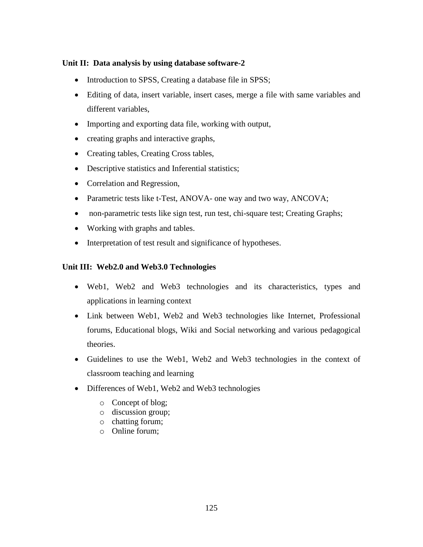## **Unit II: Data analysis by using database software-2**

- Introduction to SPSS, Creating a database file in SPSS;
- Editing of data, insert variable, insert cases, merge a file with same variables and different variables,
- Importing and exporting data file, working with output,
- creating graphs and interactive graphs,
- Creating tables, Creating Cross tables,
- Descriptive statistics and Inferential statistics;
- Correlation and Regression,
- Parametric tests like t-Test, ANOVA- one way and two way, ANCOVA;
- non-parametric tests like sign test, run test, chi-square test; Creating Graphs;
- Working with graphs and tables.
- Interpretation of test result and significance of hypotheses.

#### **Unit III: Web2.0 and Web3.0 Technologies**

- Web1, Web2 and Web3 technologies and its characteristics, types and applications in learning context
- Link between Web1, Web2 and Web3 technologies like Internet, Professional forums, Educational blogs, Wiki and Social networking and various pedagogical theories.
- Guidelines to use the Web1, Web2 and Web3 technologies in the context of classroom teaching and learning
- Differences of Web1, Web2 and Web3 technologies
	- o Concept of blog;
	- o discussion group;
	- o chatting forum;
	- o Online forum;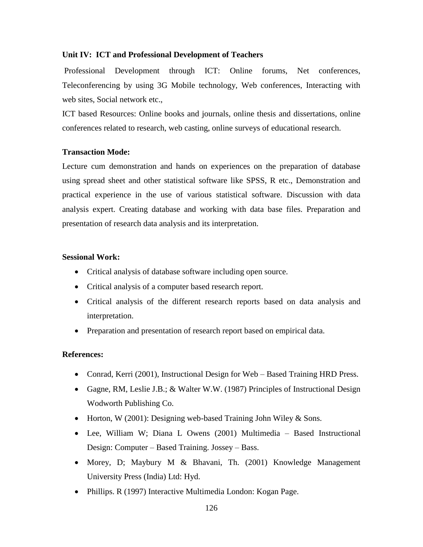#### **Unit IV: ICT and Professional Development of Teachers**

Professional Development through ICT: Online forums, Net conferences, Teleconferencing by using 3G Mobile technology, Web conferences, Interacting with web sites, Social network etc.,

ICT based Resources: Online books and journals, online thesis and dissertations, online conferences related to research, web casting, online surveys of educational research.

#### **Transaction Mode:**

Lecture cum demonstration and hands on experiences on the preparation of database using spread sheet and other statistical software like SPSS, R etc., Demonstration and practical experience in the use of various statistical software. Discussion with data analysis expert. Creating database and working with data base files. Preparation and presentation of research data analysis and its interpretation.

#### **Sessional Work:**

- Critical analysis of database software including open source.
- Critical analysis of a computer based research report.
- Critical analysis of the different research reports based on data analysis and interpretation.
- Preparation and presentation of research report based on empirical data.

## **References:**

- Conrad, Kerri (2001), Instructional Design for Web Based Training HRD Press.
- Gagne, RM, Leslie J.B.; & Walter W.W. (1987) Principles of Instructional Design Wodworth Publishing Co.
- Horton, W (2001): Designing web-based Training John Wiley  $&$  Sons.
- Lee, William W; Diana L Owens (2001) Multimedia Based Instructional Design: Computer – Based Training. Jossey – Bass.
- Morey, D; Maybury M & Bhavani, Th. (2001) Knowledge Management University Press (India) Ltd: Hyd.
- Phillips. R (1997) Interactive Multimedia London: Kogan Page.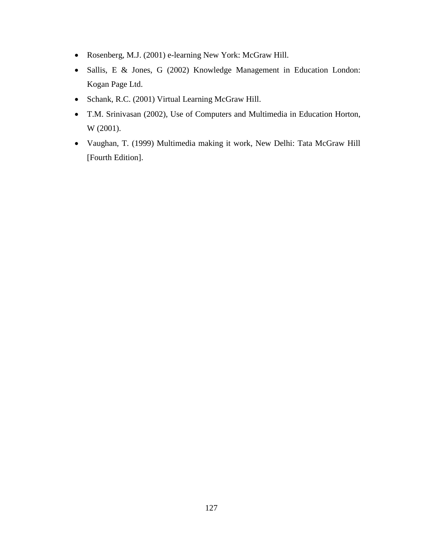- Rosenberg, M.J. (2001) e-learning New York: McGraw Hill.
- Sallis, E & Jones, G (2002) Knowledge Management in Education London: Kogan Page Ltd.
- Schank, R.C. (2001) Virtual Learning McGraw Hill.
- T.M. Srinivasan (2002), Use of Computers and Multimedia in Education Horton, W (2001).
- Vaughan, T. (1999) Multimedia making it work, New Delhi: Tata McGraw Hill [Fourth Edition].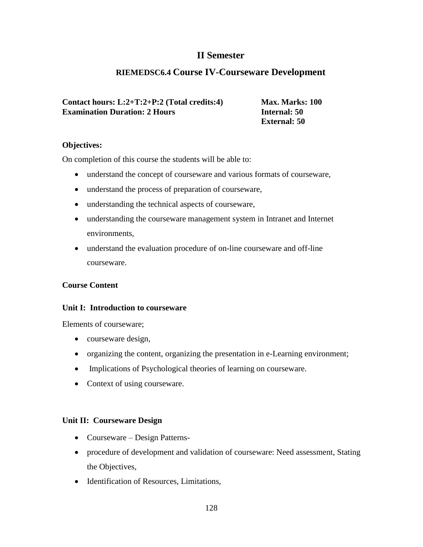## **II Semester**

## **RIEMEDSC6.4 Course IV-Courseware Development**

**Contact hours: L:2+T:2+P:2 (Total credits:4) Max. Marks: 100 Examination Duration: 2 Hours Internal: 50** 

 **External: 50**

#### **Objectives:**

On completion of this course the students will be able to:

- understand the concept of courseware and various formats of courseware,
- understand the process of preparation of courseware,
- understanding the technical aspects of courseware,
- understanding the courseware management system in Intranet and Internet environments,
- understand the evaluation procedure of on-line courseware and off-line courseware.

## **Course Content**

#### **Unit I: Introduction to courseware**

Elements of courseware;

- courseware design,
- organizing the content, organizing the presentation in e-Learning environment;
- Implications of Psychological theories of learning on courseware.
- Context of using courseware.

## **Unit II: Courseware Design**

- Courseware Design Patterns-
- procedure of development and validation of courseware: Need assessment, Stating the Objectives,
- Identification of Resources, Limitations,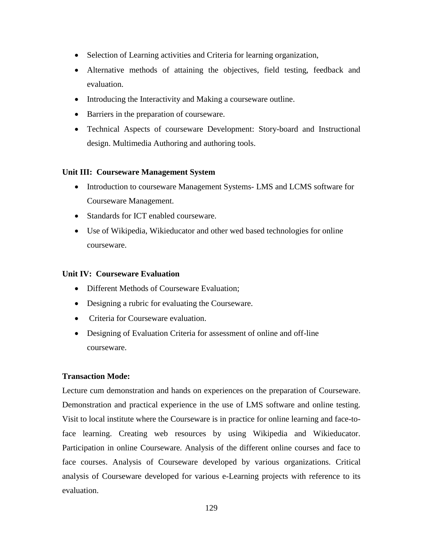- Selection of Learning activities and Criteria for learning organization,
- Alternative methods of attaining the objectives, field testing, feedback and evaluation.
- Introducing the Interactivity and Making a courseware outline.
- Barriers in the preparation of courseware.
- Technical Aspects of courseware Development: Story-board and Instructional design. Multimedia Authoring and authoring tools.

## **Unit III: Courseware Management System**

- Introduction to courseware Management Systems- LMS and LCMS software for Courseware Management.
- Standards for ICT enabled courseware.
- Use of Wikipedia, Wikieducator and other wed based technologies for online courseware.

#### **Unit IV: Courseware Evaluation**

- Different Methods of Courseware Evaluation;
- Designing a rubric for evaluating the Courseware.
- Criteria for Courseware evaluation.
- Designing of Evaluation Criteria for assessment of online and off-line courseware.

#### **Transaction Mode:**

Lecture cum demonstration and hands on experiences on the preparation of Courseware. Demonstration and practical experience in the use of LMS software and online testing. Visit to local institute where the Courseware is in practice for online learning and face-toface learning. Creating web resources by using Wikipedia and Wikieducator. Participation in online Courseware. Analysis of the different online courses and face to face courses. Analysis of Courseware developed by various organizations. Critical analysis of Courseware developed for various e-Learning projects with reference to its evaluation.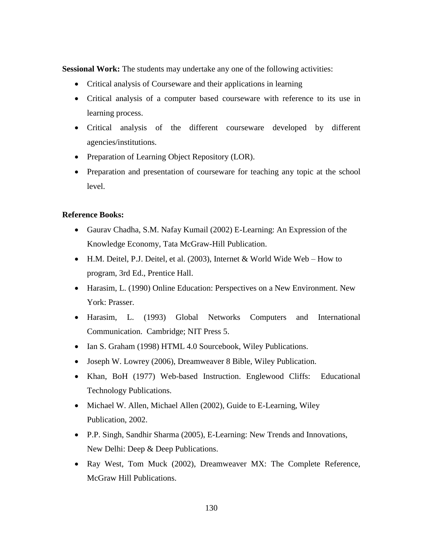**Sessional Work:** The students may undertake any one of the following activities:

- Critical analysis of Courseware and their applications in learning
- Critical analysis of a computer based courseware with reference to its use in learning process.
- Critical analysis of the different courseware developed by different agencies/institutions.
- Preparation of Learning Object Repository (LOR).
- Preparation and presentation of courseware for teaching any topic at the school level.

## **Reference Books:**

- Gaurav Chadha, S.M. Nafay Kumail (2002) E-Learning: An Expression of the Knowledge Economy, Tata McGraw-Hill Publication.
- H.M. Deitel, P.J. Deitel, et al. (2003), Internet & World Wide Web How to program, 3rd Ed., Prentice Hall.
- Harasim, L. (1990) Online Education: Perspectives on a New Environment. New York: Prasser.
- Harasim, L. (1993) Global Networks Computers and International Communication. Cambridge; NIT Press 5.
- Ian S. Graham (1998) HTML 4.0 Sourcebook, Wiley Publications.
- Joseph W. Lowrey (2006), Dreamweaver 8 Bible, Wiley Publication.
- Khan, BoH (1977) Web-based Instruction. Englewood Cliffs: Educational Technology Publications.
- Michael W. Allen, Michael Allen (2002), Guide to E-Learning, Wiley Publication, 2002.
- P.P. Singh, Sandhir Sharma (2005), E-Learning: New Trends and Innovations, New Delhi: Deep & Deep Publications.
- Ray West, Tom Muck (2002), Dreamweaver MX: The Complete Reference, McGraw Hill Publications.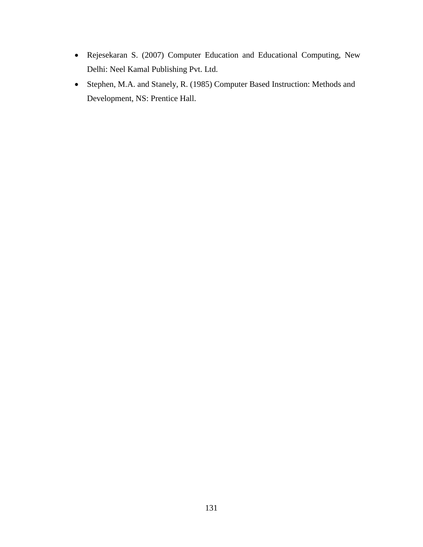- Rejesekaran S. (2007) Computer Education and Educational Computing, New Delhi: Neel Kamal Publishing Pvt. Ltd.
- Stephen, M.A. and Stanely, R. (1985) Computer Based Instruction: Methods and Development, NS: Prentice Hall.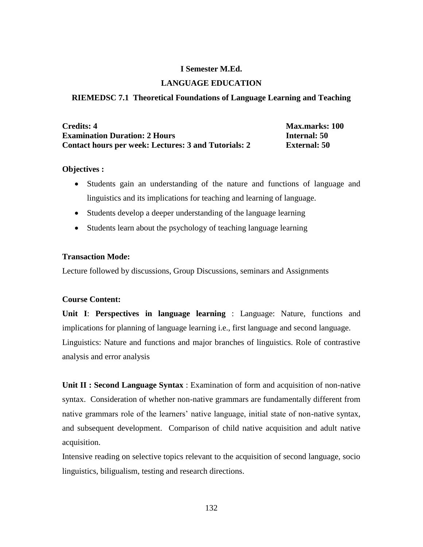#### **I Semester M.Ed.**

#### **LANGUAGE EDUCATION**

#### **RIEMEDSC 7.1 Theoretical Foundations of Language Learning and Teaching**

| <b>Credits: 4</b>                                    | <b>Max.marks: 100</b> |
|------------------------------------------------------|-----------------------|
| <b>Examination Duration: 2 Hours</b>                 | Internal: 50          |
| Contact hours per week: Lectures: 3 and Tutorials: 2 | <b>External: 50</b>   |

#### **Objectives :**

- Students gain an understanding of the nature and functions of language and linguistics and its implications for teaching and learning of language.
- Students develop a deeper understanding of the language learning
- Students learn about the psychology of teaching language learning

#### **Transaction Mode:**

Lecture followed by discussions, Group Discussions, seminars and Assignments

#### **Course Content:**

**Unit I**: **Perspectives in language learning** : Language: Nature, functions and implications for planning of language learning i.e., first language and second language. Linguistics: Nature and functions and major branches of linguistics. Role of contrastive analysis and error analysis

**Unit II : Second Language Syntax** : Examination of form and acquisition of non-native syntax. Consideration of whether non-native grammars are fundamentally different from native grammars role of the learners' native language, initial state of non-native syntax, and subsequent development. Comparison of child native acquisition and adult native acquisition.

Intensive reading on selective topics relevant to the acquisition of second language, socio linguistics, biligualism, testing and research directions.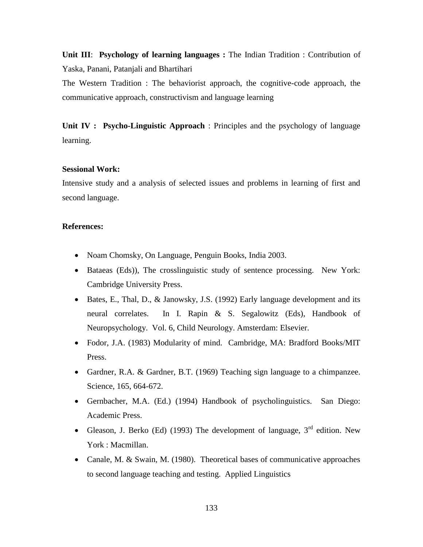**Unit III**: **Psychology of learning languages :** The Indian Tradition : Contribution of Yaska, Panani, Patanjali and Bhartihari

The Western Tradition : The behaviorist approach, the cognitive-code approach, the communicative approach, constructivism and language learning

**Unit IV : Psycho-Linguistic Approach** : Principles and the psychology of language learning.

#### **Sessional Work:**

Intensive study and a analysis of selected issues and problems in learning of first and second language.

#### **References:**

- Noam Chomsky, On Language, Penguin Books, India 2003.
- Bataeas (Eds)), The crosslinguistic study of sentence processing. New York: Cambridge University Press.
- Bates, E., Thal, D., & Janowsky, J.S. (1992) Early language development and its neural correlates. In I. Rapin & S. Segalowitz (Eds), Handbook of Neuropsychology. Vol. 6, Child Neurology. Amsterdam: Elsevier.
- Fodor, J.A. (1983) Modularity of mind. Cambridge, MA: Bradford Books/MIT Press.
- Gardner, R.A. & Gardner, B.T. (1969) Teaching sign language to a chimpanzee. Science, 165, 664-672.
- Gernbacher, M.A. (Ed.) (1994) Handbook of psycholinguistics. San Diego: Academic Press.
- Gleason, J. Berko (Ed) (1993) The development of language,  $3<sup>rd</sup>$  edition. New York : Macmillan.
- Canale, M. & Swain, M. (1980). Theoretical bases of communicative approaches to second language teaching and testing. Applied Linguistics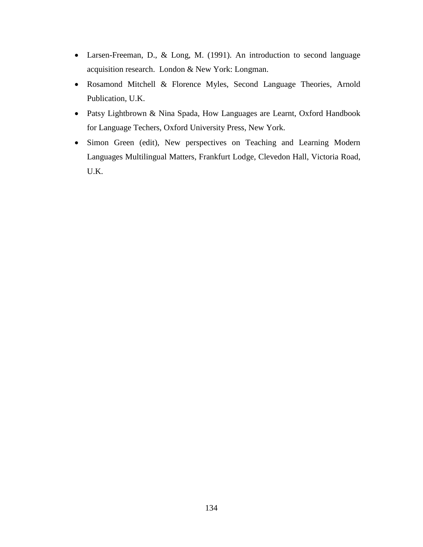- Larsen-Freeman, D., & Long, M. (1991). An introduction to second language acquisition research. London & New York: Longman.
- Rosamond Mitchell & Florence Myles, Second Language Theories, Arnold Publication, U.K.
- Patsy Lightbrown & Nina Spada, How Languages are Learnt, Oxford Handbook for Language Techers, Oxford University Press, New York.
- Simon Green (edit), New perspectives on Teaching and Learning Modern Languages Multilingual Matters, Frankfurt Lodge, Clevedon Hall, Victoria Road, U.K.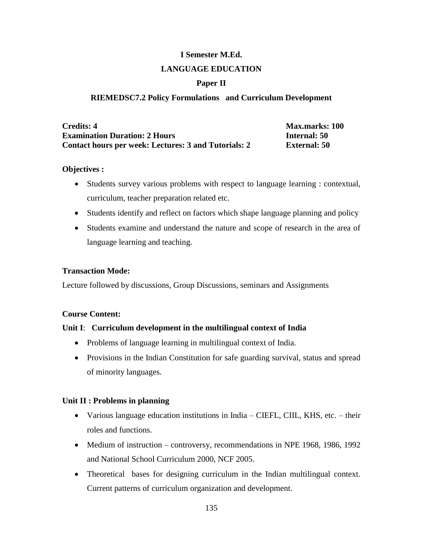# **I Semester M.Ed.**

## **LANGUAGE EDUCATION**

## **Paper II**

## **RIEMEDSC7.2 Policy Formulations and Curriculum Development**

| <b>Credits: 4</b>                                    | <b>Max.marks: 100</b> |
|------------------------------------------------------|-----------------------|
| <b>Examination Duration: 2 Hours</b>                 | Internal: 50          |
| Contact hours per week: Lectures: 3 and Tutorials: 2 | <b>External: 50</b>   |

## **Objectives :**

- Students survey various problems with respect to language learning : contextual, curriculum, teacher preparation related etc.
- Students identify and reflect on factors which shape language planning and policy
- Students examine and understand the nature and scope of research in the area of language learning and teaching.

## **Transaction Mode:**

Lecture followed by discussions, Group Discussions, seminars and Assignments

#### **Course Content:**

## **Unit I**: **Curriculum development in the multilingual context of India**

- Problems of language learning in multilingual context of India.
- Provisions in the Indian Constitution for safe guarding survival, status and spread of minority languages.

## **Unit II : Problems in planning**

- Various language education institutions in India CIEFL, CIIL, KHS, etc. their roles and functions.
- Medium of instruction controversy, recommendations in NPE 1968, 1986, 1992 and National School Curriculum 2000, NCF 2005.
- Theoretical bases for designing curriculum in the Indian multilingual context. Current patterns of curriculum organization and development.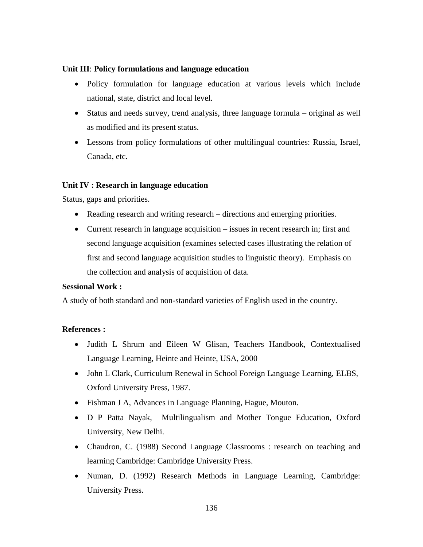## **Unit III**: **Policy formulations and language education**

- Policy formulation for language education at various levels which include national, state, district and local level.
- Status and needs survey, trend analysis, three language formula original as well as modified and its present status.
- Lessons from policy formulations of other multilingual countries: Russia, Israel, Canada, etc.

## **Unit IV : Research in language education**

Status, gaps and priorities.

- Reading research and writing research directions and emerging priorities.
- Current research in language acquisition issues in recent research in; first and second language acquisition (examines selected cases illustrating the relation of first and second language acquisition studies to linguistic theory). Emphasis on the collection and analysis of acquisition of data.

#### **Sessional Work :**

A study of both standard and non-standard varieties of English used in the country.

#### **References :**

- Judith L Shrum and Eileen W Glisan, Teachers Handbook, Contextualised Language Learning, Heinte and Heinte, USA, 2000
- John L Clark, Curriculum Renewal in School Foreign Language Learning, ELBS, Oxford University Press, 1987.
- Fishman J A, Advances in Language Planning, Hague, Mouton.
- D P Patta Nayak, Multilingualism and Mother Tongue Education, Oxford University, New Delhi.
- Chaudron, C. (1988) Second Language Classrooms : research on teaching and learning Cambridge: Cambridge University Press.
- Numan, D. (1992) Research Methods in Language Learning, Cambridge: University Press.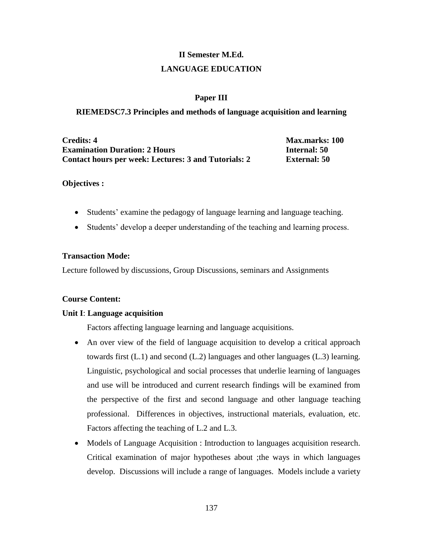# **II Semester M.Ed. LANGUAGE EDUCATION**

## **Paper III**

#### **RIEMEDSC7.3 Principles and methods of language acquisition and learning**

**Credits: 4 Max.marks: 100 Examination Duration: 2 Hours Internal: 50 Contact hours per week: Lectures: 3 and Tutorials: 2 External: 50**

#### **Objectives :**

- Students' examine the pedagogy of language learning and language teaching.
- Students' develop a deeper understanding of the teaching and learning process.

#### **Transaction Mode:**

Lecture followed by discussions, Group Discussions, seminars and Assignments

#### **Course Content:**

#### **Unit I**: **Language acquisition**

Factors affecting language learning and language acquisitions.

- An over view of the field of language acquisition to develop a critical approach towards first (L.1) and second (L.2) languages and other languages (L.3) learning. Linguistic, psychological and social processes that underlie learning of languages and use will be introduced and current research findings will be examined from the perspective of the first and second language and other language teaching professional. Differences in objectives, instructional materials, evaluation, etc. Factors affecting the teaching of L.2 and L.3.
- Models of Language Acquisition : Introduction to languages acquisition research. Critical examination of major hypotheses about ;the ways in which languages develop. Discussions will include a range of languages. Models include a variety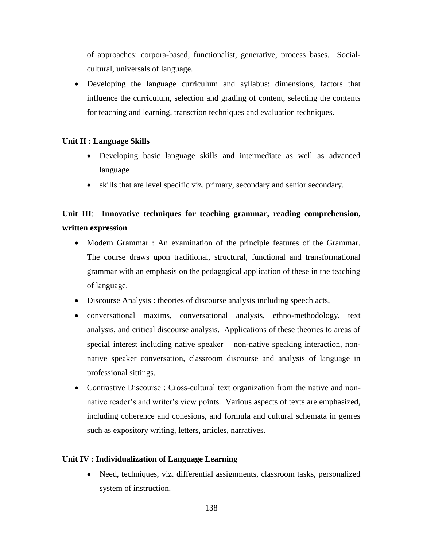of approaches: corpora-based, functionalist, generative, process bases. Socialcultural, universals of language.

 Developing the language curriculum and syllabus: dimensions, factors that influence the curriculum, selection and grading of content, selecting the contents for teaching and learning, transction techniques and evaluation techniques.

## **Unit II : Language Skills**

- Developing basic language skills and intermediate as well as advanced language
- skills that are level specific viz. primary, secondary and senior secondary.

## **Unit III**: **Innovative techniques for teaching grammar, reading comprehension, written expression**

- Modern Grammar : An examination of the principle features of the Grammar. The course draws upon traditional, structural, functional and transformational grammar with an emphasis on the pedagogical application of these in the teaching of language.
- Discourse Analysis : theories of discourse analysis including speech acts,
- conversational maxims, conversational analysis, ethno-methodology, text analysis, and critical discourse analysis. Applications of these theories to areas of special interest including native speaker – non-native speaking interaction, nonnative speaker conversation, classroom discourse and analysis of language in professional sittings.
- Contrastive Discourse : Cross-cultural text organization from the native and nonnative reader's and writer's view points. Various aspects of texts are emphasized, including coherence and cohesions, and formula and cultural schemata in genres such as expository writing, letters, articles, narratives.

#### **Unit IV : Individualization of Language Learning**

• Need, techniques, viz. differential assignments, classroom tasks, personalized system of instruction.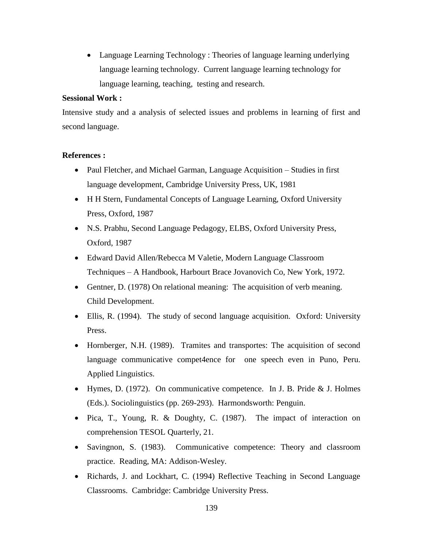Language Learning Technology : Theories of language learning underlying language learning technology. Current language learning technology for language learning, teaching, testing and research.

#### **Sessional Work :**

Intensive study and a analysis of selected issues and problems in learning of first and second language.

## **References :**

- Paul Fletcher, and Michael Garman, Language Acquisition Studies in first language development, Cambridge University Press, UK, 1981
- H H Stern, Fundamental Concepts of Language Learning, Oxford University Press, Oxford, 1987
- N.S. Prabhu, Second Language Pedagogy, ELBS, Oxford University Press, Oxford, 1987
- Edward David Allen/Rebecca M Valetie, Modern Language Classroom Techniques – A Handbook, Harbourt Brace Jovanovich Co, New York, 1972.
- Gentner, D. (1978) On relational meaning: The acquisition of verb meaning. Child Development.
- Ellis, R. (1994). The study of second language acquisition. Oxford: University Press.
- Hornberger, N.H. (1989). Tramites and transportes: The acquisition of second language communicative compet4ence for one speech even in Puno, Peru. Applied Linguistics.
- $\bullet$  Hymes, D. (1972). On communicative competence. In J. B. Pride & J. Holmes (Eds.). Sociolinguistics (pp. 269-293). Harmondsworth: Penguin.
- Pica, T., Young, R. & Doughty, C. (1987). The impact of interaction on comprehension TESOL Quarterly, 21.
- Savingnon, S. (1983). Communicative competence: Theory and classroom practice. Reading, MA: Addison-Wesley.
- Richards, J. and Lockhart, C. (1994) Reflective Teaching in Second Language Classrooms. Cambridge: Cambridge University Press.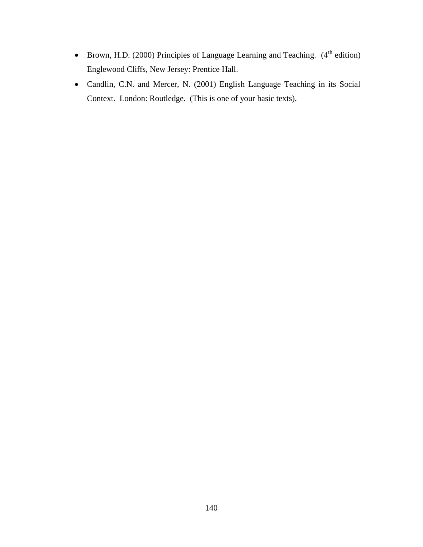- Brown, H.D. (2000) Principles of Language Learning and Teaching.  $(4<sup>th</sup>$  edition) Englewood Cliffs, New Jersey: Prentice Hall.
- Candlin, C.N. and Mercer, N. (2001) English Language Teaching in its Social Context. London: Routledge. (This is one of your basic texts).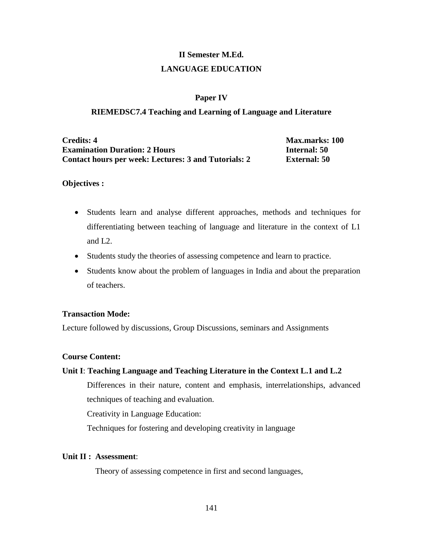# **II Semester M.Ed. LANGUAGE EDUCATION**

#### **Paper IV**

#### **RIEMEDSC7.4 Teaching and Learning of Language and Literature**

**Credits: 4 Max.marks: 100 Examination Duration: 2 Hours Internal: 50 Contact hours per week: Lectures: 3 and Tutorials: 2 External: 50**

#### **Objectives :**

- Students learn and analyse different approaches, methods and techniques for differentiating between teaching of language and literature in the context of L1 and L2.
- Students study the theories of assessing competence and learn to practice.
- Students know about the problem of languages in India and about the preparation of teachers.

#### **Transaction Mode:**

Lecture followed by discussions, Group Discussions, seminars and Assignments

#### **Course Content:**

#### **Unit I**: **Teaching Language and Teaching Literature in the Context L.1 and L.2**

Differences in their nature, content and emphasis, interrelationships, advanced techniques of teaching and evaluation.

Creativity in Language Education:

Techniques for fostering and developing creativity in language

#### **Unit II : Assessment**:

Theory of assessing competence in first and second languages,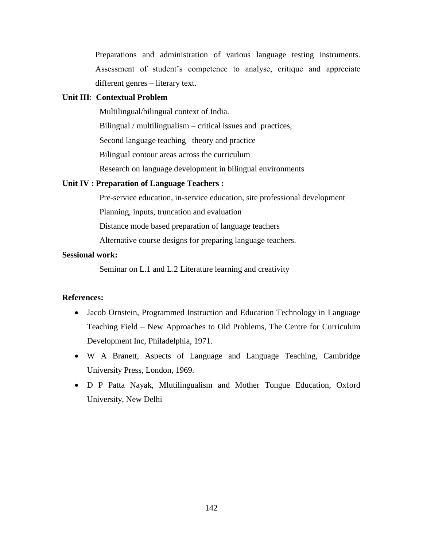Preparations and administration of various language testing instruments. Assessment of student's competence to analyse, critique and appreciate different genres – literary text.

#### **Unit III**: **Contextual Problem**

Multilingual/bilingual context of India.

Bilingual / multilingualism – critical issues and practices,

Second language teaching –theory and practice

Bilingual contour areas across the curriculum

Research on language development in bilingual environments

#### **Unit IV : Preparation of Language Teachers :**

Pre-service education, in-service education, site professional development Planning, inputs, truncation and evaluation

Distance mode based preparation of language teachers

Alternative course designs for preparing language teachers.

## **Sessional work:**

Seminar on L.1 and L.2 Literature learning and creativity

#### **References:**

- Jacob Ornstein, Programmed Instruction and Education Technology in Language Teaching Field – New Approaches to Old Problems, The Centre for Curriculum Development Inc, Philadelphia, 1971.
- W A Branett, Aspects of Language and Language Teaching, Cambridge University Press, London, 1969.
- D P Patta Nayak, Mlutilingualism and Mother Tongue Education, Oxford University, New Delhi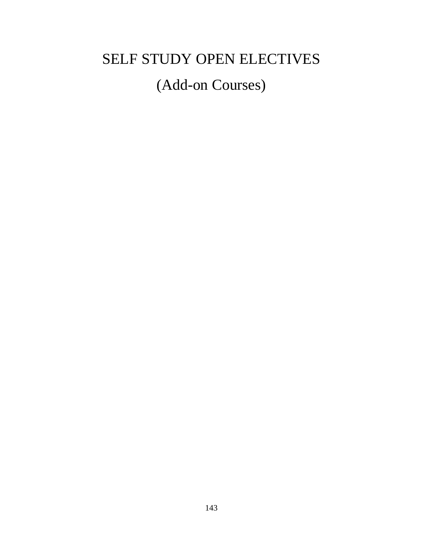# SELF STUDY OPEN ELECTIVES

# (Add-on Courses)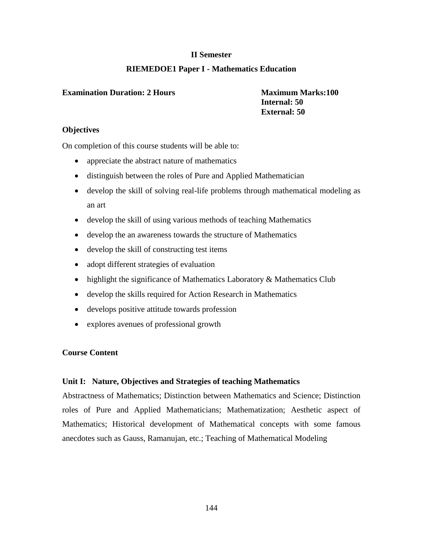## **II Semester**

## **RIEMEDOE1 Paper I - Mathematics Education**

#### **Examination Duration: 2 Hours Maximum Marks:100**

 **Internal: 50 External: 50**

## **Objectives**

On completion of this course students will be able to:

- appreciate the abstract nature of mathematics
- distinguish between the roles of Pure and Applied Mathematician
- develop the skill of solving real-life problems through mathematical modeling as an art
- develop the skill of using various methods of teaching Mathematics
- develop the an awareness towards the structure of Mathematics
- develop the skill of constructing test items
- adopt different strategies of evaluation
- highlight the significance of Mathematics Laboratory & Mathematics Club
- develop the skills required for Action Research in Mathematics
- develops positive attitude towards profession
- explores avenues of professional growth

## **Course Content**

## **Unit I: Nature, Objectives and Strategies of teaching Mathematics**

Abstractness of Mathematics; Distinction between Mathematics and Science; Distinction roles of Pure and Applied Mathematicians; Mathematization; Aesthetic aspect of Mathematics; Historical development of Mathematical concepts with some famous anecdotes such as Gauss, Ramanujan, etc.; Teaching of Mathematical Modeling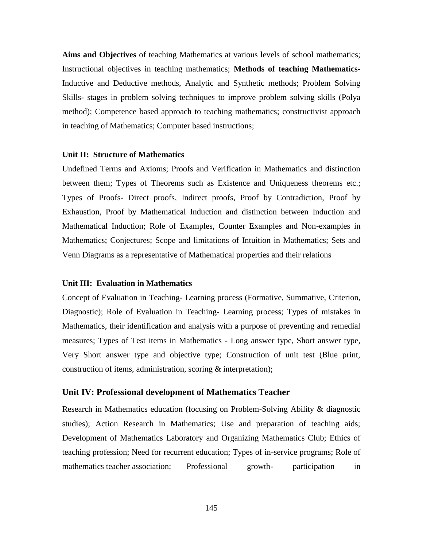**Aims and Objectives** of teaching Mathematics at various levels of school mathematics; Instructional objectives in teaching mathematics; **Methods of teaching Mathematics**-Inductive and Deductive methods, Analytic and Synthetic methods; Problem Solving Skills- stages in problem solving techniques to improve problem solving skills (Polya method); Competence based approach to teaching mathematics; constructivist approach in teaching of Mathematics; Computer based instructions;

#### **Unit II: Structure of Mathematics**

Undefined Terms and Axioms; Proofs and Verification in Mathematics and distinction between them; Types of Theorems such as Existence and Uniqueness theorems etc.; Types of Proofs- Direct proofs, Indirect proofs, Proof by Contradiction, Proof by Exhaustion, Proof by Mathematical Induction and distinction between Induction and Mathematical Induction; Role of Examples, Counter Examples and Non-examples in Mathematics; Conjectures; Scope and limitations of Intuition in Mathematics; Sets and Venn Diagrams as a representative of Mathematical properties and their relations

#### **Unit III: Evaluation in Mathematics**

Concept of Evaluation in Teaching- Learning process (Formative, Summative, Criterion, Diagnostic); Role of Evaluation in Teaching- Learning process; Types of mistakes in Mathematics, their identification and analysis with a purpose of preventing and remedial measures; Types of Test items in Mathematics - Long answer type, Short answer type, Very Short answer type and objective type; Construction of unit test (Blue print, construction of items, administration, scoring & interpretation);

#### **Unit IV: Professional development of Mathematics Teacher**

Research in Mathematics education (focusing on Problem-Solving Ability & diagnostic studies); Action Research in Mathematics; Use and preparation of teaching aids; Development of Mathematics Laboratory and Organizing Mathematics Club; Ethics of teaching profession; Need for recurrent education; Types of in-service programs; Role of mathematics teacher association; Professional growth- participation in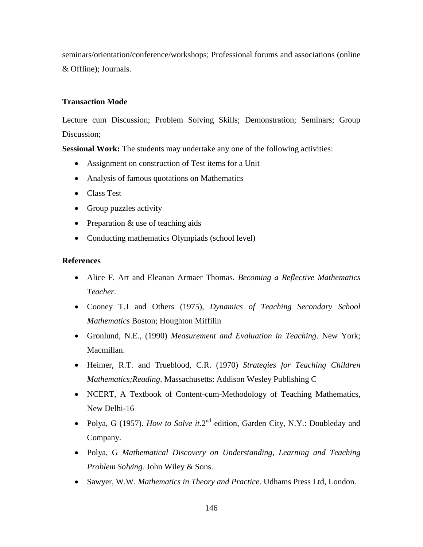seminars/orientation/conference/workshops; Professional forums and associations (online & Offline); Journals.

#### **Transaction Mode**

Lecture cum Discussion; Problem Solving Skills; Demonstration; Seminars; Group Discussion;

**Sessional Work:** The students may undertake any one of the following activities:

- Assignment on construction of Test items for a Unit
- Analysis of famous quotations on Mathematics
- Class Test
- Group puzzles activity
- Preparation  $&$  use of teaching aids
- Conducting mathematics Olympiads (school level)

- Alice F. Art and Eleanan Armaer Thomas*. Becoming a Reflective Mathematics Teacher*.
- Cooney T.J and Others (1975), *Dynamics of Teaching Secondary School Mathematics* Boston; Houghton Miffilin
- Gronlund, N.E., (1990) *Measurement and Evaluation in Teaching*. New York; Macmillan.
- Heimer, R.T. and Trueblood, C.R. (1970) *Strategies for Teaching Children Mathematics;Reading*. Massachusetts: Addison Wesley Publishing C
- NCERT, A Textbook of Content-cum-Methodology of Teaching Mathematics, New Delhi-16
- Polya, G (1957). *How to Solve it*.2<sup>nd</sup> edition, Garden City, N.Y.: Doubleday and Company.
- Polya, G *Mathematical Discovery on Understanding, Learning and Teaching Problem Solving.* John Wiley & Sons.
- Sawyer, W.W. *Mathematics in Theory and Practice*. Udhams Press Ltd, London.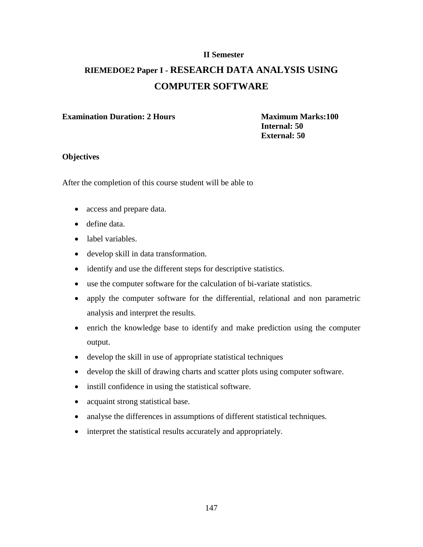# **RIEMEDOE2 Paper I - RESEARCH DATA ANALYSIS USING COMPUTER SOFTWARE**

#### **Examination Duration: 2 Hours Maximum Marks:100** *Maximum Marks:100*

 **Internal: 50 External: 50**

#### **Objectives**

After the completion of this course student will be able to

- access and prepare data.
- define data.
- label variables.
- develop skill in data transformation.
- identify and use the different steps for descriptive statistics.
- use the computer software for the calculation of bi-variate statistics.
- apply the computer software for the differential, relational and non parametric analysis and interpret the results.
- enrich the knowledge base to identify and make prediction using the computer output.
- develop the skill in use of appropriate statistical techniques
- develop the skill of drawing charts and scatter plots using computer software.
- instill confidence in using the statistical software.
- acquaint strong statistical base.
- analyse the differences in assumptions of different statistical techniques.
- interpret the statistical results accurately and appropriately.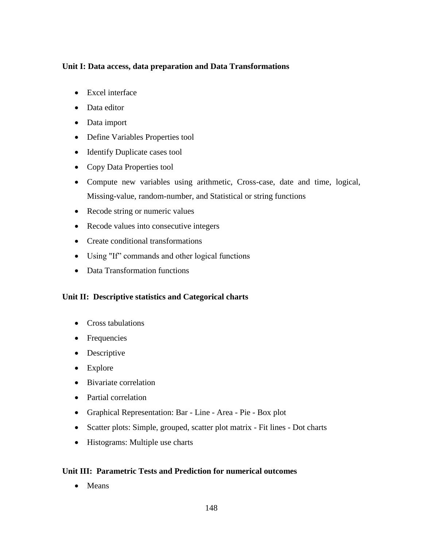# **Unit I: Data access, data preparation and Data Transformations**

- Excel interface
- Data editor
- Data import
- Define Variables Properties tool
- Identify Duplicate cases tool
- Copy Data Properties tool
- Compute new variables using arithmetic, Cross-case, date and time, logical, Missing-value, random-number, and Statistical or string functions
- Recode string or numeric values
- Recode values into consecutive integers
- Create conditional transformations
- Using "If" commands and other logical functions
- Data Transformation functions

# **Unit II: Descriptive statistics and Categorical charts**

- Cross tabulations
- Frequencies
- Descriptive
- Explore
- Bivariate correlation
- Partial correlation
- Graphical Representation: Bar Line Area Pie Box plot
- Scatter plots: Simple, grouped, scatter plot matrix Fit lines Dot charts
- Histograms: Multiple use charts

# **Unit III: Parametric Tests and Prediction for numerical outcomes**

• Means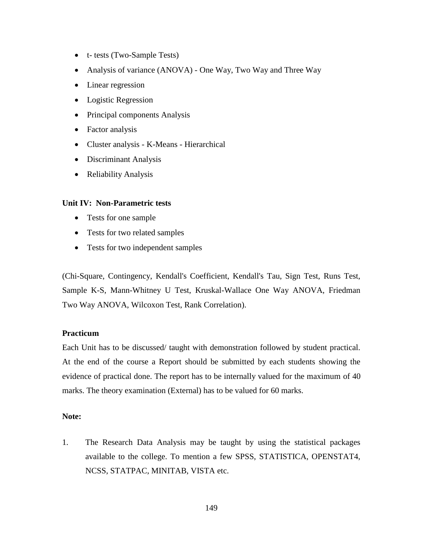- t- tests (Two-Sample Tests)
- Analysis of variance (ANOVA) One Way, Two Way and Three Way
- Linear regression
- Logistic Regression
- Principal components Analysis
- Factor analysis
- Cluster analysis K-Means Hierarchical
- Discriminant Analysis
- Reliability Analysis

#### **Unit IV: Non-Parametric tests**

- Tests for one sample
- Tests for two related samples
- Tests for two independent samples

(Chi-Square, Contingency, Kendall's Coefficient, Kendall's Tau, Sign Test, Runs Test, Sample K-S, Mann-Whitney U Test, Kruskal-Wallace One Way ANOVA, Friedman Two Way ANOVA, Wilcoxon Test, Rank Correlation).

#### **Practicum**

Each Unit has to be discussed/ taught with demonstration followed by student practical. At the end of the course a Report should be submitted by each students showing the evidence of practical done. The report has to be internally valued for the maximum of 40 marks. The theory examination (External) has to be valued for 60 marks.

#### **Note:**

1. The Research Data Analysis may be taught by using the statistical packages available to the college. To mention a few SPSS, STATISTICA, OPENSTAT4, NCSS, STATPAC, MINITAB, VISTA etc.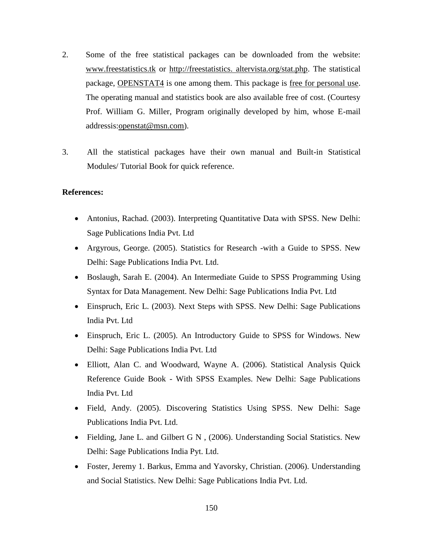- 2. Some of the free statistical packages can be downloaded from the website: [www.freestatistics.tk](http://www.freestatistics.tk/) or http://freestatistics. altervista.org/stat.php. The statistical package, OPENSTAT4 is one among them. This package is free for personal use. The operating manual and statistics book are also available free of cost. (Courtesy Prof. William G. Miller, Program originally developed by him, whose E-mail addressis: openstat@msn.com).
- 3. All the statistical packages have their own manual and Built-in Statistical Modules/ Tutorial Book for quick reference.

- Antonius, Rachad. (2003). Interpreting Quantitative Data with SPSS. New Delhi: Sage Publications India Pvt. Ltd
- Argyrous, George. (2005). Statistics for Research -with a Guide to SPSS. New Delhi: Sage Publications India Pvt. Ltd.
- Boslaugh, Sarah E. (2004). An Intermediate Guide to SPSS Programming Using Syntax for Data Management. New Delhi: Sage Publications India Pvt. Ltd
- Einspruch, Eric L. (2003). Next Steps with SPSS. New Delhi: Sage Publications India Pvt. Ltd
- Einspruch, Eric L. (2005). An Introductory Guide to SPSS for Windows. New Delhi: Sage Publications India Pvt. Ltd
- Elliott, Alan C. and Woodward, Wayne A. (2006). Statistical Analysis Quick Reference Guide Book - With SPSS Examples. New Delhi: Sage Publications India Pvt. Ltd
- Field, Andy. (2005). Discovering Statistics Using SPSS. New Delhi: Sage Publications India Pvt. Ltd.
- Fielding, Jane L. and Gilbert G N, (2006). Understanding Social Statistics. New Delhi: Sage Publications India Pyt. Ltd.
- Foster, Jeremy 1. Barkus, Emma and Yavorsky, Christian. (2006). Understanding and Social Statistics. New Delhi: Sage Publications India Pvt. Ltd.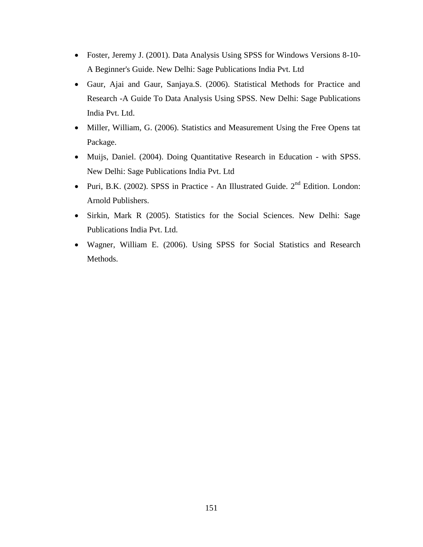- Foster, Jeremy J. (2001). Data Analysis Using SPSS for Windows Versions 8-10- A Beginner's Guide. New Delhi: Sage Publications India Pvt. Ltd
- Gaur, Ajai and Gaur, Sanjaya.S. (2006). Statistical Methods for Practice and Research -A Guide To Data Analysis Using SPSS. New Delhi: Sage Publications India Pvt. Ltd.
- Miller, William, G. (2006). Statistics and Measurement Using the Free Opens tat Package.
- Muijs, Daniel. (2004). Doing Quantitative Research in Education with SPSS. New Delhi: Sage Publications India Pvt. Ltd
- Puri, B.K. (2002). SPSS in Practice An Illustrated Guide. 2<sup>nd</sup> Edition. London: Arnold Publishers.
- Sirkin, Mark R (2005). Statistics for the Social Sciences. New Delhi: Sage Publications India Pvt. Ltd.
- Wagner, William E. (2006). Using SPSS for Social Statistics and Research Methods.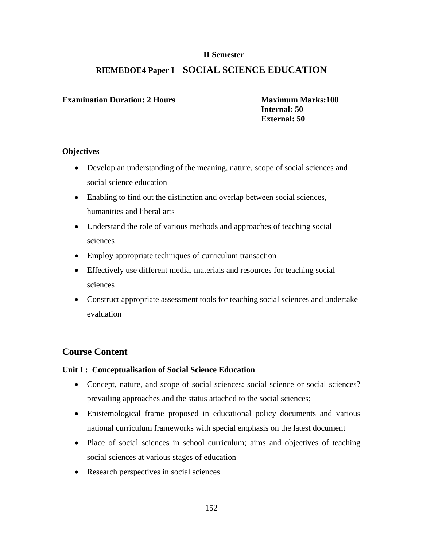# **RIEMEDOE4 Paper I – SOCIAL SCIENCE EDUCATION**

#### **Examination Duration: 2 Hours Maximum Marks:100**

 **Internal: 50 External: 50**

#### **Objectives**

- Develop an understanding of the meaning, nature, scope of social sciences and social science education
- Enabling to find out the distinction and overlap between social sciences, humanities and liberal arts
- Understand the role of various methods and approaches of teaching social sciences
- Employ appropriate techniques of curriculum transaction
- Effectively use different media, materials and resources for teaching social sciences
- Construct appropriate assessment tools for teaching social sciences and undertake evaluation

# **Course Content**

#### **Unit I : Conceptualisation of Social Science Education**

- Concept, nature, and scope of social sciences: social science or social sciences? prevailing approaches and the status attached to the social sciences;
- Epistemological frame proposed in educational policy documents and various national curriculum frameworks with special emphasis on the latest document
- Place of social sciences in school curriculum; aims and objectives of teaching social sciences at various stages of education
- Research perspectives in social sciences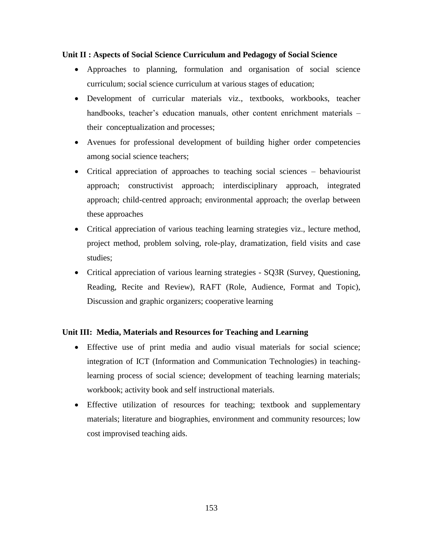#### **Unit II : Aspects of Social Science Curriculum and Pedagogy of Social Science**

- Approaches to planning, formulation and organisation of social science curriculum; social science curriculum at various stages of education;
- Development of curricular materials viz., textbooks, workbooks, teacher handbooks, teacher's education manuals, other content enrichment materials – their conceptualization and processes;
- Avenues for professional development of building higher order competencies among social science teachers;
- Critical appreciation of approaches to teaching social sciences behaviourist approach; constructivist approach; interdisciplinary approach, integrated approach; child-centred approach; environmental approach; the overlap between these approaches
- Critical appreciation of various teaching learning strategies viz., lecture method, project method, problem solving, role-play, dramatization, field visits and case studies;
- Critical appreciation of various learning strategies SQ3R (Survey, Questioning, Reading, Recite and Review), RAFT (Role, Audience, Format and Topic), Discussion and graphic organizers; cooperative learning

# **Unit III: Media, Materials and Resources for Teaching and Learning**

- Effective use of print media and audio visual materials for social science; integration of ICT (Information and Communication Technologies) in teachinglearning process of social science; development of teaching learning materials; workbook; activity book and self instructional materials.
- Effective utilization of resources for teaching; textbook and supplementary materials; literature and biographies, environment and community resources; low cost improvised teaching aids.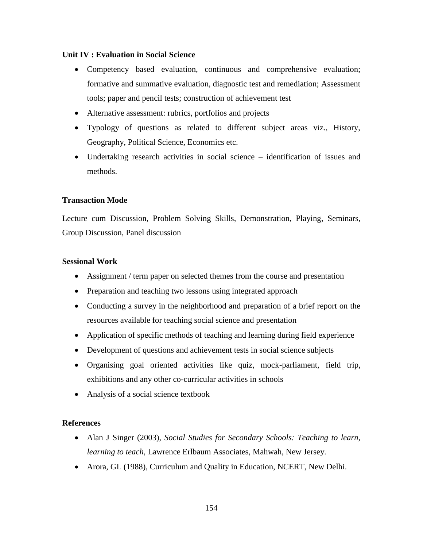#### **Unit IV : Evaluation in Social Science**

- Competency based evaluation, continuous and comprehensive evaluation; formative and summative evaluation, diagnostic test and remediation; Assessment tools; paper and pencil tests; construction of achievement test
- Alternative assessment: rubrics, portfolios and projects
- Typology of questions as related to different subject areas viz., History, Geography, Political Science, Economics etc.
- Undertaking research activities in social science identification of issues and methods.

#### **Transaction Mode**

Lecture cum Discussion, Problem Solving Skills, Demonstration, Playing, Seminars, Group Discussion, Panel discussion

#### **Sessional Work**

- Assignment / term paper on selected themes from the course and presentation
- Preparation and teaching two lessons using integrated approach
- Conducting a survey in the neighborhood and preparation of a brief report on the resources available for teaching social science and presentation
- Application of specific methods of teaching and learning during field experience
- Development of questions and achievement tests in social science subjects
- Organising goal oriented activities like quiz, mock-parliament, field trip, exhibitions and any other co-curricular activities in schools
- Analysis of a social science textbook

- Alan J Singer (2003), *Social Studies for Secondary Schools: Teaching to learn, learning to teach*, Lawrence Erlbaum Associates, Mahwah, New Jersey.
- Arora, GL (1988), Curriculum and Quality in Education, NCERT, New Delhi.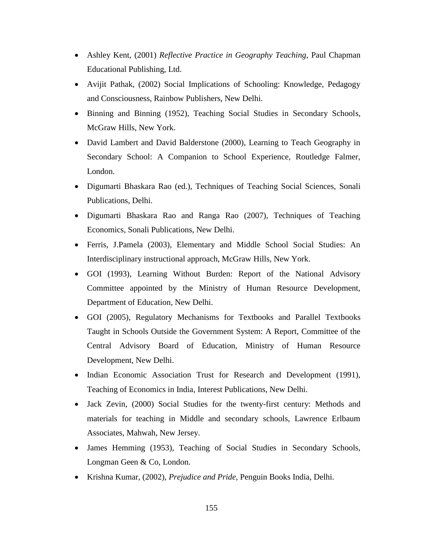- Ashley Kent, (2001) *Reflective Practice in Geography Teaching*, Paul Chapman Educational Publishing, Ltd.
- Avijit Pathak, (2002) Social Implications of Schooling: Knowledge, Pedagogy and Consciousness, Rainbow Publishers, New Delhi.
- Binning and Binning (1952), Teaching Social Studies in Secondary Schools, McGraw Hills, New York.
- David Lambert and David Balderstone (2000), Learning to Teach Geography in Secondary School: A Companion to School Experience, Routledge Falmer, London.
- Digumarti Bhaskara Rao (ed.), Techniques of Teaching Social Sciences, Sonali Publications, Delhi.
- Digumarti Bhaskara Rao and Ranga Rao (2007), Techniques of Teaching Economics, Sonali Publications, New Delhi.
- Ferris, J.Pamela (2003), Elementary and Middle School Social Studies: An Interdisciplinary instructional approach, McGraw Hills, New York.
- GOI (1993), Learning Without Burden: Report of the National Advisory Committee appointed by the Ministry of Human Resource Development, Department of Education, New Delhi.
- GOI (2005), Regulatory Mechanisms for Textbooks and Parallel Textbooks Taught in Schools Outside the Government System: A Report, Committee of the Central Advisory Board of Education, Ministry of Human Resource Development, New Delhi.
- Indian Economic Association Trust for Research and Development (1991), Teaching of Economics in India, Interest Publications, New Delhi.
- Jack Zevin, (2000) Social Studies for the twenty-first century: Methods and materials for teaching in Middle and secondary schools, Lawrence Erlbaum Associates, Mahwah, New Jersey.
- James Hemming (1953), Teaching of Social Studies in Secondary Schools, Longman Geen & Co, London.
- Krishna Kumar, (2002), *Prejudice and Pride*, Penguin Books India, Delhi.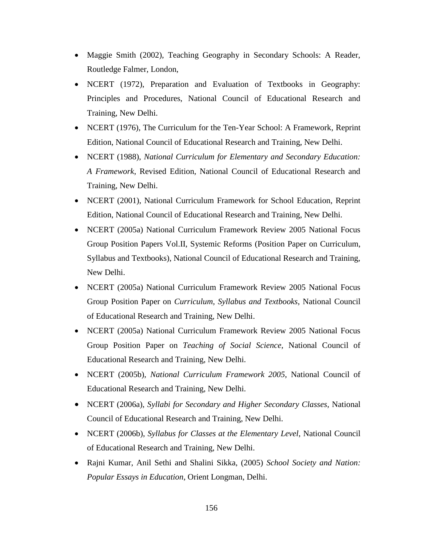- Maggie Smith (2002), Teaching Geography in Secondary Schools: A Reader, Routledge Falmer, London,
- NCERT (1972), Preparation and Evaluation of Textbooks in Geography: Principles and Procedures, National Council of Educational Research and Training, New Delhi.
- NCERT (1976), The Curriculum for the Ten-Year School: A Framework, Reprint Edition, National Council of Educational Research and Training, New Delhi.
- NCERT (1988), *National Curriculum for Elementary and Secondary Education: A Framework*, Revised Edition, National Council of Educational Research and Training, New Delhi.
- NCERT (2001), National Curriculum Framework for School Education, Reprint Edition, National Council of Educational Research and Training, New Delhi.
- NCERT (2005a) National Curriculum Framework Review 2005 National Focus Group Position Papers Vol.II, Systemic Reforms (Position Paper on Curriculum, Syllabus and Textbooks), National Council of Educational Research and Training, New Delhi.
- NCERT (2005a) National Curriculum Framework Review 2005 National Focus Group Position Paper on *Curriculum, Syllabus and Textbooks*, National Council of Educational Research and Training, New Delhi.
- NCERT (2005a) National Curriculum Framework Review 2005 National Focus Group Position Paper on *Teaching of Social Science*, National Council of Educational Research and Training, New Delhi.
- NCERT (2005b), *National Curriculum Framework 2005*, National Council of Educational Research and Training, New Delhi.
- NCERT (2006a), *Syllabi for Secondary and Higher Secondary Classes*, National Council of Educational Research and Training, New Delhi.
- NCERT (2006b), *Syllabus for Classes at the Elementary Level*, National Council of Educational Research and Training, New Delhi.
- Rajni Kumar, Anil Sethi and Shalini Sikka, (2005) *School Society and Nation: Popular Essays in Education*, Orient Longman, Delhi.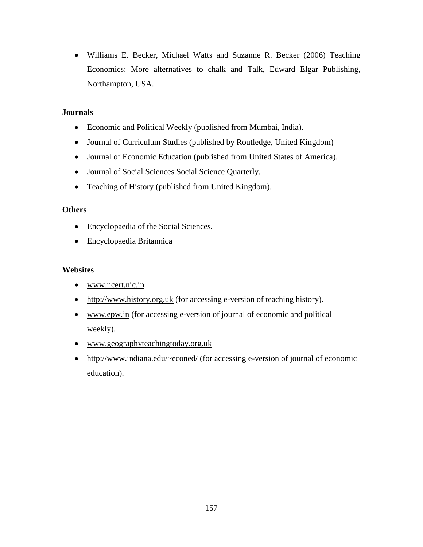Williams E. Becker, Michael Watts and Suzanne R. Becker (2006) Teaching Economics: More alternatives to chalk and Talk, Edward Elgar Publishing, Northampton, USA.

# **Journals**

- Economic and Political Weekly (published from Mumbai, India).
- Journal of Curriculum Studies (published by Routledge, United Kingdom)
- Journal of Economic Education (published from United States of America).
- Journal of Social Sciences Social Science Quarterly.
- Teaching of History (published from United Kingdom).

#### **Others**

- Encyclopaedia of the Social Sciences.
- Encyclopaedia Britannica

#### **Websites**

- [www.ncert.nic.in](http://www.ncert.nic.in/)
- [http://www.history.org.uk](http://www.history.org.uk/) (for accessing e-version of teaching history).
- [www.epw.in](http://www.epw.in/) (for accessing e-version of journal of economic and political weekly).
- [www.geographyteachingtoday.org.uk](http://www.geographyteachingtoday.org.uk/)
- <http://www.indiana.edu/~econed/> (for accessing e-version of journal of economic education).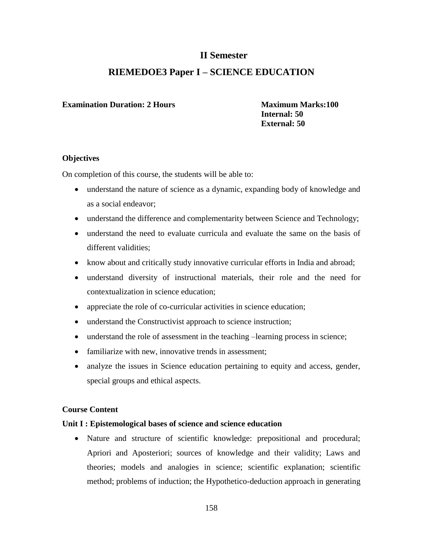# **RIEMEDOE3 Paper I – SCIENCE EDUCATION**

#### **Examination Duration: 2 Hours Maximum Marks: 100**

 **Internal: 50 External: 50**

#### **Objectives**

On completion of this course, the students will be able to:

- understand the nature of science as a dynamic, expanding body of knowledge and as a social endeavor;
- understand the difference and complementarity between Science and Technology;
- understand the need to evaluate curricula and evaluate the same on the basis of different validities;
- know about and critically study innovative curricular efforts in India and abroad;
- understand diversity of instructional materials, their role and the need for contextualization in science education;
- appreciate the role of co-curricular activities in science education;
- understand the Constructivist approach to science instruction;
- understand the role of assessment in the teaching –learning process in science;
- familiarize with new, innovative trends in assessment:
- analyze the issues in Science education pertaining to equity and access, gender, special groups and ethical aspects.

# **Course Content**

#### **Unit I : Epistemological bases of science and science education**

 Nature and structure of scientific knowledge: prepositional and procedural; Apriori and Aposteriori; sources of knowledge and their validity; Laws and theories; models and analogies in science; scientific explanation; scientific method; problems of induction; the Hypothetico-deduction approach in generating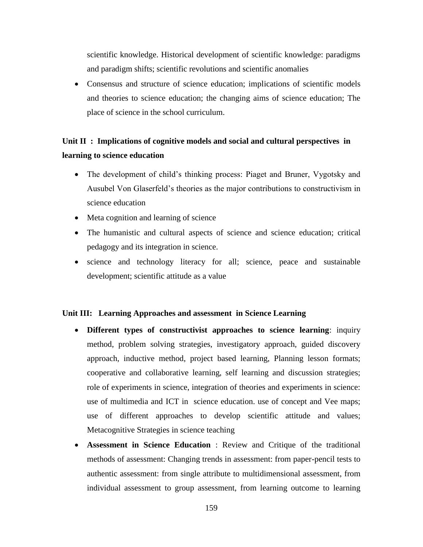scientific knowledge. Historical development of scientific knowledge: paradigms and paradigm shifts; scientific revolutions and scientific anomalies

 Consensus and structure of science education; implications of scientific models and theories to science education; the changing aims of science education; The place of science in the school curriculum.

# **Unit II : Implications of cognitive models and social and cultural perspectives in learning to science education**

- The development of child's thinking process: Piaget and Bruner, Vygotsky and Ausubel Von Glaserfeld's theories as the major contributions to constructivism in science education
- Meta cognition and learning of science
- The humanistic and cultural aspects of science and science education; critical pedagogy and its integration in science.
- science and technology literacy for all; science, peace and sustainable development; scientific attitude as a value

#### **Unit III: Learning Approaches and assessment in Science Learning**

- **Different types of constructivist approaches to science learning**: inquiry method, problem solving strategies, investigatory approach, guided discovery approach, inductive method, project based learning, Planning lesson formats; cooperative and collaborative learning, self learning and discussion strategies; role of experiments in science, integration of theories and experiments in science: use of multimedia and ICT in science education. use of concept and Vee maps; use of different approaches to develop scientific attitude and values; Metacognitive Strategies in science teaching
- **Assessment in Science Education** : Review and Critique of the traditional methods of assessment: Changing trends in assessment: from paper-pencil tests to authentic assessment: from single attribute to multidimensional assessment, from individual assessment to group assessment, from learning outcome to learning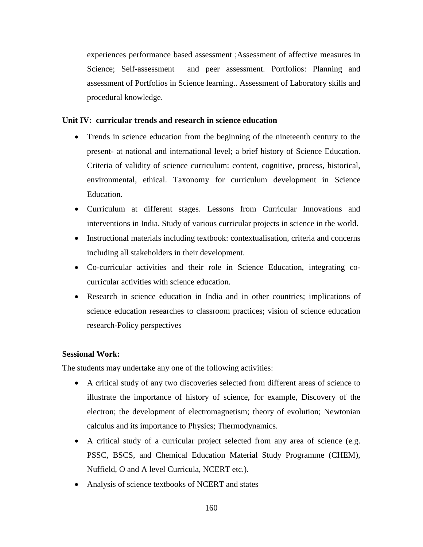experiences performance based assessment ;Assessment of affective measures in Science; Self-assessment and peer assessment. Portfolios: Planning and assessment of Portfolios in Science learning.. Assessment of Laboratory skills and procedural knowledge.

#### **Unit IV: curricular trends and research in science education**

- Trends in science education from the beginning of the nineteenth century to the present- at national and international level; a brief history of Science Education. Criteria of validity of science curriculum: content, cognitive, process, historical, environmental, ethical. Taxonomy for curriculum development in Science Education.
- Curriculum at different stages. Lessons from Curricular Innovations and interventions in India. Study of various curricular projects in science in the world.
- Instructional materials including textbook: contextualisation, criteria and concerns including all stakeholders in their development.
- Co-curricular activities and their role in Science Education, integrating cocurricular activities with science education.
- Research in science education in India and in other countries; implications of science education researches to classroom practices; vision of science education research-Policy perspectives

#### **Sessional Work:**

The students may undertake any one of the following activities:

- A critical study of any two discoveries selected from different areas of science to illustrate the importance of history of science, for example, Discovery of the electron; the development of electromagnetism; theory of evolution; Newtonian calculus and its importance to Physics; Thermodynamics.
- A critical study of a curricular project selected from any area of science (e.g. PSSC, BSCS, and Chemical Education Material Study Programme (CHEM), Nuffield, O and A level Curricula, NCERT etc.).
- Analysis of science textbooks of NCERT and states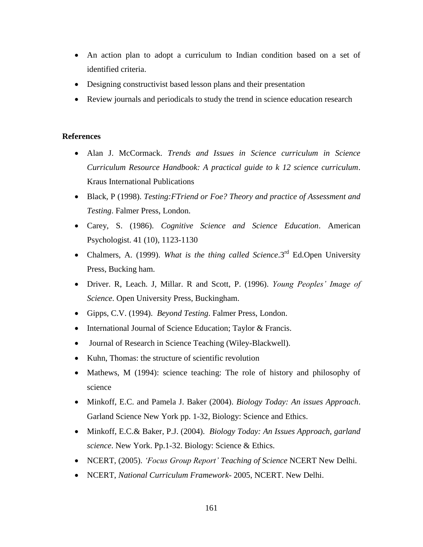- An action plan to adopt a curriculum to Indian condition based on a set of identified criteria.
- Designing constructivist based lesson plans and their presentation
- Review journals and periodicals to study the trend in science education research

- Alan J. McCormack. *Trends and Issues in Science curriculum in Science Curriculum Resource Handbook: A practical guide to k 12 science curriculum*. Kraus International Publications
- Black, P (1998). *Testing:FTriend or Foe? Theory and practice of Assessment and Testing*. Falmer Press, London.
- Carey, S. (1986). *Cognitive Science and Science Education*. American Psychologist. 41 (10), 1123-1130
- Chalmers, A. (1999). *What is the thing called Science*.3<sup>rd</sup> Ed.Open University Press, Bucking ham.
- Driver. R, Leach. J, Millar. R and Scott, P. (1996). *Young Peoples' Image of Science*. Open University Press, Buckingham.
- Gipps, C.V. (1994). *Beyond Testing*. Falmer Press, London.
- International Journal of Science Education; Taylor & Francis.
- Journal of Research in Science Teaching (Wiley-Blackwell).
- Kuhn, Thomas: the structure of scientific revolution
- Mathews, M (1994): science teaching: The role of history and philosophy of science
- Minkoff, E.C. and Pamela J. Baker (2004). *Biology Today: An issues Approach*. Garland Science New York pp. 1-32, Biology: Science and Ethics.
- Minkoff, E.C.& Baker, P.J. (2004). *Biology Today: An Issues Approach, garland science*. New York. Pp.1-32. Biology: Science & Ethics.
- NCERT, (2005). *'Focus Group Report' Teaching of Science* NCERT New Delhi.
- NCERT, *National Curriculum Framework* 2005, NCERT. New Delhi.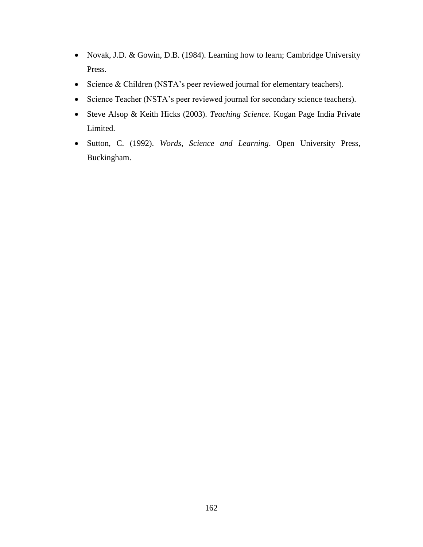- Novak, J.D. & Gowin, D.B. (1984). Learning how to learn; Cambridge University Press.
- Science & Children (NSTA's peer reviewed journal for elementary teachers).
- Science Teacher (NSTA's peer reviewed journal for secondary science teachers).
- Steve Alsop & Keith Hicks (2003). *Teaching Science*. Kogan Page India Private Limited.
- Sutton, C. (1992). *Words, Science and Learning*. Open University Press, Buckingham.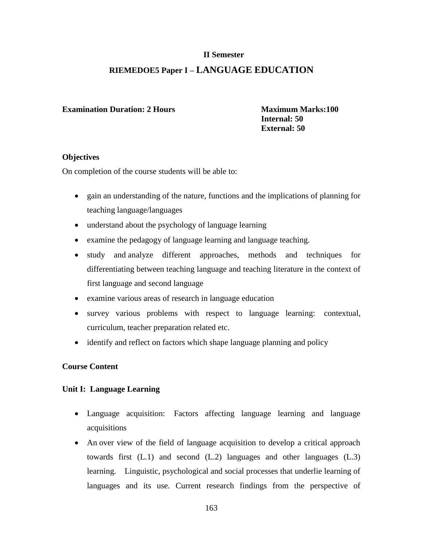# **RIEMEDOE5 Paper I – LANGUAGE EDUCATION**

#### **Examination Duration: 2 Hours Maximum Marks: 100**

 **Internal: 50 External: 50**

#### **Objectives**

On completion of the course students will be able to:

- gain an understanding of the nature, functions and the implications of planning for teaching language/languages
- understand about the psychology of language learning
- examine the pedagogy of language learning and language teaching.
- study and analyze different approaches, methods and techniques for differentiating between teaching language and teaching literature in the context of first language and second language
- examine various areas of research in language education
- survey various problems with respect to language learning: contextual, curriculum, teacher preparation related etc.
- identify and reflect on factors which shape language planning and policy

# **Course Content**

# **Unit I: Language Learning**

- Language acquisition: Factors affecting language learning and language acquisitions
- An over view of the field of language acquisition to develop a critical approach towards first (L.1) and second (L.2) languages and other languages (L.3) learning. Linguistic, psychological and social processes that underlie learning of languages and its use. Current research findings from the perspective of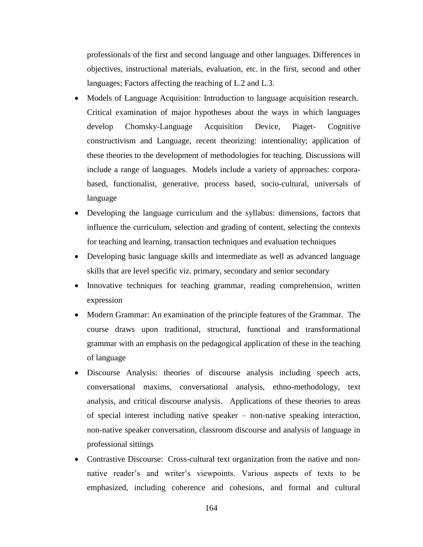professionals of the first and second language and other languages. Differences in objectives, instructional materials, evaluation, etc. in the first, second and other languages; Factors affecting the teaching of L.2 and L.3.

- Models of Language Acquisition: Introduction to language acquisition research. Critical examination of major hypotheses about the ways in which languages develop Chomsky-Language Acquisition Device, Piaget- Cognitive constructivism and Language, recent theorizing: intentionality; application of these theories to the development of methodologies for teaching. Discussions will include a range of languages. Models include a variety of approaches: corporabased, functionalist, generative, process based, socio-cultural, universals of language
- Developing the language curriculum and the syllabus: dimensions, factors that influence the curriculum, selection and grading of content, selecting the contexts for teaching and learning, transaction techniques and evaluation techniques
- Developing basic language skills and intermediate as well as advanced language skills that are level specific viz. primary, secondary and senior secondary
- Innovative techniques for teaching grammar, reading comprehension, written expression
- Modern Grammar: An examination of the principle features of the Grammar. The course draws upon traditional, structural, functional and transformational grammar with an emphasis on the pedagogical application of these in the teaching of language
- Discourse Analysis: theories of discourse analysis including speech acts, conversational maxims, conversational analysis, ethno-methodology, text analysis, and critical discourse analysis. Applications of these theories to areas of special interest including native speaker – non-native speaking interaction, non-native speaker conversation, classroom discourse and analysis of language in professional sittings
- Contrastive Discourse: Cross-cultural text organization from the native and nonnative reader's and writer's viewpoints. Various aspects of texts to be emphasized, including coherence and cohesions, and formal and cultural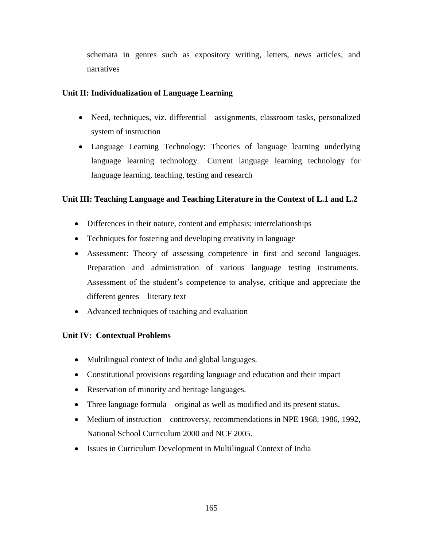schemata in genres such as expository writing, letters, news articles, and narratives

### **Unit II: Individualization of Language Learning**

- Need, techniques, viz. differential assignments, classroom tasks, personalized system of instruction
- Language Learning Technology: Theories of language learning underlying language learning technology. Current language learning technology for language learning, teaching, testing and research

# **Unit III: Teaching Language and Teaching Literature in the Context of L.1 and L.2**

- Differences in their nature, content and emphasis; interrelationships
- Techniques for fostering and developing creativity in language
- Assessment: Theory of assessing competence in first and second languages. Preparation and administration of various language testing instruments. Assessment of the student's competence to analyse, critique and appreciate the different genres – literary text
- Advanced techniques of teaching and evaluation

#### **Unit IV: Contextual Problems**

- Multilingual context of India and global languages.
- Constitutional provisions regarding language and education and their impact
- Reservation of minority and heritage languages.
- Three language formula original as well as modified and its present status.
- Medium of instruction controversy, recommendations in NPE 1968, 1986, 1992, National School Curriculum 2000 and NCF 2005.
- Issues in Curriculum Development in Multilingual Context of India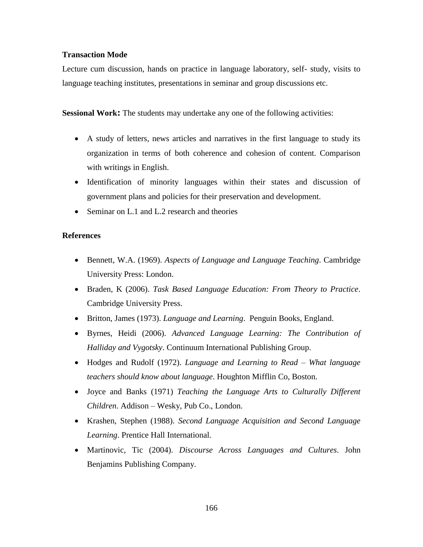#### **Transaction Mode**

Lecture cum discussion, hands on practice in language laboratory, self- study, visits to language teaching institutes, presentations in seminar and group discussions etc.

**Sessional Work:** The students may undertake any one of the following activities:

- A study of letters, news articles and narratives in the first language to study its organization in terms of both coherence and cohesion of content. Comparison with writings in English.
- Identification of minority languages within their states and discussion of government plans and policies for their preservation and development.
- Seminar on L.1 and L.2 research and theories

- Bennett, W.A. (1969). *Aspects of Language and Language Teaching*. Cambridge University Press: London.
- Braden, K (2006). *Task Based Language Education: From Theory to Practice*. Cambridge University Press.
- Britton, James (1973). *Language and Learning*. Penguin Books, England.
- Byrnes, Heidi (2006). *Advanced Language Learning: The Contribution of Halliday and Vygotsky*. Continuum International Publishing Group.
- Hodges and Rudolf (1972). *Language and Learning to Read – What language teachers should know about language*. Houghton Mifflin Co, Boston.
- Joyce and Banks (1971) *Teaching the Language Arts to Culturally Different Children*. Addison – Wesky, Pub Co., London.
- Krashen, Stephen (1988). *Second Language Acquisition and Second Language Learning*. Prentice Hall International.
- Martinovic, Tic (2004). *Discourse Across Languages and Cultures*. John Benjamins Publishing Company.